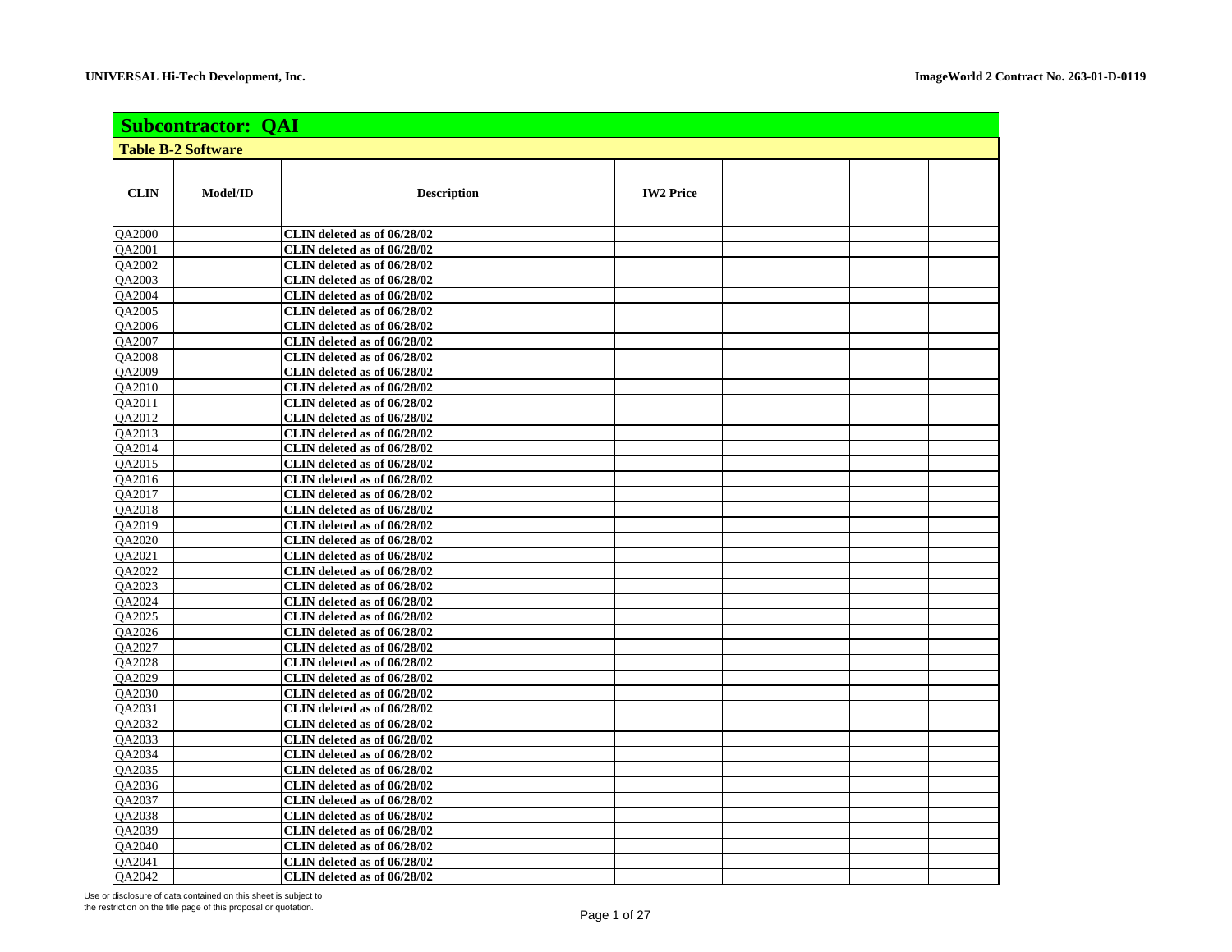| <b>Subcontractor: QAI</b>                                                   |  |  |  |  |  |  |  |
|-----------------------------------------------------------------------------|--|--|--|--|--|--|--|
| <b>Table B-2 Software</b>                                                   |  |  |  |  |  |  |  |
|                                                                             |  |  |  |  |  |  |  |
| <b>CLIN</b><br>Model/ID<br><b>IW2 Price</b><br><b>Description</b>           |  |  |  |  |  |  |  |
| QA2000<br>CLIN deleted as of 06/28/02                                       |  |  |  |  |  |  |  |
| QA2001<br>CLIN deleted as of 06/28/02                                       |  |  |  |  |  |  |  |
| QA2002<br>CLIN deleted as of 06/28/02                                       |  |  |  |  |  |  |  |
| QA2003<br>CLIN deleted as of 06/28/02                                       |  |  |  |  |  |  |  |
| CLIN deleted as of 06/28/02<br><b>OA2004</b>                                |  |  |  |  |  |  |  |
| QA2005<br>CLIN deleted as of 06/28/02                                       |  |  |  |  |  |  |  |
| $Q\overline{A2006}$<br>CLIN deleted as of 06/28/02                          |  |  |  |  |  |  |  |
| QA2007<br>CLIN deleted as of 06/28/02                                       |  |  |  |  |  |  |  |
| <b>OA2008</b><br>CLIN deleted as of 06/28/02                                |  |  |  |  |  |  |  |
| QA2009<br>CLIN deleted as of 06/28/02                                       |  |  |  |  |  |  |  |
| <b>OA2010</b><br>CLIN deleted as of 06/28/02                                |  |  |  |  |  |  |  |
| <b>OA2011</b><br>CLIN deleted as of 06/28/02                                |  |  |  |  |  |  |  |
| QA2012<br>CLIN deleted as of 06/28/02                                       |  |  |  |  |  |  |  |
| CLIN deleted as of 06/28/02<br><b>OA2013</b>                                |  |  |  |  |  |  |  |
| <b>OA2014</b><br>CLIN deleted as of 06/28/02                                |  |  |  |  |  |  |  |
| <b>OA2015</b><br>CLIN deleted as of 06/28/02                                |  |  |  |  |  |  |  |
| <b>OA2016</b><br>CLIN deleted as of 06/28/02                                |  |  |  |  |  |  |  |
| QA2017<br>CLIN deleted as of 06/28/02                                       |  |  |  |  |  |  |  |
| <b>OA2018</b><br>CLIN deleted as of 06/28/02                                |  |  |  |  |  |  |  |
| QA2019<br>CLIN deleted as of 06/28/02                                       |  |  |  |  |  |  |  |
| <b>OA2020</b><br>CLIN deleted as of 06/28/02                                |  |  |  |  |  |  |  |
| QA2021<br>CLIN deleted as of 06/28/02                                       |  |  |  |  |  |  |  |
| <b>OA2022</b><br>CLIN deleted as of 06/28/02                                |  |  |  |  |  |  |  |
| QA2023<br>CLIN deleted as of 06/28/02                                       |  |  |  |  |  |  |  |
| <b>OA2024</b><br>CLIN deleted as of 06/28/02                                |  |  |  |  |  |  |  |
| <b>OA2025</b><br>CLIN deleted as of 06/28/02                                |  |  |  |  |  |  |  |
| QA2026<br>CLIN deleted as of 06/28/02                                       |  |  |  |  |  |  |  |
| <b>OA2027</b><br>CLIN deleted as of 06/28/02                                |  |  |  |  |  |  |  |
| <b>OA2028</b><br>CLIN deleted as of 06/28/02                                |  |  |  |  |  |  |  |
| QA2029<br>CLIN deleted as of 06/28/02                                       |  |  |  |  |  |  |  |
| QA2030<br>CLIN deleted as of 06/28/02                                       |  |  |  |  |  |  |  |
| QA2031<br>CLIN deleted as of $06/28/02$                                     |  |  |  |  |  |  |  |
| <b>OA2032</b><br>CLIN deleted as of 06/28/02                                |  |  |  |  |  |  |  |
| QA2033<br>CLIN deleted as of 06/28/02                                       |  |  |  |  |  |  |  |
| <b>OA2034</b><br>CLIN deleted as of 06/28/02                                |  |  |  |  |  |  |  |
| <b>OA2035</b><br>CLIN deleted as of 06/28/02                                |  |  |  |  |  |  |  |
| CLIN deleted as of 06/28/02<br>QA2036                                       |  |  |  |  |  |  |  |
| <b>OA2037</b><br>CLIN deleted as of 06/28/02<br>CLIN deleted as of 06/28/02 |  |  |  |  |  |  |  |
| QA2038<br><b>OA2039</b><br>CLIN deleted as of 06/28/02                      |  |  |  |  |  |  |  |
| <b>OA2040</b><br>CLIN deleted as of 06/28/02                                |  |  |  |  |  |  |  |
| QA2041<br>CLIN deleted as of 06/28/02                                       |  |  |  |  |  |  |  |
| <b>OA2042</b><br>CLIN deleted as of 06/28/02                                |  |  |  |  |  |  |  |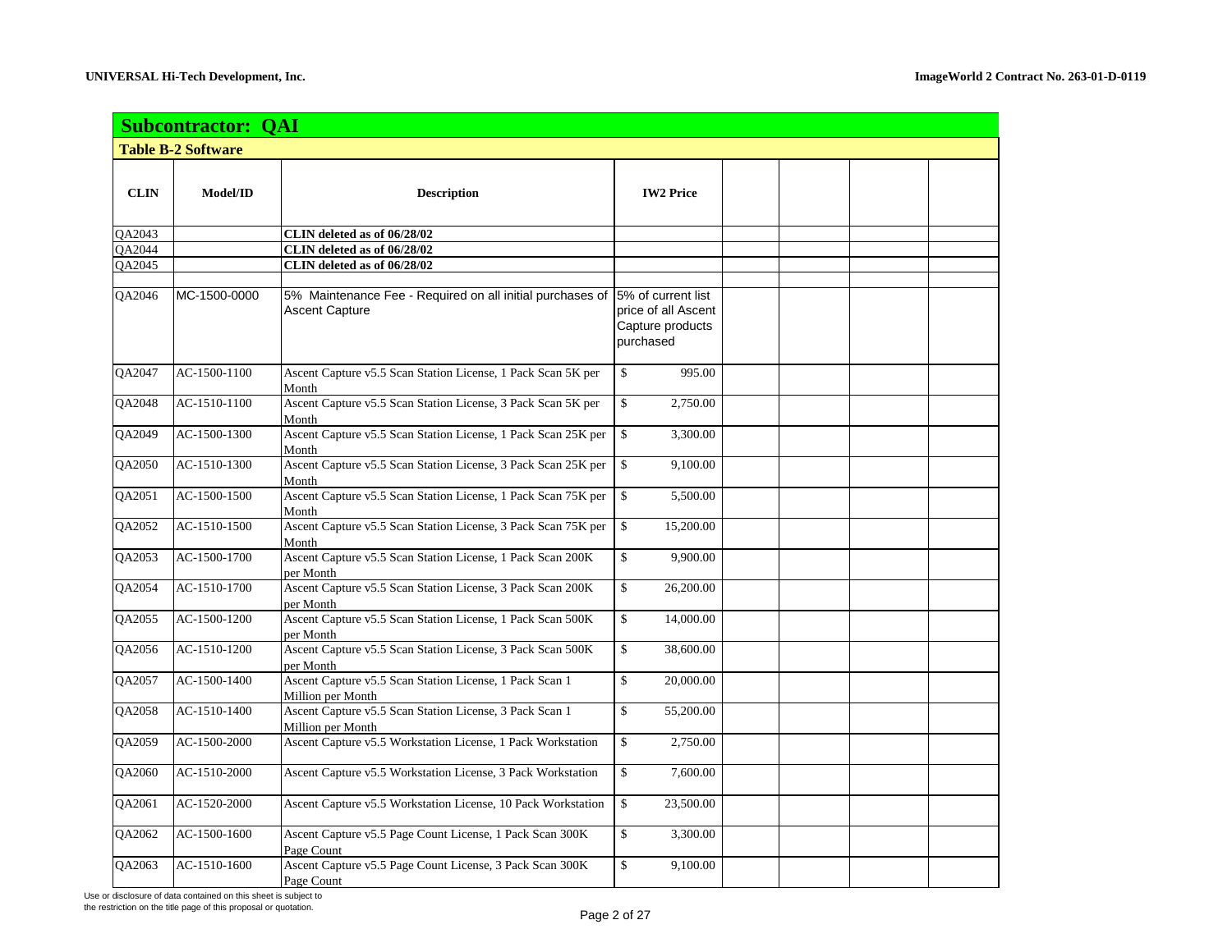|               | <b>Subcontractor: QAI</b> |                                                                                    |                                                                            |  |  |  |  |  |
|---------------|---------------------------|------------------------------------------------------------------------------------|----------------------------------------------------------------------------|--|--|--|--|--|
|               | <b>Table B-2 Software</b> |                                                                                    |                                                                            |  |  |  |  |  |
| <b>CLIN</b>   | Model/ID                  | <b>Description</b>                                                                 | <b>IW2 Price</b>                                                           |  |  |  |  |  |
| QA2043        |                           | CLIN deleted as of 06/28/02                                                        |                                                                            |  |  |  |  |  |
| <b>OA2044</b> |                           | CLIN deleted as of 06/28/02                                                        |                                                                            |  |  |  |  |  |
| QA2045        |                           | CLIN deleted as of 06/28/02                                                        |                                                                            |  |  |  |  |  |
| <b>OA2046</b> | MC-1500-0000              | 5% Maintenance Fee - Required on all initial purchases of<br><b>Ascent Capture</b> | 5% of current list<br>price of all Ascent<br>Capture products<br>purchased |  |  |  |  |  |
| QA2047        | AC-1500-1100              | Ascent Capture v5.5 Scan Station License, 1 Pack Scan 5K per<br>Month              | \$<br>995.00                                                               |  |  |  |  |  |
| QA2048        | AC-1510-1100              | Ascent Capture v5.5 Scan Station License, 3 Pack Scan 5K per<br>Month              | \$<br>2,750.00                                                             |  |  |  |  |  |
| QA2049        | AC-1500-1300              | Ascent Capture v5.5 Scan Station License, 1 Pack Scan 25K per<br>Month             | \$<br>3,300.00                                                             |  |  |  |  |  |
| QA2050        | AC-1510-1300              | Ascent Capture v5.5 Scan Station License, 3 Pack Scan 25K per<br>Month             | $\mathbb{S}$<br>9,100.00                                                   |  |  |  |  |  |
| QA2051        | AC-1500-1500              | Ascent Capture v5.5 Scan Station License, 1 Pack Scan 75K per<br>Month             | $\mathbb{S}$<br>5,500.00                                                   |  |  |  |  |  |
| QA2052        | AC-1510-1500              | Ascent Capture v5.5 Scan Station License, 3 Pack Scan 75K per<br>Month             | \$<br>15,200.00                                                            |  |  |  |  |  |
| QA2053        | AC-1500-1700              | Ascent Capture v5.5 Scan Station License, 1 Pack Scan 200K<br>per Month            | \$<br>9,900.00                                                             |  |  |  |  |  |
| QA2054        | AC-1510-1700              | Ascent Capture v5.5 Scan Station License, 3 Pack Scan 200K<br>per Month            | \$<br>26,200.00                                                            |  |  |  |  |  |
| QA2055        | AC-1500-1200              | Ascent Capture v5.5 Scan Station License, 1 Pack Scan 500K<br>per Month            | \$<br>14,000.00                                                            |  |  |  |  |  |
| QA2056        | AC-1510-1200              | Ascent Capture v5.5 Scan Station License, 3 Pack Scan 500K<br>per Month            | \$<br>38,600.00                                                            |  |  |  |  |  |
| QA2057        | AC-1500-1400              | Ascent Capture v5.5 Scan Station License, 1 Pack Scan 1<br>Million per Month       | \$<br>20,000.00                                                            |  |  |  |  |  |
| QA2058        | AC-1510-1400              | Ascent Capture v5.5 Scan Station License, 3 Pack Scan 1<br>Million per Month       | \$<br>55,200.00                                                            |  |  |  |  |  |
| QA2059        | AC-1500-2000              | Ascent Capture v5.5 Workstation License, 1 Pack Workstation                        | \$<br>2,750.00                                                             |  |  |  |  |  |
| QA2060        | AC-1510-2000              | Ascent Capture v5.5 Workstation License, 3 Pack Workstation                        | \$<br>7,600.00                                                             |  |  |  |  |  |
| QA2061        | AC-1520-2000              | Ascent Capture v5.5 Workstation License, 10 Pack Workstation                       | \$<br>23,500.00                                                            |  |  |  |  |  |
| QA2062        | AC-1500-1600              | Ascent Capture v5.5 Page Count License, 1 Pack Scan 300K<br>Page Count             | \$<br>3,300.00                                                             |  |  |  |  |  |
| QA2063        | AC-1510-1600              | Ascent Capture v5.5 Page Count License, 3 Pack Scan 300K<br>Page Count             | \$<br>9,100.00                                                             |  |  |  |  |  |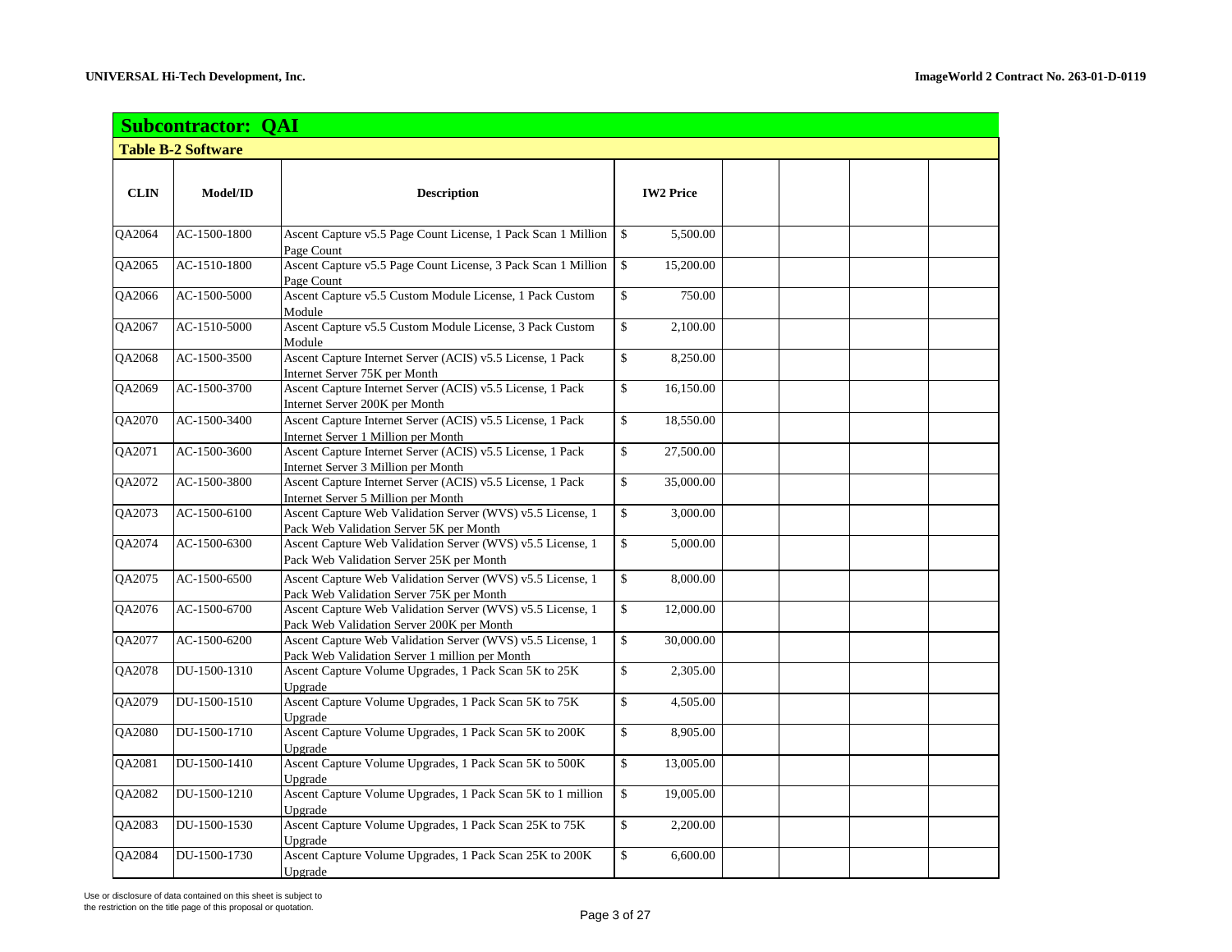|                      | <b>Subcontractor: QAI</b> |                                                                                                              |    |                  |  |  |  |  |  |
|----------------------|---------------------------|--------------------------------------------------------------------------------------------------------------|----|------------------|--|--|--|--|--|
|                      | <b>Table B-2 Software</b> |                                                                                                              |    |                  |  |  |  |  |  |
|                      |                           |                                                                                                              |    |                  |  |  |  |  |  |
| <b>CLIN</b>          | Model/ID                  | <b>Description</b>                                                                                           |    | <b>IW2 Price</b> |  |  |  |  |  |
| QA2064               | AC-1500-1800              | Ascent Capture v5.5 Page Count License, 1 Pack Scan 1 Million<br>Page Count                                  | \$ | 5,500.00         |  |  |  |  |  |
| QA2065               | AC-1510-1800              | Ascent Capture v5.5 Page Count License, 3 Pack Scan 1 Million<br>Page Count                                  | \$ | 15,200.00        |  |  |  |  |  |
| $\overline{Q}$ A2066 | AC-1500-5000              | Ascent Capture v5.5 Custom Module License, 1 Pack Custom<br>Module                                           | \$ | 750.00           |  |  |  |  |  |
| QA2067               | AC-1510-5000              | Ascent Capture v5.5 Custom Module License, 3 Pack Custom<br>Module                                           | \$ | 2,100.00         |  |  |  |  |  |
| QA2068               | AC-1500-3500              | Ascent Capture Internet Server (ACIS) v5.5 License, 1 Pack<br>Internet Server 75K per Month                  | \$ | 8,250.00         |  |  |  |  |  |
| QA2069               | AC-1500-3700              | Ascent Capture Internet Server (ACIS) v5.5 License, 1 Pack<br>Internet Server 200K per Month                 | \$ | 16,150.00        |  |  |  |  |  |
| QA2070               | AC-1500-3400              | Ascent Capture Internet Server (ACIS) v5.5 License, 1 Pack<br>Internet Server 1 Million per Month            | \$ | 18,550.00        |  |  |  |  |  |
| QA2071               | AC-1500-3600              | Ascent Capture Internet Server (ACIS) v5.5 License, 1 Pack<br>Internet Server 3 Million per Month            | \$ | 27,500.00        |  |  |  |  |  |
| QA2072               | AC-1500-3800              | Ascent Capture Internet Server (ACIS) v5.5 License, 1 Pack<br>Internet Server 5 Million per Month            | \$ | 35,000.00        |  |  |  |  |  |
| QA2073               | AC-1500-6100              | Ascent Capture Web Validation Server (WVS) v5.5 License, 1<br>Pack Web Validation Server 5K per Month        | \$ | 3,000.00         |  |  |  |  |  |
| QA2074               | AC-1500-6300              | Ascent Capture Web Validation Server (WVS) v5.5 License, 1<br>Pack Web Validation Server 25K per Month       | \$ | 5,000.00         |  |  |  |  |  |
| QA2075               | AC-1500-6500              | Ascent Capture Web Validation Server (WVS) v5.5 License, 1<br>Pack Web Validation Server 75K per Month       | \$ | 8,000.00         |  |  |  |  |  |
| QA2076               | AC-1500-6700              | Ascent Capture Web Validation Server (WVS) v5.5 License, 1<br>Pack Web Validation Server 200K per Month      | \$ | 12,000.00        |  |  |  |  |  |
| QA2077               | AC-1500-6200              | Ascent Capture Web Validation Server (WVS) v5.5 License, 1<br>Pack Web Validation Server 1 million per Month | \$ | 30,000.00        |  |  |  |  |  |
| QA2078               | DU-1500-1310              | Ascent Capture Volume Upgrades, 1 Pack Scan 5K to 25K<br>Upgrade                                             | \$ | 2,305.00         |  |  |  |  |  |
| QA2079               | DU-1500-1510              | Ascent Capture Volume Upgrades, 1 Pack Scan 5K to 75K<br>Upgrade                                             | \$ | 4,505.00         |  |  |  |  |  |
| QA2080               | DU-1500-1710              | Ascent Capture Volume Upgrades, 1 Pack Scan 5K to 200K<br>Upgrade                                            | \$ | 8,905.00         |  |  |  |  |  |
| QA2081               | DU-1500-1410              | Ascent Capture Volume Upgrades, 1 Pack Scan 5K to 500K<br>Upgrade                                            | \$ | 13,005.00        |  |  |  |  |  |
| QA2082               | DU-1500-1210              | Ascent Capture Volume Upgrades, 1 Pack Scan 5K to 1 million<br>Upgrade                                       | \$ | 19,005.00        |  |  |  |  |  |
| QA2083               | DU-1500-1530              | Ascent Capture Volume Upgrades, 1 Pack Scan 25K to 75K<br>Upgrade                                            | \$ | 2,200.00         |  |  |  |  |  |
| QA2084               | DU-1500-1730              | Ascent Capture Volume Upgrades, 1 Pack Scan 25K to 200K<br>Upgrade                                           | \$ | 6,600.00         |  |  |  |  |  |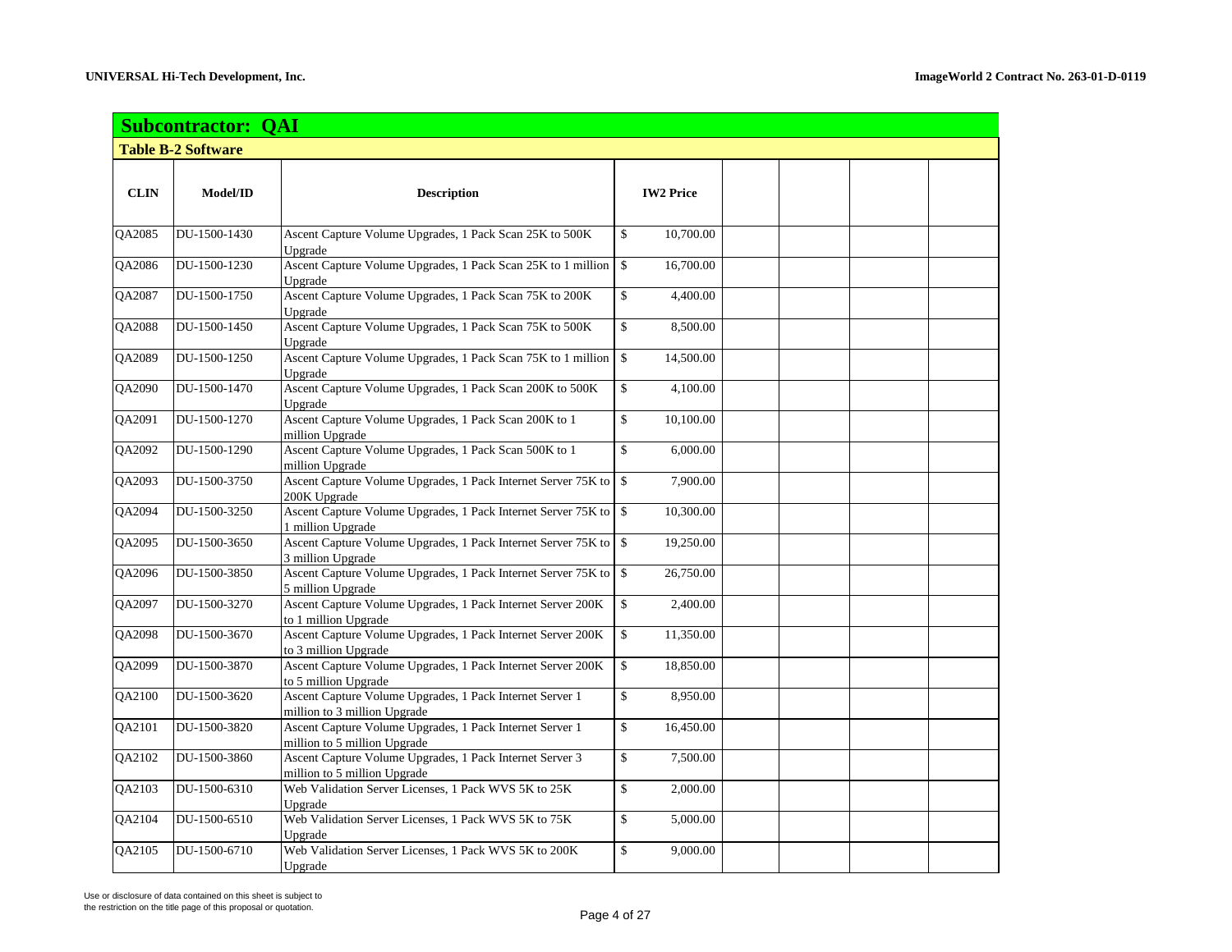|               | <b>Subcontractor: QAI</b> |                                                                                          |                           |  |  |  |  |  |
|---------------|---------------------------|------------------------------------------------------------------------------------------|---------------------------|--|--|--|--|--|
|               | <b>Table B-2 Software</b> |                                                                                          |                           |  |  |  |  |  |
| <b>CLIN</b>   | Model/ID                  | <b>Description</b>                                                                       | <b>IW2 Price</b>          |  |  |  |  |  |
| QA2085        | DU-1500-1430              | Ascent Capture Volume Upgrades, 1 Pack Scan 25K to 500K<br>Upgrade                       | \$<br>10,700.00           |  |  |  |  |  |
| QA2086        | DU-1500-1230              | Ascent Capture Volume Upgrades, 1 Pack Scan 25K to 1 million<br>Upgrade                  | \$<br>16,700.00           |  |  |  |  |  |
| QA2087        | DU-1500-1750              | Ascent Capture Volume Upgrades, 1 Pack Scan 75K to 200K<br>Upgrade                       | \$<br>4,400.00            |  |  |  |  |  |
| <b>QA2088</b> | DU-1500-1450              | Ascent Capture Volume Upgrades, 1 Pack Scan 75K to 500K<br>Upgrade                       | \$<br>8,500.00            |  |  |  |  |  |
| QA2089        | DU-1500-1250              | Ascent Capture Volume Upgrades, 1 Pack Scan 75K to 1 million<br>Upgrade                  | $\mathbb{S}$<br>14,500.00 |  |  |  |  |  |
| QA2090        | DU-1500-1470              | Ascent Capture Volume Upgrades, 1 Pack Scan 200K to 500K<br>Upgrade                      | \$<br>4,100.00            |  |  |  |  |  |
| QA2091        | DU-1500-1270              | Ascent Capture Volume Upgrades, 1 Pack Scan 200K to 1<br>million Upgrade                 | 10,100.00<br>\$           |  |  |  |  |  |
| QA2092        | DU-1500-1290              | Ascent Capture Volume Upgrades, 1 Pack Scan 500K to 1<br>million Upgrade                 | \$<br>6,000.00            |  |  |  |  |  |
| QA2093        | DU-1500-3750              | Ascent Capture Volume Upgrades, 1 Pack Internet Server 75K to<br>200K Upgrade            | $\$\,$<br>7,900.00        |  |  |  |  |  |
| QA2094        | DU-1500-3250              | Ascent Capture Volume Upgrades, 1 Pack Internet Server 75K to<br>1 million Upgrade       | 10,300.00<br>$\mathbb{S}$ |  |  |  |  |  |
| QA2095        | DU-1500-3650              | Ascent Capture Volume Upgrades, 1 Pack Internet Server 75K to<br>3 million Upgrade       | $\mathbb{S}$<br>19,250.00 |  |  |  |  |  |
| QA2096        | DU-1500-3850              | Ascent Capture Volume Upgrades, 1 Pack Internet Server 75K to<br>5 million Upgrade       | $\$\,$<br>26,750.00       |  |  |  |  |  |
| QA2097        | DU-1500-3270              | Ascent Capture Volume Upgrades, 1 Pack Internet Server 200K<br>to 1 million Upgrade      | \$<br>2,400.00            |  |  |  |  |  |
| QA2098        | DU-1500-3670              | Ascent Capture Volume Upgrades, 1 Pack Internet Server 200K<br>to 3 million Upgrade      | \$<br>11,350.00           |  |  |  |  |  |
| QA2099        | DU-1500-3870              | Ascent Capture Volume Upgrades, 1 Pack Internet Server 200K<br>to 5 million Upgrade      | \$<br>18,850.00           |  |  |  |  |  |
| QA2100        | DU-1500-3620              | Ascent Capture Volume Upgrades, 1 Pack Internet Server 1<br>million to 3 million Upgrade | \$<br>8,950.00            |  |  |  |  |  |
| QA2101        | DU-1500-3820              | Ascent Capture Volume Upgrades, 1 Pack Internet Server 1<br>million to 5 million Upgrade | \$<br>16,450.00           |  |  |  |  |  |
| QA2102        | DU-1500-3860              | Ascent Capture Volume Upgrades, 1 Pack Internet Server 3<br>million to 5 million Upgrade | \$<br>7,500.00            |  |  |  |  |  |
| QA2103        | DU-1500-6310              | Web Validation Server Licenses, 1 Pack WVS 5K to 25K<br>Upgrade                          | \$<br>2,000.00            |  |  |  |  |  |
| QA2104        | DU-1500-6510              | Web Validation Server Licenses, 1 Pack WVS 5K to 75K<br>Upgrade                          | \$<br>5,000.00            |  |  |  |  |  |
| QA2105        | DU-1500-6710              | Web Validation Server Licenses, 1 Pack WVS 5K to 200K<br>Upgrade                         | \$<br>9,000.00            |  |  |  |  |  |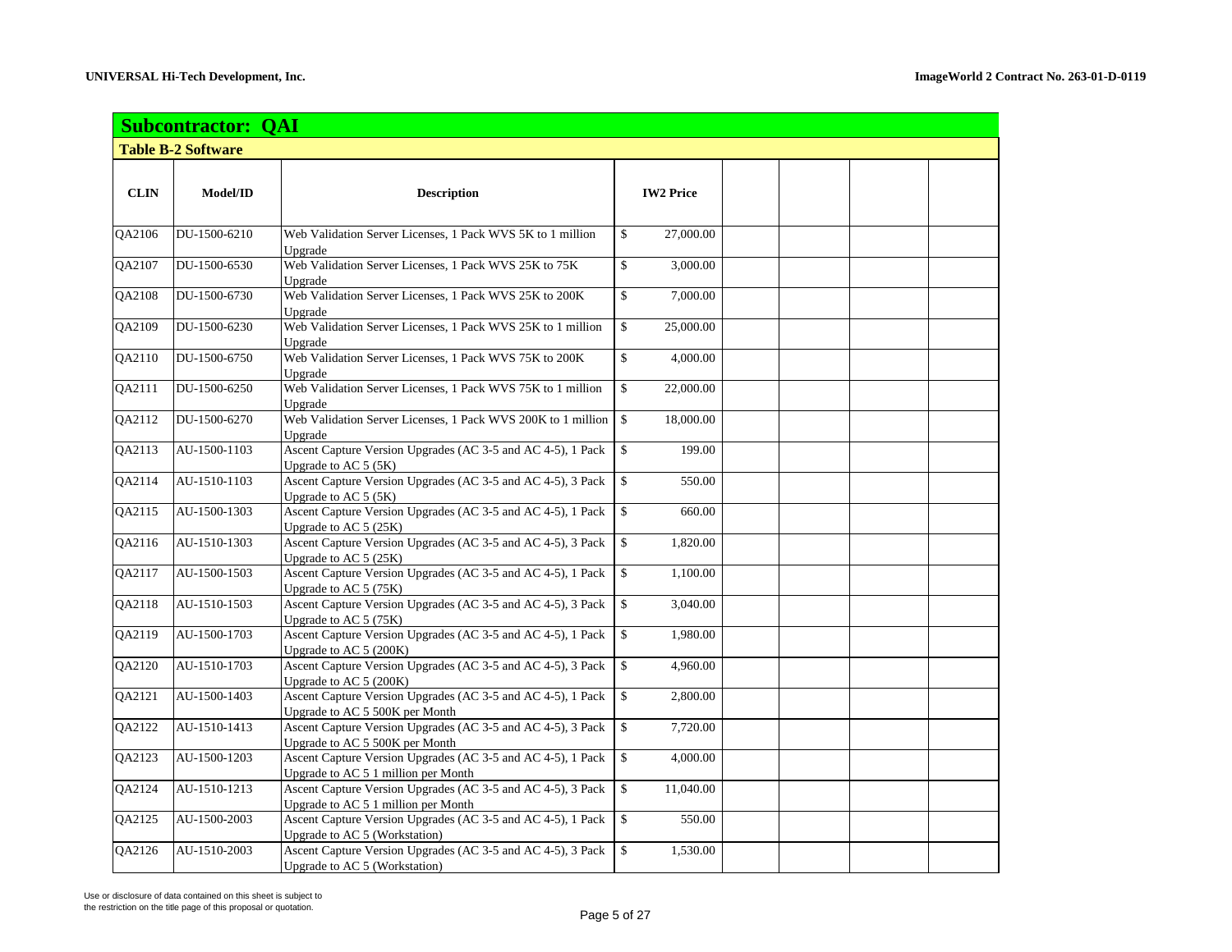|               | <b>Subcontractor: QAI</b> |                                                                                                    |              |                  |  |  |  |  |
|---------------|---------------------------|----------------------------------------------------------------------------------------------------|--------------|------------------|--|--|--|--|
|               | <b>Table B-2 Software</b> |                                                                                                    |              |                  |  |  |  |  |
| <b>CLIN</b>   | Model/ID                  | <b>Description</b>                                                                                 |              | <b>IW2 Price</b> |  |  |  |  |
| QA2106        | DU-1500-6210              | Web Validation Server Licenses, 1 Pack WVS 5K to 1 million<br>Ungrade                              | \$           | 27,000.00        |  |  |  |  |
| QA2107        | DU-1500-6530              | Web Validation Server Licenses, 1 Pack WVS 25K to 75K<br>Upgrade                                   | \$           | 3,000.00         |  |  |  |  |
| QA2108        | DU-1500-6730              | Web Validation Server Licenses, 1 Pack WVS 25K to 200K<br>Upgrade                                  | \$           | 7,000.00         |  |  |  |  |
| QA2109        | DU-1500-6230              | Web Validation Server Licenses, 1 Pack WVS 25K to 1 million<br>Upgrade                             | \$           | 25,000.00        |  |  |  |  |
| QA2110        | DU-1500-6750              | Web Validation Server Licenses, 1 Pack WVS 75K to 200K<br>Upgrade                                  | \$           | 4,000.00         |  |  |  |  |
| QA2111        | DU-1500-6250              | Web Validation Server Licenses, 1 Pack WVS 75K to 1 million<br>Upgrade                             | \$           | 22,000.00        |  |  |  |  |
| <b>OA2112</b> | DU-1500-6270              | Web Validation Server Licenses, 1 Pack WVS 200K to 1 million<br>Upgrade                            | \$           | 18,000.00        |  |  |  |  |
| QA2113        | AU-1500-1103              | Ascent Capture Version Upgrades (AC 3-5 and AC 4-5), 1 Pack<br>Upgrade to AC 5 (5K)                | \$           | 199.00           |  |  |  |  |
| QA2114        | AU-1510-1103              | Ascent Capture Version Upgrades (AC 3-5 and AC 4-5), 3 Pack<br>Upgrade to AC 5 (5K)                | \$           | 550.00           |  |  |  |  |
| QA2115        | AU-1500-1303              | Ascent Capture Version Upgrades (AC 3-5 and AC 4-5), 1 Pack<br>Upgrade to AC 5 (25K)               | \$           | 660.00           |  |  |  |  |
| QA2116        | AU-1510-1303              | Ascent Capture Version Upgrades (AC 3-5 and AC 4-5), 3 Pack<br>Upgrade to AC 5 (25K)               | $\mathbb{S}$ | 1,820.00         |  |  |  |  |
| QA2117        | AU-1500-1503              | Ascent Capture Version Upgrades (AC 3-5 and AC 4-5), 1 Pack<br>Upgrade to AC 5 (75K)               | $\mathbb{S}$ | 1,100.00         |  |  |  |  |
| QA2118        | AU-1510-1503              | Ascent Capture Version Upgrades (AC 3-5 and AC 4-5), 3 Pack<br>Upgrade to AC 5 (75K)               | \$           | 3,040.00         |  |  |  |  |
| QA2119        | AU-1500-1703              | Ascent Capture Version Upgrades (AC 3-5 and AC 4-5), 1 Pack<br>Upgrade to AC 5 (200K)              | \$           | 1,980.00         |  |  |  |  |
| QA2120        | AU-1510-1703              | Ascent Capture Version Upgrades (AC 3-5 and AC 4-5), 3 Pack<br>Upgrade to AC 5 (200K)              | \$           | 4,960.00         |  |  |  |  |
| QA2121        | AU-1500-1403              | Ascent Capture Version Upgrades (AC 3-5 and AC 4-5), 1 Pack<br>Upgrade to AC 5 500K per Month      | \$           | 2,800.00         |  |  |  |  |
| <b>OA2122</b> | AU-1510-1413              | Ascent Capture Version Upgrades (AC 3-5 and AC 4-5), 3 Pack<br>Upgrade to AC 5 500K per Month      | \$           | 7,720.00         |  |  |  |  |
| QA2123        | AU-1500-1203              | Ascent Capture Version Upgrades (AC 3-5 and AC 4-5), 1 Pack<br>Upgrade to AC 5 1 million per Month | \$           | 4,000.00         |  |  |  |  |
| <b>OA2124</b> | AU-1510-1213              | Ascent Capture Version Upgrades (AC 3-5 and AC 4-5), 3 Pack<br>Upgrade to AC 5 1 million per Month | \$           | 11,040.00        |  |  |  |  |
| QA2125        | AU-1500-2003              | Ascent Capture Version Upgrades (AC 3-5 and AC 4-5), 1 Pack<br>Upgrade to AC 5 (Workstation)       | \$           | 550.00           |  |  |  |  |
| QA2126        | AU-1510-2003              | Ascent Capture Version Upgrades (AC 3-5 and AC 4-5), 3 Pack<br>Upgrade to AC 5 (Workstation)       | \$           | 1,530.00         |  |  |  |  |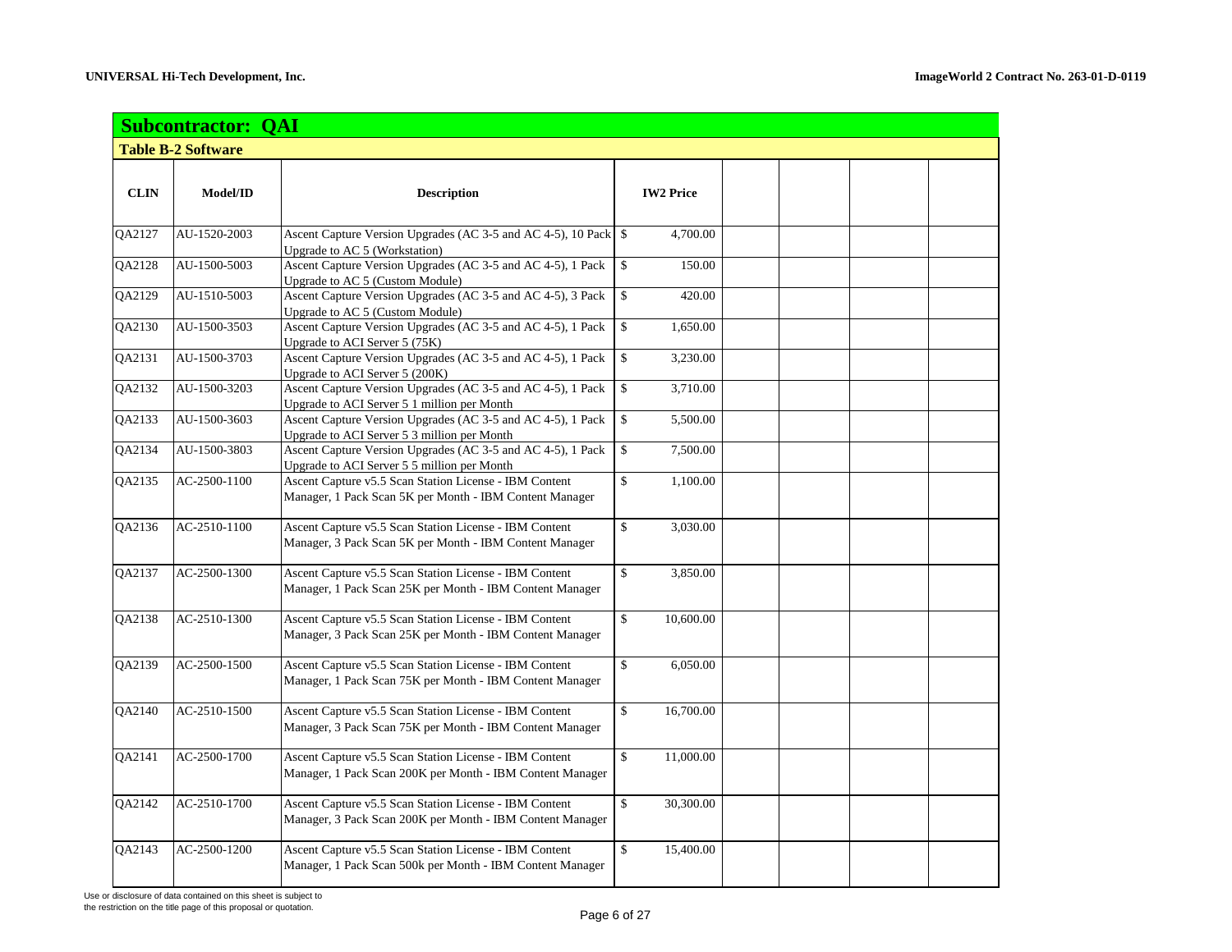|               | <b>Subcontractor: QAI</b> |                                                                                                                     |                    |                  |  |  |  |  |  |  |
|---------------|---------------------------|---------------------------------------------------------------------------------------------------------------------|--------------------|------------------|--|--|--|--|--|--|
|               | <b>Table B-2 Software</b> |                                                                                                                     |                    |                  |  |  |  |  |  |  |
|               |                           |                                                                                                                     |                    |                  |  |  |  |  |  |  |
| <b>CLIN</b>   | Model/ID                  | <b>Description</b>                                                                                                  |                    | <b>IW2 Price</b> |  |  |  |  |  |  |
|               |                           |                                                                                                                     |                    |                  |  |  |  |  |  |  |
| QA2127        | AU-1520-2003              | Ascent Capture Version Upgrades (AC 3-5 and AC 4-5), 10 Pack \\$<br>Upgrade to AC 5 (Workstation)                   |                    | 4,700.00         |  |  |  |  |  |  |
| QA2128        | AU-1500-5003              | Ascent Capture Version Upgrades (AC 3-5 and AC 4-5), 1 Pack<br><b>Upgrade to AC 5 (Custom Module)</b>               | \$                 | 150.00           |  |  |  |  |  |  |
| QA2129        | AU-1510-5003              | Ascent Capture Version Upgrades (AC 3-5 and AC 4-5), 3 Pack<br>Upgrade to AC 5 (Custom Module)                      | \$                 | 420.00           |  |  |  |  |  |  |
| QA2130        | AU-1500-3503              | Ascent Capture Version Upgrades (AC 3-5 and AC 4-5), 1 Pack                                                         | \$                 | 1,650.00         |  |  |  |  |  |  |
| QA2131        | AU-1500-3703              | Upgrade to ACI Server 5 (75K)<br>Ascent Capture Version Upgrades (AC 3-5 and AC 4-5), 1 Pack                        | \$                 | 3,230.00         |  |  |  |  |  |  |
| QA2132        | AU-1500-3203              | Upgrade to ACI Server 5 (200K)<br>Ascent Capture Version Upgrades (AC 3-5 and AC 4-5), 1 Pack                       | $\$$               | 3,710.00         |  |  |  |  |  |  |
| QA2133        | AU-1500-3603              | Upgrade to ACI Server 5 1 million per Month<br>Ascent Capture Version Upgrades (AC 3-5 and AC 4-5), 1 Pack          | \$                 | 5,500.00         |  |  |  |  |  |  |
|               |                           | Upgrade to ACI Server 5 3 million per Month                                                                         |                    |                  |  |  |  |  |  |  |
| QA2134        | AU-1500-3803              | Ascent Capture Version Upgrades (AC 3-5 and AC 4-5), 1 Pack<br>Upgrade to ACI Server 5 5 million per Month          | \$                 | 7,500.00         |  |  |  |  |  |  |
| QA2135        | AC-2500-1100              | Ascent Capture v5.5 Scan Station License - IBM Content<br>Manager, 1 Pack Scan 5K per Month - IBM Content Manager   | \$                 | 1,100.00         |  |  |  |  |  |  |
| QA2136        | AC-2510-1100              | Ascent Capture v5.5 Scan Station License - IBM Content<br>Manager, 3 Pack Scan 5K per Month - IBM Content Manager   | \$                 | 3,030.00         |  |  |  |  |  |  |
| <b>OA2137</b> | AC-2500-1300              | Ascent Capture v5.5 Scan Station License - IBM Content<br>Manager, 1 Pack Scan 25K per Month - IBM Content Manager  | $\mathbf{\hat{S}}$ | 3,850.00         |  |  |  |  |  |  |
| QA2138        | AC-2510-1300              | Ascent Capture v5.5 Scan Station License - IBM Content<br>Manager, 3 Pack Scan 25K per Month - IBM Content Manager  | $\mathbf{\hat{S}}$ | 10,600.00        |  |  |  |  |  |  |
| QA2139        | AC-2500-1500              | Ascent Capture v5.5 Scan Station License - IBM Content<br>Manager, 1 Pack Scan 75K per Month - IBM Content Manager  | \$                 | 6,050.00         |  |  |  |  |  |  |
| QA2140        | AC-2510-1500              | Ascent Capture v5.5 Scan Station License - IBM Content<br>Manager, 3 Pack Scan 75K per Month - IBM Content Manager  | \$                 | 16,700.00        |  |  |  |  |  |  |
| QA2141        | AC-2500-1700              | Ascent Capture v5.5 Scan Station License - IBM Content<br>Manager, 1 Pack Scan 200K per Month - IBM Content Manager | $\mathbf{\hat{S}}$ | 11,000.00        |  |  |  |  |  |  |
| QA2142        | AC-2510-1700              | Ascent Capture v5.5 Scan Station License - IBM Content<br>Manager, 3 Pack Scan 200K per Month - IBM Content Manager | \$                 | 30,300.00        |  |  |  |  |  |  |
| QA2143        | AC-2500-1200              | Ascent Capture v5.5 Scan Station License - IBM Content<br>Manager, 1 Pack Scan 500k per Month - IBM Content Manager | \$                 | 15,400.00        |  |  |  |  |  |  |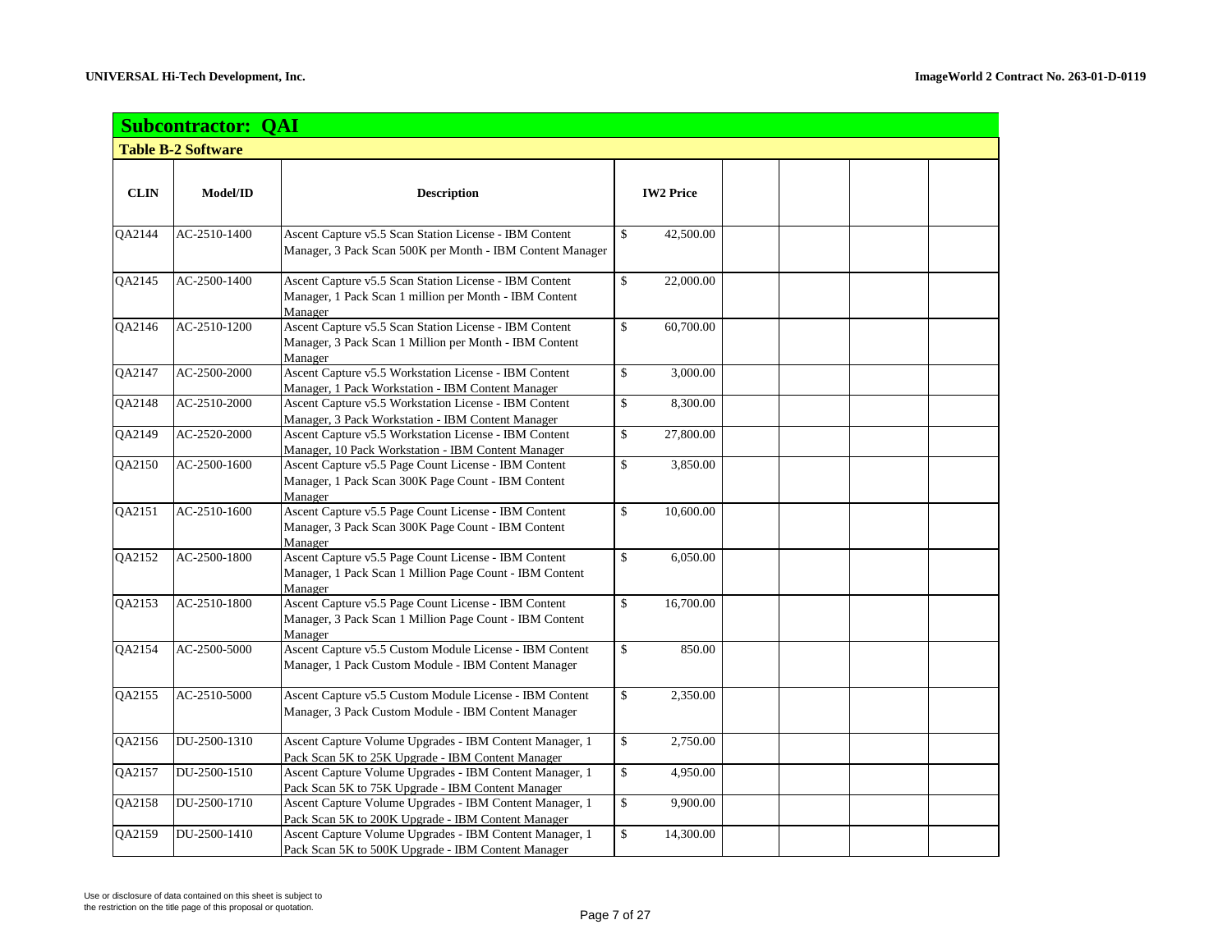|               | <b>Subcontractor: QAI</b> |                                                                                                                             |                  |  |  |  |  |  |  |
|---------------|---------------------------|-----------------------------------------------------------------------------------------------------------------------------|------------------|--|--|--|--|--|--|
|               | <b>Table B-2 Software</b> |                                                                                                                             |                  |  |  |  |  |  |  |
|               |                           |                                                                                                                             |                  |  |  |  |  |  |  |
| <b>CLIN</b>   | Model/ID                  | <b>Description</b>                                                                                                          | <b>IW2 Price</b> |  |  |  |  |  |  |
|               |                           |                                                                                                                             |                  |  |  |  |  |  |  |
| QA2144        | AC-2510-1400              | Ascent Capture v5.5 Scan Station License - IBM Content<br>Manager, 3 Pack Scan 500K per Month - IBM Content Manager         | \$<br>42,500.00  |  |  |  |  |  |  |
| QA2145        | AC-2500-1400              | Ascent Capture v5.5 Scan Station License - IBM Content<br>Manager, 1 Pack Scan 1 million per Month - IBM Content<br>Manager | \$<br>22,000.00  |  |  |  |  |  |  |
| QA2146        | AC-2510-1200              | Ascent Capture v5.5 Scan Station License - IBM Content<br>Manager, 3 Pack Scan 1 Million per Month - IBM Content<br>Manager | \$<br>60,700.00  |  |  |  |  |  |  |
| QA2147        | AC-2500-2000              | Ascent Capture v5.5 Workstation License - IBM Content<br>Manager, 1 Pack Workstation - IBM Content Manager                  | \$<br>3,000.00   |  |  |  |  |  |  |
| QA2148        | AC-2510-2000              | Ascent Capture v5.5 Workstation License - IBM Content<br>Manager, 3 Pack Workstation - IBM Content Manager                  | \$<br>8,300.00   |  |  |  |  |  |  |
| <b>OA2149</b> | AC-2520-2000              | Ascent Capture v5.5 Workstation License - IBM Content<br>Manager, 10 Pack Workstation - IBM Content Manager                 | \$<br>27,800.00  |  |  |  |  |  |  |
| QA2150        | AC-2500-1600              | Ascent Capture v5.5 Page Count License - IBM Content<br>Manager, 1 Pack Scan 300K Page Count - IBM Content<br>Manager       | \$<br>3,850.00   |  |  |  |  |  |  |
| QA2151        | AC-2510-1600              | Ascent Capture v5.5 Page Count License - IBM Content<br>Manager, 3 Pack Scan 300K Page Count - IBM Content<br>Manager       | 10,600.00<br>\$  |  |  |  |  |  |  |
| QA2152        | AC-2500-1800              | Ascent Capture v5.5 Page Count License - IBM Content<br>Manager, 1 Pack Scan 1 Million Page Count - IBM Content<br>Manager  | \$<br>6,050.00   |  |  |  |  |  |  |
| QA2153        | AC-2510-1800              | Ascent Capture v5.5 Page Count License - IBM Content<br>Manager, 3 Pack Scan 1 Million Page Count - IBM Content<br>Manager  | \$<br>16,700.00  |  |  |  |  |  |  |
| QA2154        | AC-2500-5000              | Ascent Capture v5.5 Custom Module License - IBM Content<br>Manager, 1 Pack Custom Module - IBM Content Manager              | \$<br>850.00     |  |  |  |  |  |  |
| QA2155        | AC-2510-5000              | Ascent Capture v5.5 Custom Module License - IBM Content<br>Manager, 3 Pack Custom Module - IBM Content Manager              | \$<br>2,350.00   |  |  |  |  |  |  |
| QA2156        | DU-2500-1310              | Ascent Capture Volume Upgrades - IBM Content Manager, 1<br>Pack Scan 5K to 25K Upgrade - IBM Content Manager                | \$<br>2,750.00   |  |  |  |  |  |  |
| QA2157        | DU-2500-1510              | Ascent Capture Volume Upgrades - IBM Content Manager, 1<br>Pack Scan 5K to 75K Upgrade - IBM Content Manager                | \$<br>4,950.00   |  |  |  |  |  |  |
| QA2158        | DU-2500-1710              | Ascent Capture Volume Upgrades - IBM Content Manager, 1<br>Pack Scan 5K to 200K Upgrade - IBM Content Manager               | \$<br>9,900.00   |  |  |  |  |  |  |
| QA2159        | DU-2500-1410              | Ascent Capture Volume Upgrades - IBM Content Manager, 1<br>Pack Scan 5K to 500K Upgrade - IBM Content Manager               | \$<br>14,300.00  |  |  |  |  |  |  |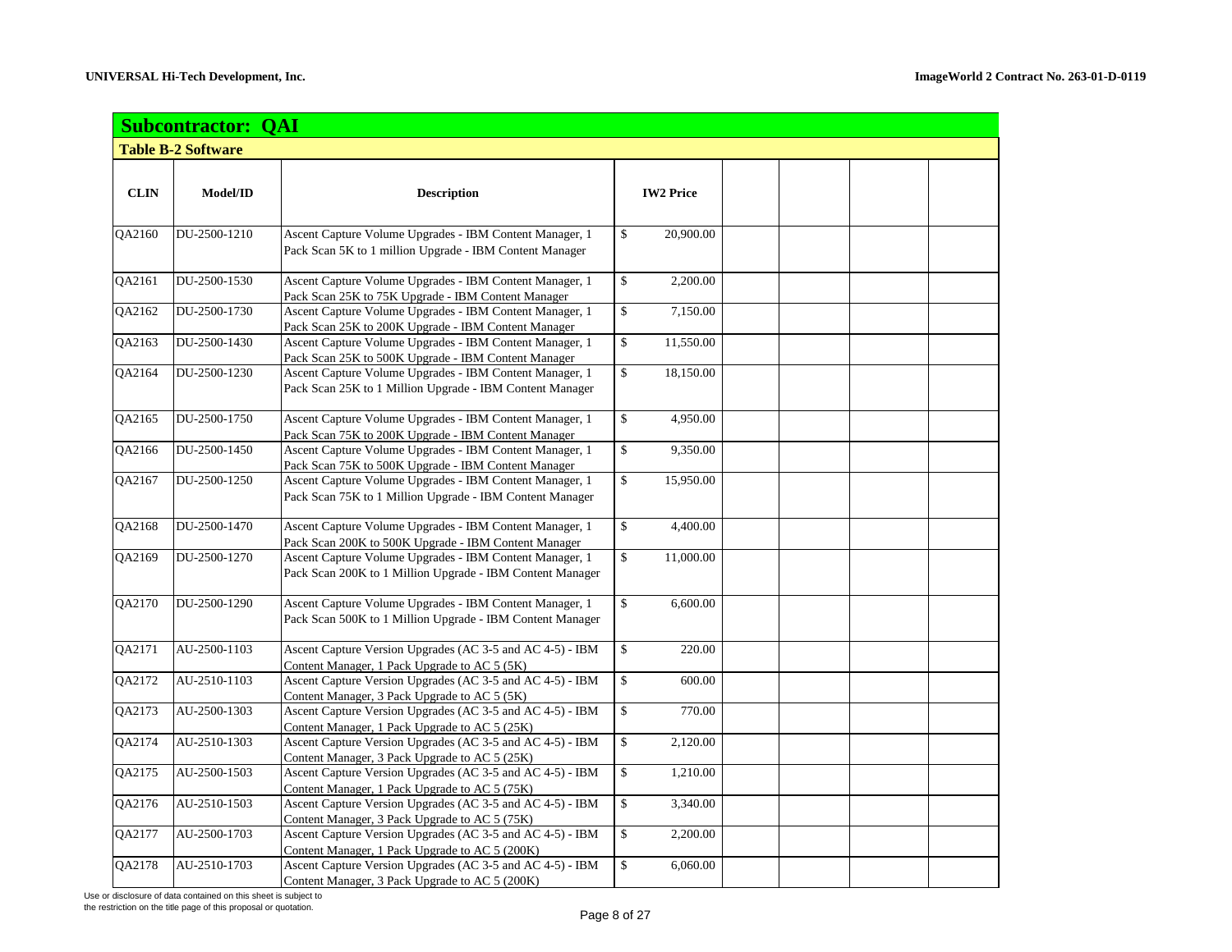|               | <b>Subcontractor: QAI</b> |                                                                                                                |                  |  |  |  |  |  |
|---------------|---------------------------|----------------------------------------------------------------------------------------------------------------|------------------|--|--|--|--|--|
|               | <b>Table B-2 Software</b> |                                                                                                                |                  |  |  |  |  |  |
|               |                           |                                                                                                                |                  |  |  |  |  |  |
| <b>CLIN</b>   | Model/ID                  | <b>Description</b>                                                                                             | <b>IW2 Price</b> |  |  |  |  |  |
|               |                           |                                                                                                                |                  |  |  |  |  |  |
| QA2160        | DU-2500-1210              | Ascent Capture Volume Upgrades - IBM Content Manager, 1                                                        | \$<br>20,900.00  |  |  |  |  |  |
|               |                           | Pack Scan 5K to 1 million Upgrade - IBM Content Manager                                                        |                  |  |  |  |  |  |
|               |                           |                                                                                                                |                  |  |  |  |  |  |
| QA2161        | DU-2500-1530              | Ascent Capture Volume Upgrades - IBM Content Manager, 1                                                        | \$<br>2,200.00   |  |  |  |  |  |
|               |                           | Pack Scan 25K to 75K Upgrade - IBM Content Manager                                                             |                  |  |  |  |  |  |
| QA2162        | DU-2500-1730              | Ascent Capture Volume Upgrades - IBM Content Manager, 1                                                        | \$<br>7,150.00   |  |  |  |  |  |
|               | DU-2500-1430              | Pack Scan 25K to 200K Upgrade - IBM Content Manager                                                            |                  |  |  |  |  |  |
| QA2163        |                           | Ascent Capture Volume Upgrades - IBM Content Manager, 1                                                        | \$<br>11,550.00  |  |  |  |  |  |
| QA2164        | DU-2500-1230              | Pack Scan 25K to 500K Upgrade - IBM Content Manager<br>Ascent Capture Volume Upgrades - IBM Content Manager, 1 | \$<br>18,150.00  |  |  |  |  |  |
|               |                           | Pack Scan 25K to 1 Million Upgrade - IBM Content Manager                                                       |                  |  |  |  |  |  |
|               |                           |                                                                                                                |                  |  |  |  |  |  |
| QA2165        | DU-2500-1750              | Ascent Capture Volume Upgrades - IBM Content Manager, 1                                                        | \$<br>4,950.00   |  |  |  |  |  |
|               |                           | Pack Scan 75K to 200K Upgrade - IBM Content Manager                                                            |                  |  |  |  |  |  |
| QA2166        | DU-2500-1450              | Ascent Capture Volume Upgrades - IBM Content Manager, 1                                                        | \$<br>9,350.00   |  |  |  |  |  |
|               |                           | Pack Scan 75K to 500K Upgrade - IBM Content Manager                                                            |                  |  |  |  |  |  |
| QA2167        | DU-2500-1250              | Ascent Capture Volume Upgrades - IBM Content Manager, 1                                                        | \$<br>15,950.00  |  |  |  |  |  |
|               |                           | Pack Scan 75K to 1 Million Upgrade - IBM Content Manager                                                       |                  |  |  |  |  |  |
|               |                           |                                                                                                                |                  |  |  |  |  |  |
| QA2168        | DU-2500-1470              | Ascent Capture Volume Upgrades - IBM Content Manager, 1                                                        | \$<br>4,400.00   |  |  |  |  |  |
|               |                           | Pack Scan 200K to 500K Upgrade - IBM Content Manager                                                           |                  |  |  |  |  |  |
| QA2169        | DU-2500-1270              | Ascent Capture Volume Upgrades - IBM Content Manager, 1                                                        | \$<br>11,000.00  |  |  |  |  |  |
|               |                           | Pack Scan 200K to 1 Million Upgrade - IBM Content Manager                                                      |                  |  |  |  |  |  |
| QA2170        | DU-2500-1290              | Ascent Capture Volume Upgrades - IBM Content Manager, 1                                                        | \$<br>6,600.00   |  |  |  |  |  |
|               |                           | Pack Scan 500K to 1 Million Upgrade - IBM Content Manager                                                      |                  |  |  |  |  |  |
|               |                           |                                                                                                                |                  |  |  |  |  |  |
| QA2171        | AU-2500-1103              | Ascent Capture Version Upgrades (AC 3-5 and AC 4-5) - IBM                                                      | \$<br>220.00     |  |  |  |  |  |
|               |                           | Content Manager, 1 Pack Upgrade to AC 5 (5K)                                                                   |                  |  |  |  |  |  |
| QA2172        | AU-2510-1103              | Ascent Capture Version Upgrades (AC 3-5 and AC 4-5) - IBM                                                      | \$<br>600.00     |  |  |  |  |  |
|               |                           | Content Manager, 3 Pack Upgrade to AC 5 (5K)                                                                   |                  |  |  |  |  |  |
| QA2173        | AU-2500-1303              | Ascent Capture Version Upgrades (AC 3-5 and AC 4-5) - IBM                                                      | \$<br>770.00     |  |  |  |  |  |
|               |                           | Content Manager, 1 Pack Upgrade to AC 5 (25K)                                                                  |                  |  |  |  |  |  |
| QA2174        | AU-2510-1303              | Ascent Capture Version Upgrades (AC 3-5 and AC 4-5) - IBM                                                      | \$<br>2,120.00   |  |  |  |  |  |
|               |                           | Content Manager, 3 Pack Upgrade to AC 5 (25K)                                                                  |                  |  |  |  |  |  |
| QA2175        | AU-2500-1503              | Ascent Capture Version Upgrades (AC 3-5 and AC 4-5) - IBM                                                      | \$<br>1,210.00   |  |  |  |  |  |
| QA2176        | AU-2510-1503              | Content Manager, 1 Pack Upgrade to AC 5 (75K)<br>Ascent Capture Version Upgrades (AC 3-5 and AC 4-5) - IBM     | \$<br>3,340.00   |  |  |  |  |  |
|               |                           | Content Manager, 3 Pack Upgrade to AC 5 (75K)                                                                  |                  |  |  |  |  |  |
| QA2177        | AU-2500-1703              | Ascent Capture Version Upgrades (AC 3-5 and AC 4-5) - IBM                                                      | \$<br>2,200.00   |  |  |  |  |  |
|               |                           | Content Manager, 1 Pack Upgrade to AC 5 (200K)                                                                 |                  |  |  |  |  |  |
| <b>OA2178</b> | AU-2510-1703              | Ascent Capture Version Upgrades (AC 3-5 and AC 4-5) - IBM                                                      | \$<br>6,060.00   |  |  |  |  |  |
|               |                           | Content Manager, 3 Pack Upgrade to AC 5 (200K)                                                                 |                  |  |  |  |  |  |

the restriction on the title page of this proposal or quotation.<br>
Page 8 of 27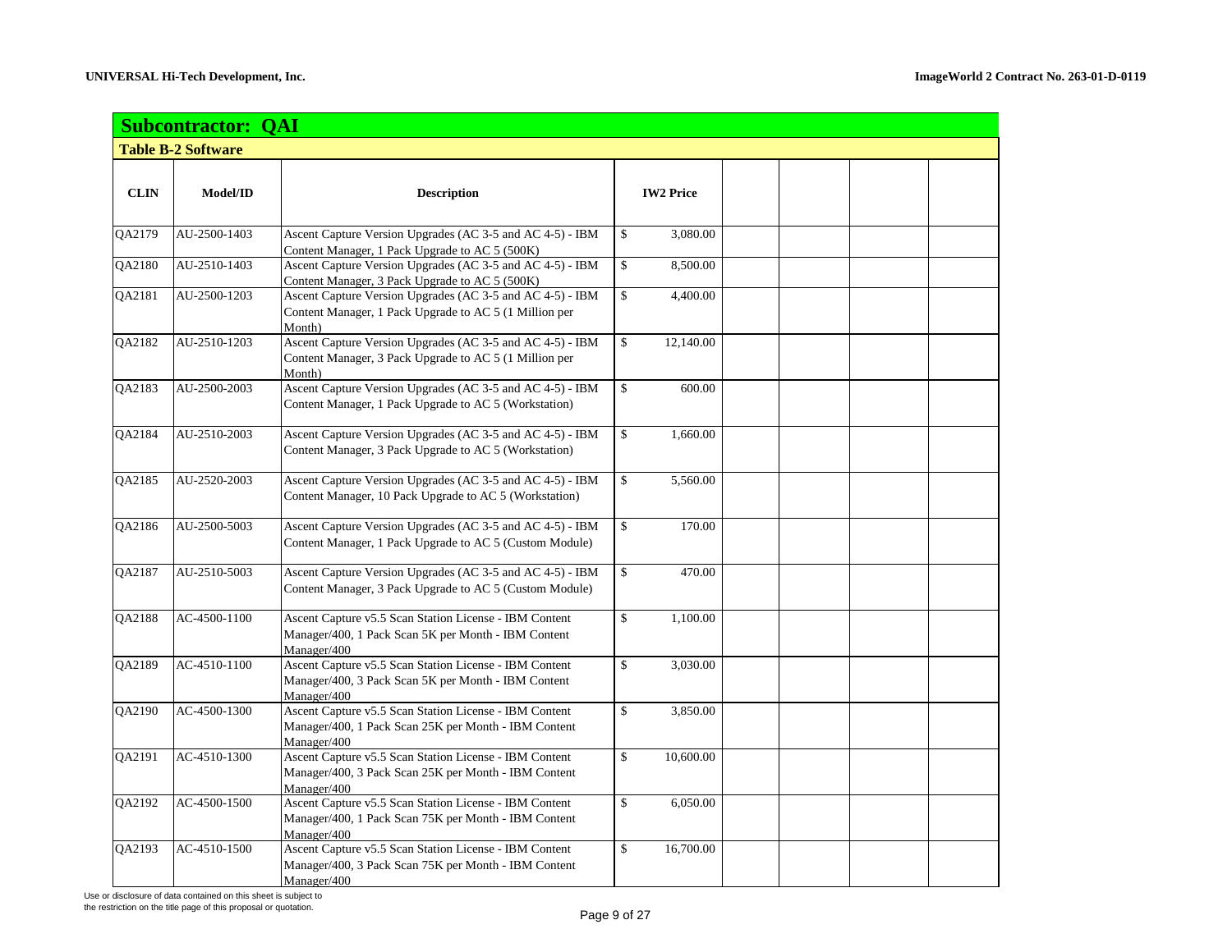|             | <b>Subcontractor: QAI</b> |                                                                                                                               |                                |  |  |  |  |  |
|-------------|---------------------------|-------------------------------------------------------------------------------------------------------------------------------|--------------------------------|--|--|--|--|--|
|             | <b>Table B-2 Software</b> |                                                                                                                               |                                |  |  |  |  |  |
|             |                           |                                                                                                                               |                                |  |  |  |  |  |
| <b>CLIN</b> | Model/ID                  | <b>Description</b>                                                                                                            | <b>IW2 Price</b>               |  |  |  |  |  |
| QA2179      | AU-2500-1403              | Ascent Capture Version Upgrades (AC 3-5 and AC 4-5) - IBM<br>Content Manager, 1 Pack Upgrade to AC 5 (500K)                   | \$<br>3,080.00                 |  |  |  |  |  |
| QA2180      | AU-2510-1403              | Ascent Capture Version Upgrades (AC 3-5 and AC 4-5) - IBM<br>Content Manager, 3 Pack Upgrade to AC 5 (500K)                   | \$<br>8,500.00                 |  |  |  |  |  |
| QA2181      | AU-2500-1203              | Ascent Capture Version Upgrades (AC 3-5 and AC 4-5) - IBM<br>Content Manager, 1 Pack Upgrade to AC 5 (1 Million per<br>Month) | \$<br>4,400.00                 |  |  |  |  |  |
| QA2182      | AU-2510-1203              | Ascent Capture Version Upgrades (AC 3-5 and AC 4-5) - IBM<br>Content Manager, 3 Pack Upgrade to AC 5 (1 Million per<br>Month) | \$<br>12,140.00                |  |  |  |  |  |
| QA2183      | AU-2500-2003              | Ascent Capture Version Upgrades (AC 3-5 and AC 4-5) - IBM<br>Content Manager, 1 Pack Upgrade to AC 5 (Workstation)            | \$<br>600.00                   |  |  |  |  |  |
| QA2184      | AU-2510-2003              | Ascent Capture Version Upgrades (AC 3-5 and AC 4-5) - IBM<br>Content Manager, 3 Pack Upgrade to AC 5 (Workstation)            | \$<br>1,660.00                 |  |  |  |  |  |
| QA2185      | AU-2520-2003              | Ascent Capture Version Upgrades (AC 3-5 and AC 4-5) - IBM<br>Content Manager, 10 Pack Upgrade to AC 5 (Workstation)           | \$<br>5,560.00                 |  |  |  |  |  |
| QA2186      | AU-2500-5003              | Ascent Capture Version Upgrades (AC 3-5 and AC 4-5) - IBM<br>Content Manager, 1 Pack Upgrade to AC 5 (Custom Module)          | \$<br>170.00                   |  |  |  |  |  |
| QA2187      | AU-2510-5003              | Ascent Capture Version Upgrades (AC 3-5 and AC 4-5) - IBM<br>Content Manager, 3 Pack Upgrade to AC 5 (Custom Module)          | \$<br>470.00                   |  |  |  |  |  |
| QA2188      | AC-4500-1100              | Ascent Capture v5.5 Scan Station License - IBM Content<br>Manager/400, 1 Pack Scan 5K per Month - IBM Content<br>Manager/400  | \$<br>1,100.00                 |  |  |  |  |  |
| QA2189      | AC-4510-1100              | Ascent Capture v5.5 Scan Station License - IBM Content<br>Manager/400, 3 Pack Scan 5K per Month - IBM Content<br>Manager/400  | \$<br>3,030.00                 |  |  |  |  |  |
| QA2190      | AC-4500-1300              | Ascent Capture v5.5 Scan Station License - IBM Content<br>Manager/400, 1 Pack Scan 25K per Month - IBM Content<br>Manager/400 | \$<br>3,850.00                 |  |  |  |  |  |
| QA2191      | AC-4510-1300              | Ascent Capture v5.5 Scan Station License - IBM Content<br>Manager/400, 3 Pack Scan 25K per Month - IBM Content<br>Manager/400 | \$<br>10,600.00                |  |  |  |  |  |
| QA2192      | AC-4500-1500              | Ascent Capture v5.5 Scan Station License - IBM Content<br>Manager/400, 1 Pack Scan 75K per Month - IBM Content<br>Manager/400 | $\mathbf{\hat{S}}$<br>6,050.00 |  |  |  |  |  |
| QA2193      | AC-4510-1500              | Ascent Capture v5.5 Scan Station License - IBM Content<br>Manager/400, 3 Pack Scan 75K per Month - IBM Content<br>Manager/400 | 16,700.00<br>\$                |  |  |  |  |  |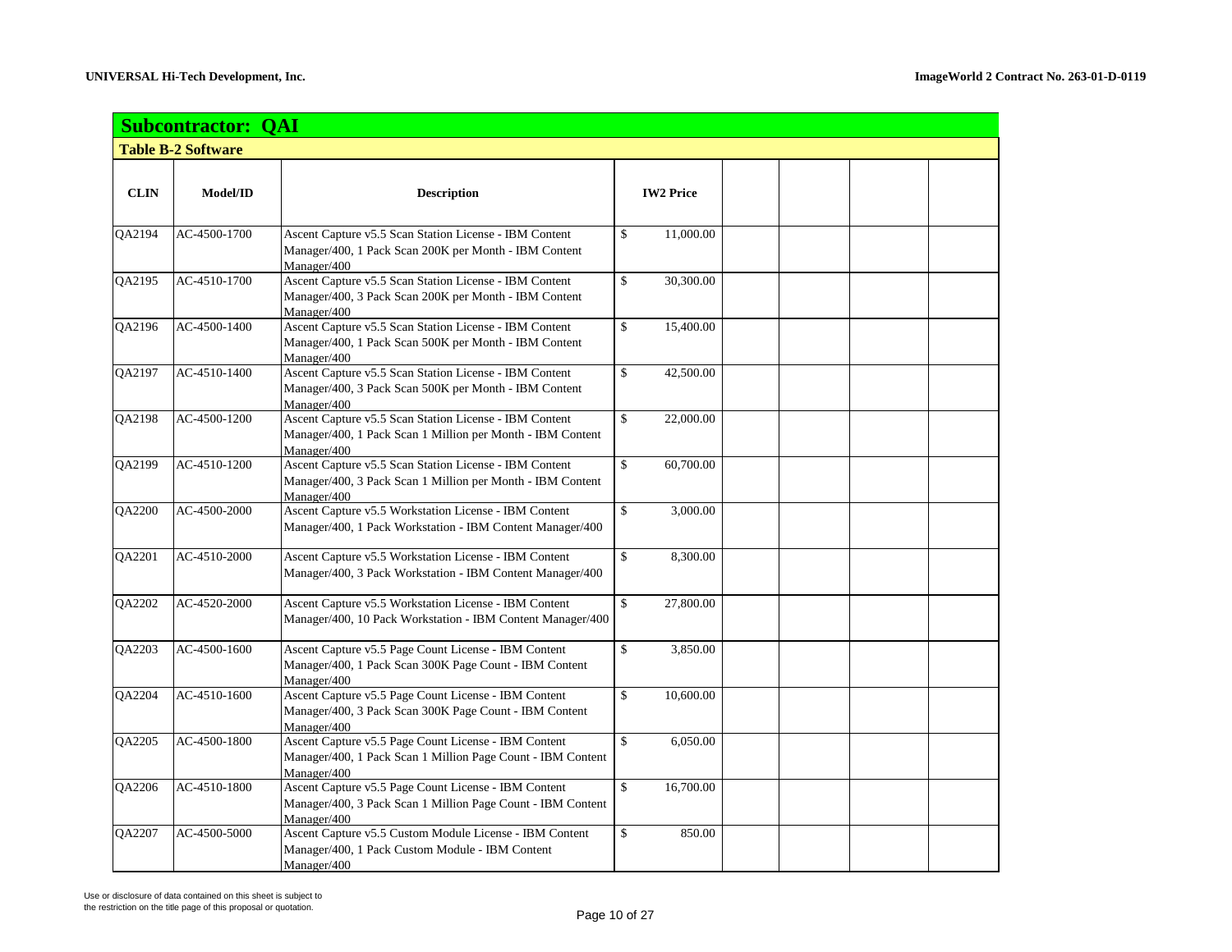|             | <b>Subcontractor: QAI</b> |                                                                                                                                     |                  |  |  |  |  |  |  |  |
|-------------|---------------------------|-------------------------------------------------------------------------------------------------------------------------------------|------------------|--|--|--|--|--|--|--|
|             | <b>Table B-2 Software</b> |                                                                                                                                     |                  |  |  |  |  |  |  |  |
|             |                           |                                                                                                                                     |                  |  |  |  |  |  |  |  |
| <b>CLIN</b> | Model/ID                  | <b>Description</b>                                                                                                                  | <b>IW2 Price</b> |  |  |  |  |  |  |  |
| QA2194      | AC-4500-1700              | Ascent Capture v5.5 Scan Station License - IBM Content<br>Manager/400, 1 Pack Scan 200K per Month - IBM Content<br>Manager/400      | \$<br>11,000.00  |  |  |  |  |  |  |  |
| QA2195      | AC-4510-1700              | Ascent Capture v5.5 Scan Station License - IBM Content<br>Manager/400, 3 Pack Scan 200K per Month - IBM Content<br>Manager/400      | \$<br>30,300.00  |  |  |  |  |  |  |  |
| QA2196      | AC-4500-1400              | Ascent Capture v5.5 Scan Station License - IBM Content<br>Manager/400, 1 Pack Scan 500K per Month - IBM Content<br>Manager/400      | \$<br>15,400.00  |  |  |  |  |  |  |  |
| QA2197      | AC-4510-1400              | Ascent Capture v5.5 Scan Station License - IBM Content<br>Manager/400, 3 Pack Scan 500K per Month - IBM Content<br>Manager/400      | \$<br>42,500.00  |  |  |  |  |  |  |  |
| QA2198      | AC-4500-1200              | Ascent Capture v5.5 Scan Station License - IBM Content<br>Manager/400, 1 Pack Scan 1 Million per Month - IBM Content<br>Manager/400 | \$<br>22,000.00  |  |  |  |  |  |  |  |
| QA2199      | AC-4510-1200              | Ascent Capture v5.5 Scan Station License - IBM Content<br>Manager/400, 3 Pack Scan 1 Million per Month - IBM Content<br>Manager/400 | \$<br>60,700.00  |  |  |  |  |  |  |  |
| QA2200      | AC-4500-2000              | Ascent Capture v5.5 Workstation License - IBM Content<br>Manager/400, 1 Pack Workstation - IBM Content Manager/400                  | \$<br>3,000.00   |  |  |  |  |  |  |  |
| QA2201      | AC-4510-2000              | Ascent Capture v5.5 Workstation License - IBM Content<br>Manager/400, 3 Pack Workstation - IBM Content Manager/400                  | \$<br>8,300.00   |  |  |  |  |  |  |  |
| QA2202      | AC-4520-2000              | Ascent Capture v5.5 Workstation License - IBM Content<br>Manager/400, 10 Pack Workstation - IBM Content Manager/400                 | \$<br>27,800.00  |  |  |  |  |  |  |  |
| QA2203      | AC-4500-1600              | Ascent Capture v5.5 Page Count License - IBM Content<br>Manager/400, 1 Pack Scan 300K Page Count - IBM Content<br>Manager/400       | \$<br>3,850.00   |  |  |  |  |  |  |  |
| QA2204      | AC-4510-1600              | Ascent Capture v5.5 Page Count License - IBM Content<br>Manager/400, 3 Pack Scan 300K Page Count - IBM Content<br>Manager/400       | \$<br>10,600.00  |  |  |  |  |  |  |  |
| QA2205      | AC-4500-1800              | Ascent Capture v5.5 Page Count License - IBM Content<br>Manager/400, 1 Pack Scan 1 Million Page Count - IBM Content<br>Manager/400  | \$<br>6,050.00   |  |  |  |  |  |  |  |
| QA2206      | AC-4510-1800              | Ascent Capture v5.5 Page Count License - IBM Content<br>Manager/400, 3 Pack Scan 1 Million Page Count - IBM Content<br>Manager/400  | \$<br>16,700.00  |  |  |  |  |  |  |  |
| QA2207      | AC-4500-5000              | Ascent Capture v5.5 Custom Module License - IBM Content<br>Manager/400, 1 Pack Custom Module - IBM Content<br>Manager/400           | \$<br>850.00     |  |  |  |  |  |  |  |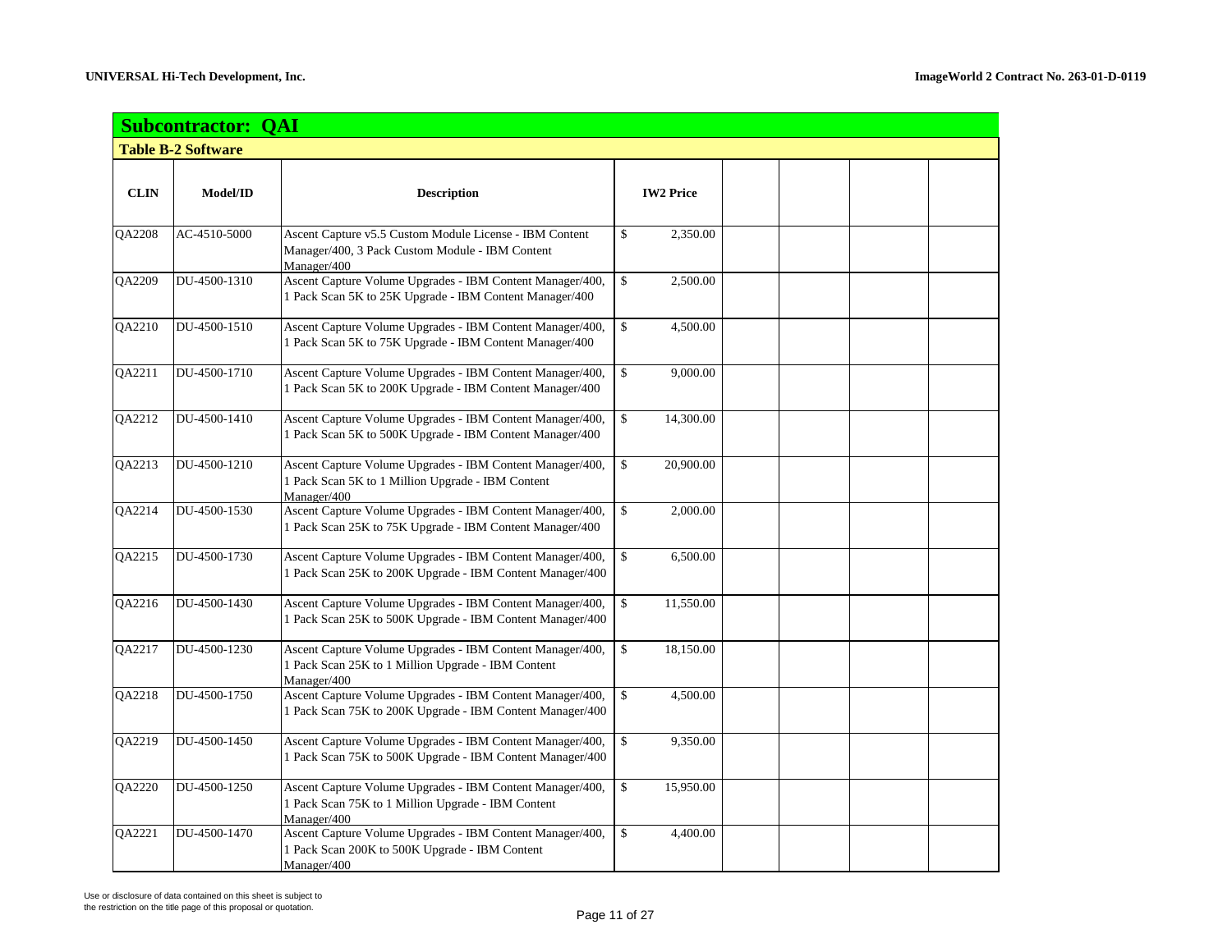|             | <b>Subcontractor: QAI</b> |                                                                                                                                |                  |  |  |  |  |  |  |
|-------------|---------------------------|--------------------------------------------------------------------------------------------------------------------------------|------------------|--|--|--|--|--|--|
|             | <b>Table B-2 Software</b> |                                                                                                                                |                  |  |  |  |  |  |  |
|             |                           |                                                                                                                                |                  |  |  |  |  |  |  |
| <b>CLIN</b> | Model/ID                  | <b>Description</b>                                                                                                             | <b>IW2 Price</b> |  |  |  |  |  |  |
| QA2208      | AC-4510-5000              | Ascent Capture v5.5 Custom Module License - IBM Content<br>Manager/400, 3 Pack Custom Module - IBM Content<br>Manager/400      | \$<br>2,350.00   |  |  |  |  |  |  |
| QA2209      | DU-4500-1310              | Ascent Capture Volume Upgrades - IBM Content Manager/400,<br>1 Pack Scan 5K to 25K Upgrade - IBM Content Manager/400           | \$<br>2,500.00   |  |  |  |  |  |  |
| QA2210      | DU-4500-1510              | Ascent Capture Volume Upgrades - IBM Content Manager/400,<br>1 Pack Scan 5K to 75K Upgrade - IBM Content Manager/400           | \$<br>4,500.00   |  |  |  |  |  |  |
| QA2211      | DU-4500-1710              | Ascent Capture Volume Upgrades - IBM Content Manager/400,<br>1 Pack Scan 5K to 200K Upgrade - IBM Content Manager/400          | \$<br>9,000.00   |  |  |  |  |  |  |
| QA2212      | DU-4500-1410              | Ascent Capture Volume Upgrades - IBM Content Manager/400,<br>1 Pack Scan 5K to 500K Upgrade - IBM Content Manager/400          | \$<br>14,300.00  |  |  |  |  |  |  |
| QA2213      | DU-4500-1210              | Ascent Capture Volume Upgrades - IBM Content Manager/400,<br>1 Pack Scan 5K to 1 Million Upgrade - IBM Content<br>Manager/400  | \$<br>20,900.00  |  |  |  |  |  |  |
| QA2214      | DU-4500-1530              | Ascent Capture Volume Upgrades - IBM Content Manager/400,<br>1 Pack Scan 25K to 75K Upgrade - IBM Content Manager/400          | \$<br>2,000.00   |  |  |  |  |  |  |
| QA2215      | DU-4500-1730              | Ascent Capture Volume Upgrades - IBM Content Manager/400,<br>1 Pack Scan 25K to 200K Upgrade - IBM Content Manager/400         | \$<br>6,500.00   |  |  |  |  |  |  |
| QA2216      | DU-4500-1430              | Ascent Capture Volume Upgrades - IBM Content Manager/400,<br>1 Pack Scan 25K to 500K Upgrade - IBM Content Manager/400         | \$<br>11,550.00  |  |  |  |  |  |  |
| QA2217      | DU-4500-1230              | Ascent Capture Volume Upgrades - IBM Content Manager/400,<br>1 Pack Scan 25K to 1 Million Upgrade - IBM Content<br>Manager/400 | \$<br>18,150.00  |  |  |  |  |  |  |
| QA2218      | DU-4500-1750              | Ascent Capture Volume Upgrades - IBM Content Manager/400,<br>1 Pack Scan 75K to 200K Upgrade - IBM Content Manager/400         | \$<br>4,500.00   |  |  |  |  |  |  |
| QA2219      | DU-4500-1450              | Ascent Capture Volume Upgrades - IBM Content Manager/400,<br>1 Pack Scan 75K to 500K Upgrade - IBM Content Manager/400         | \$<br>9,350.00   |  |  |  |  |  |  |
| QA2220      | DU-4500-1250              | Ascent Capture Volume Upgrades - IBM Content Manager/400,<br>1 Pack Scan 75K to 1 Million Upgrade - IBM Content<br>Manager/400 | \$<br>15,950.00  |  |  |  |  |  |  |
| QA2221      | DU-4500-1470              | Ascent Capture Volume Upgrades - IBM Content Manager/400,<br>1 Pack Scan 200K to 500K Upgrade - IBM Content<br>Manager/400     | \$<br>4,400.00   |  |  |  |  |  |  |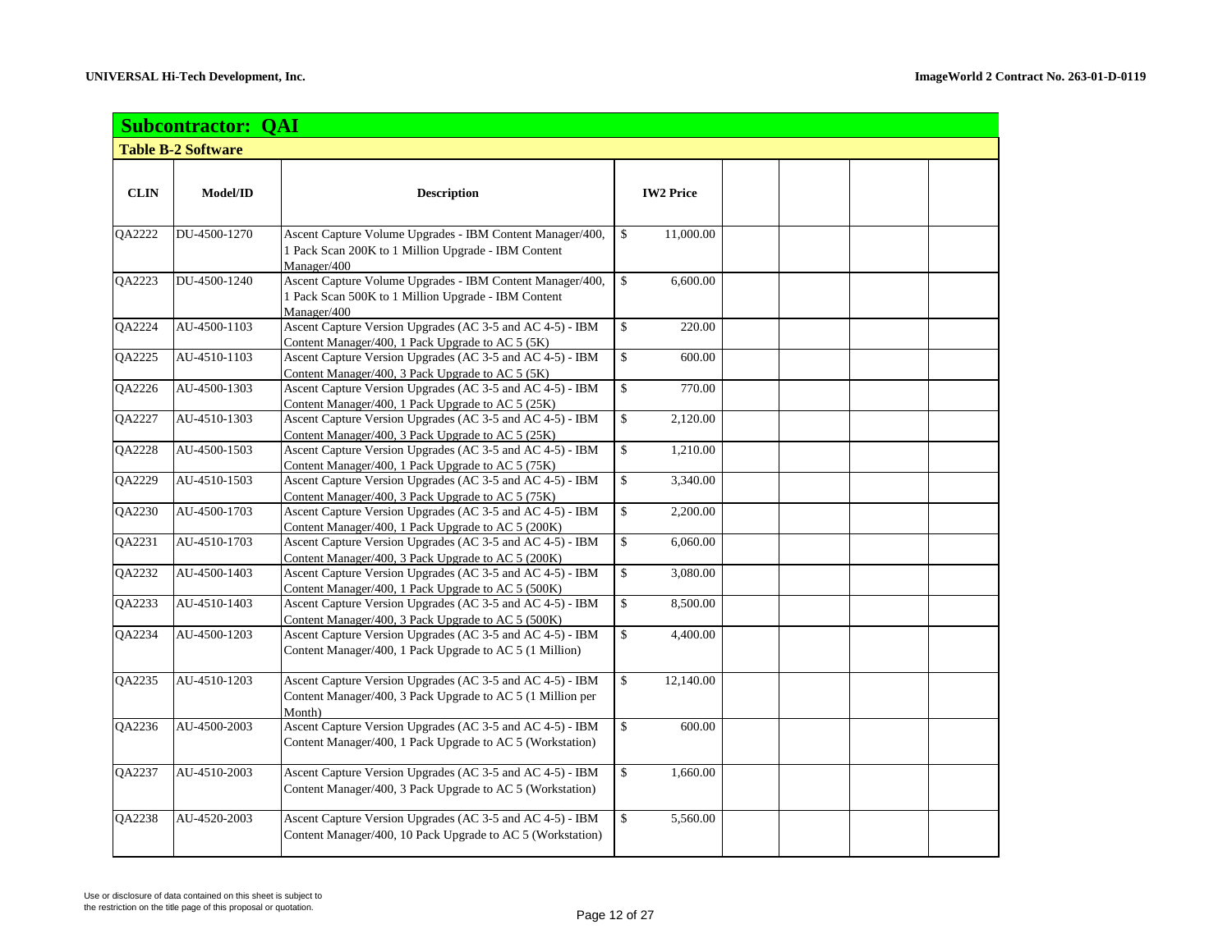|               | <b>Subcontractor: QAI</b> |                                                                                                                                   |              |                  |  |  |  |  |
|---------------|---------------------------|-----------------------------------------------------------------------------------------------------------------------------------|--------------|------------------|--|--|--|--|
|               | <b>Table B-2 Software</b> |                                                                                                                                   |              |                  |  |  |  |  |
|               |                           |                                                                                                                                   |              |                  |  |  |  |  |
| <b>CLIN</b>   | Model/ID                  | <b>Description</b>                                                                                                                |              | <b>IW2 Price</b> |  |  |  |  |
| QA2222        | DU-4500-1270              | Ascent Capture Volume Upgrades - IBM Content Manager/400,<br>1 Pack Scan 200K to 1 Million Upgrade - IBM Content<br>Manager/400   | $\mathbb{S}$ | 11,000.00        |  |  |  |  |
| QA2223        | DU-4500-1240              | Ascent Capture Volume Upgrades - IBM Content Manager/400,<br>1 Pack Scan 500K to 1 Million Upgrade - IBM Content<br>Manager/400   | \$           | 6,600.00         |  |  |  |  |
| QA2224        | AU-4500-1103              | Ascent Capture Version Upgrades (AC 3-5 and AC 4-5) - IBM<br>Content Manager/400, 1 Pack Upgrade to AC 5 (5K)                     | \$           | 220.00           |  |  |  |  |
| QA2225        | AU-4510-1103              | Ascent Capture Version Upgrades (AC 3-5 and AC 4-5) - IBM<br>Content Manager/400, 3 Pack Upgrade to AC 5 (5K)                     | \$           | 600.00           |  |  |  |  |
| QA2226        | AU-4500-1303              | Ascent Capture Version Upgrades (AC 3-5 and AC 4-5) - IBM<br>Content Manager/400, 1 Pack Upgrade to AC 5 (25K)                    | \$           | 770.00           |  |  |  |  |
| QA2227        | AU-4510-1303              | Ascent Capture Version Upgrades (AC 3-5 and AC 4-5) - IBM<br>Content Manager/400, 3 Pack Upgrade to AC 5 (25K)                    | \$           | 2,120.00         |  |  |  |  |
| <b>QA2228</b> | AU-4500-1503              | Ascent Capture Version Upgrades (AC 3-5 and AC 4-5) - IBM<br>Content Manager/400, 1 Pack Upgrade to AC 5 (75K)                    | \$           | 1,210.00         |  |  |  |  |
| QA2229        | AU-4510-1503              | Ascent Capture Version Upgrades (AC 3-5 and AC 4-5) - IBM<br>Content Manager/400, 3 Pack Upgrade to AC 5 (75K)                    | \$           | 3,340.00         |  |  |  |  |
| QA2230        | AU-4500-1703              | Ascent Capture Version Upgrades (AC 3-5 and AC 4-5) - IBM<br>Content Manager/400, 1 Pack Upgrade to AC 5 (200K)                   | \$           | 2,200.00         |  |  |  |  |
| QA2231        | AU-4510-1703              | Ascent Capture Version Upgrades (AC 3-5 and AC 4-5) - IBM<br>Content Manager/400, 3 Pack Upgrade to AC 5 (200K)                   | \$           | 6,060.00         |  |  |  |  |
| QA2232        | AU-4500-1403              | Ascent Capture Version Upgrades (AC 3-5 and AC 4-5) - IBM<br>Content Manager/400, 1 Pack Upgrade to AC 5 (500K)                   | \$           | 3,080.00         |  |  |  |  |
| QA2233        | AU-4510-1403              | Ascent Capture Version Upgrades (AC 3-5 and AC 4-5) - IBM<br>Content Manager/400, 3 Pack Upgrade to AC 5 (500K)                   | \$           | 8,500.00         |  |  |  |  |
| QA2234        | AU-4500-1203              | Ascent Capture Version Upgrades (AC 3-5 and AC 4-5) - IBM<br>Content Manager/400, 1 Pack Upgrade to AC 5 (1 Million)              | \$           | 4,400.00         |  |  |  |  |
| QA2235        | AU-4510-1203              | Ascent Capture Version Upgrades (AC 3-5 and AC 4-5) - IBM<br>Content Manager/400, 3 Pack Upgrade to AC 5 (1 Million per<br>Month) | \$           | 12,140.00        |  |  |  |  |
| QA2236        | AU-4500-2003              | Ascent Capture Version Upgrades (AC 3-5 and AC 4-5) - IBM<br>Content Manager/400, 1 Pack Upgrade to AC 5 (Workstation)            | \$           | 600.00           |  |  |  |  |
| QA2237        | AU-4510-2003              | Ascent Capture Version Upgrades (AC 3-5 and AC 4-5) - IBM<br>Content Manager/400, 3 Pack Upgrade to AC 5 (Workstation)            | \$           | 1,660.00         |  |  |  |  |
| <b>OA2238</b> | AU-4520-2003              | Ascent Capture Version Upgrades (AC 3-5 and AC 4-5) - IBM<br>Content Manager/400, 10 Pack Upgrade to AC 5 (Workstation)           | \$           | 5,560.00         |  |  |  |  |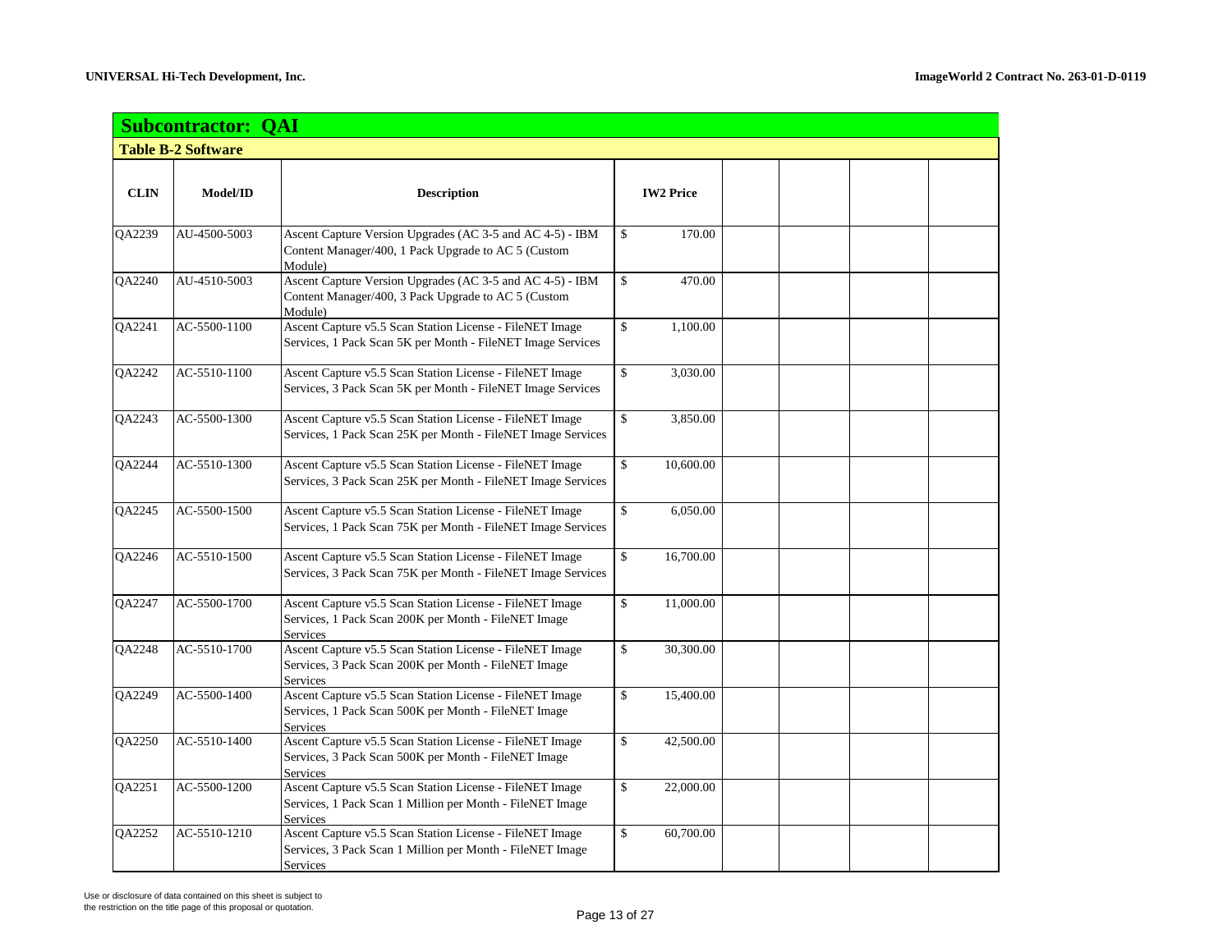|               | <b>Subcontractor: QAI</b> |                                                                                                                                     |                              |  |  |
|---------------|---------------------------|-------------------------------------------------------------------------------------------------------------------------------------|------------------------------|--|--|
|               | <b>Table B-2 Software</b> |                                                                                                                                     |                              |  |  |
|               |                           |                                                                                                                                     |                              |  |  |
| <b>CLIN</b>   | Model/ID                  | <b>Description</b>                                                                                                                  | <b>IW2 Price</b>             |  |  |
| QA2239        | AU-4500-5003              | Ascent Capture Version Upgrades (AC 3-5 and AC 4-5) - IBM<br>Content Manager/400, 1 Pack Upgrade to AC 5 (Custom<br>Module)         | \$<br>170.00                 |  |  |
| QA2240        | AU-4510-5003              | Ascent Capture Version Upgrades (AC 3-5 and AC 4-5) - IBM<br>Content Manager/400, 3 Pack Upgrade to AC 5 (Custom<br>Module)         | \$<br>470.00                 |  |  |
| QA2241        | AC-5500-1100              | Ascent Capture v5.5 Scan Station License - FileNET Image<br>Services, 1 Pack Scan 5K per Month - FileNET Image Services             | \$<br>1,100.00               |  |  |
| QA2242        | AC-5510-1100              | Ascent Capture v5.5 Scan Station License - FileNET Image<br>Services, 3 Pack Scan 5K per Month - FileNET Image Services             | \$<br>3,030.00               |  |  |
| QA2243        | AC-5500-1300              | Ascent Capture v5.5 Scan Station License - FileNET Image<br>Services, 1 Pack Scan 25K per Month - FileNET Image Services            | \$<br>3,850.00               |  |  |
| QA2244        | AC-5510-1300              | Ascent Capture v5.5 Scan Station License - FileNET Image<br>Services, 3 Pack Scan 25K per Month - FileNET Image Services            | \$<br>10,600.00              |  |  |
| QA2245        | AC-5500-1500              | Ascent Capture v5.5 Scan Station License - FileNET Image<br>Services, 1 Pack Scan 75K per Month - FileNET Image Services            | \$<br>6,050.00               |  |  |
| QA2246        | AC-5510-1500              | Ascent Capture v5.5 Scan Station License - FileNET Image<br>Services, 3 Pack Scan 75K per Month - FileNET Image Services            | $\overline{\$}$<br>16,700.00 |  |  |
| QA2247        | AC-5500-1700              | Ascent Capture v5.5 Scan Station License - FileNET Image<br>Services, 1 Pack Scan 200K per Month - FileNET Image<br><b>Services</b> | \$<br>11,000.00              |  |  |
| QA2248        | AC-5510-1700              | Ascent Capture v5.5 Scan Station License - FileNET Image<br>Services, 3 Pack Scan 200K per Month - FileNET Image<br><b>Services</b> | \$<br>30,300.00              |  |  |
| QA2249        | AC-5500-1400              | Ascent Capture v5.5 Scan Station License - FileNET Image<br>Services, 1 Pack Scan 500K per Month - FileNET Image<br><b>Services</b> | \$<br>15,400.00              |  |  |
| QA2250        | AC-5510-1400              | Ascent Capture v5.5 Scan Station License - FileNET Image<br>Services, 3 Pack Scan 500K per Month - FileNET Image<br><b>Services</b> | \$<br>42,500.00              |  |  |
| QA2251        | AC-5500-1200              | Ascent Capture v5.5 Scan Station License - FileNET Image<br>Services, 1 Pack Scan 1 Million per Month - FileNET Image<br>Services   | \$<br>22,000.00              |  |  |
| <b>OA2252</b> | AC-5510-1210              | Ascent Capture v5.5 Scan Station License - FileNET Image<br>Services, 3 Pack Scan 1 Million per Month - FileNET Image<br>Services   | \$<br>60,700.00              |  |  |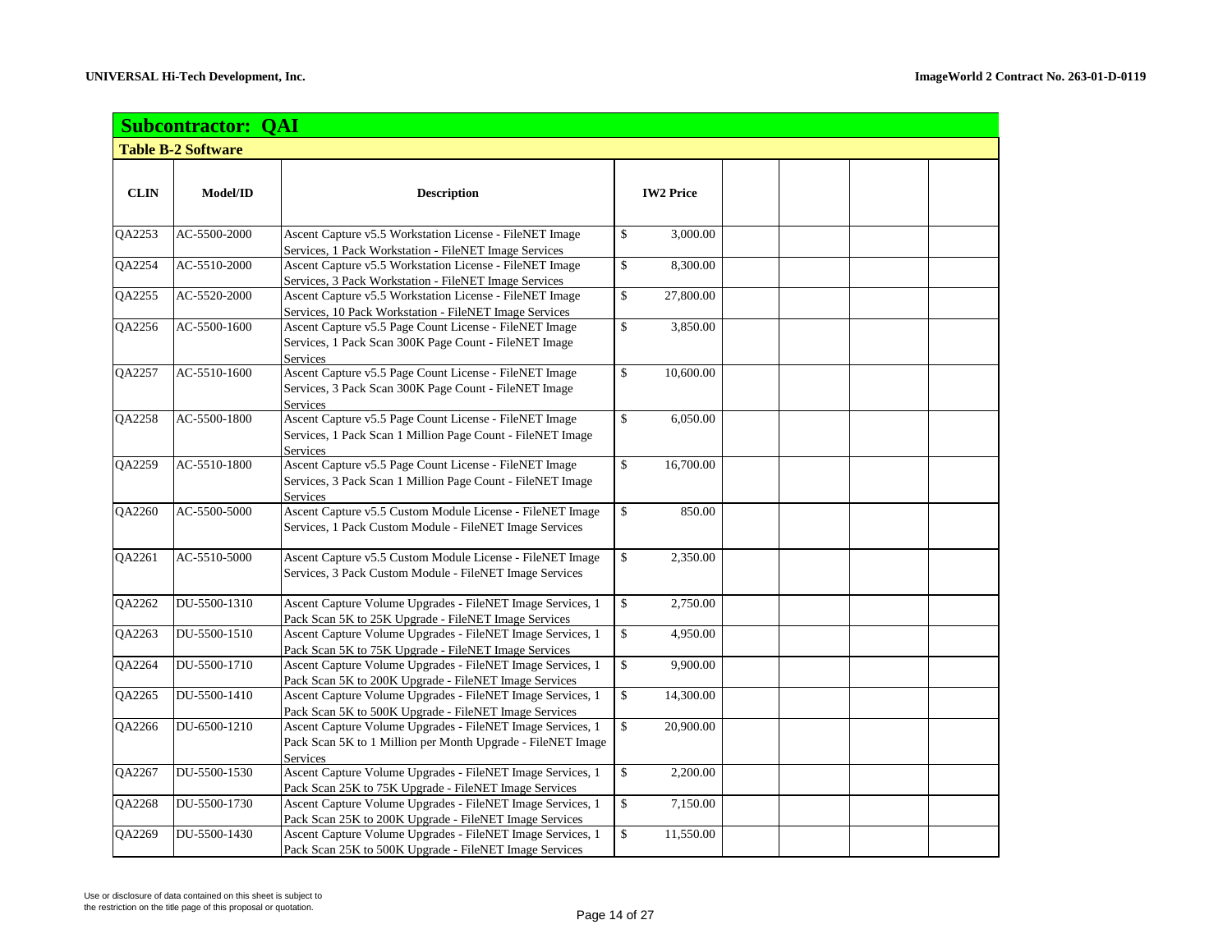|               | <b>Subcontractor: QAI</b> |                                                             |                  |  |  |
|---------------|---------------------------|-------------------------------------------------------------|------------------|--|--|
|               | <b>Table B-2 Software</b> |                                                             |                  |  |  |
|               |                           |                                                             |                  |  |  |
| <b>CLIN</b>   | Model/ID                  | <b>Description</b>                                          | <b>IW2 Price</b> |  |  |
|               |                           |                                                             |                  |  |  |
| QA2253        | AC-5500-2000              | Ascent Capture v5.5 Workstation License - FileNET Image     | \$<br>3,000.00   |  |  |
|               |                           | Services, 1 Pack Workstation - FileNET Image Services       |                  |  |  |
| QA2254        | AC-5510-2000              | Ascent Capture v5.5 Workstation License - FileNET Image     | \$<br>8,300.00   |  |  |
|               |                           | Services, 3 Pack Workstation - FileNET Image Services       |                  |  |  |
| QA2255        | AC-5520-2000              | Ascent Capture v5.5 Workstation License - FileNET Image     | \$<br>27,800.00  |  |  |
|               |                           | Services, 10 Pack Workstation - FileNET Image Services      |                  |  |  |
| QA2256        | AC-5500-1600              | Ascent Capture v5.5 Page Count License - FileNET Image      | \$<br>3,850.00   |  |  |
|               |                           | Services, 1 Pack Scan 300K Page Count - FileNET Image       |                  |  |  |
|               |                           | <b>Services</b>                                             |                  |  |  |
| QA2257        | AC-5510-1600              | Ascent Capture v5.5 Page Count License - FileNET Image      | \$<br>10,600.00  |  |  |
|               |                           | Services, 3 Pack Scan 300K Page Count - FileNET Image       |                  |  |  |
|               |                           | Services                                                    |                  |  |  |
| <b>OA2258</b> | AC-5500-1800              | Ascent Capture v5.5 Page Count License - FileNET Image      | \$<br>6,050.00   |  |  |
|               |                           | Services, 1 Pack Scan 1 Million Page Count - FileNET Image  |                  |  |  |
|               |                           | Services                                                    |                  |  |  |
| QA2259        | AC-5510-1800              | Ascent Capture v5.5 Page Count License - FileNET Image      | \$<br>16,700.00  |  |  |
|               |                           | Services, 3 Pack Scan 1 Million Page Count - FileNET Image  |                  |  |  |
|               |                           | <b>Services</b>                                             |                  |  |  |
| QA2260        | AC-5500-5000              | Ascent Capture v5.5 Custom Module License - FileNET Image   | \$<br>850.00     |  |  |
|               |                           | Services, 1 Pack Custom Module - FileNET Image Services     |                  |  |  |
| QA2261        | AC-5510-5000              | Ascent Capture v5.5 Custom Module License - FileNET Image   | \$<br>2,350.00   |  |  |
|               |                           | Services, 3 Pack Custom Module - FileNET Image Services     |                  |  |  |
|               |                           |                                                             |                  |  |  |
| QA2262        | DU-5500-1310              | Ascent Capture Volume Upgrades - FileNET Image Services, 1  | \$<br>2,750.00   |  |  |
|               |                           | Pack Scan 5K to 25K Upgrade - FileNET Image Services        |                  |  |  |
| QA2263        | DU-5500-1510              | Ascent Capture Volume Upgrades - FileNET Image Services, 1  | \$<br>4,950.00   |  |  |
|               |                           | Pack Scan 5K to 75K Upgrade - FileNET Image Services        |                  |  |  |
| QA2264        | DU-5500-1710              | Ascent Capture Volume Upgrades - FileNET Image Services, 1  | \$<br>9,900.00   |  |  |
|               |                           | Pack Scan 5K to 200K Upgrade - FileNET Image Services       |                  |  |  |
| QA2265        | DU-5500-1410              | Ascent Capture Volume Upgrades - FileNET Image Services, 1  | \$<br>14,300.00  |  |  |
|               |                           | Pack Scan 5K to 500K Upgrade - FileNET Image Services       |                  |  |  |
| QA2266        | DU-6500-1210              | Ascent Capture Volume Upgrades - FileNET Image Services, 1  | \$<br>20,900.00  |  |  |
|               |                           | Pack Scan 5K to 1 Million per Month Upgrade - FileNET Image |                  |  |  |
|               |                           | <b>Services</b>                                             |                  |  |  |
| QA2267        | DU-5500-1530              | Ascent Capture Volume Upgrades - FileNET Image Services, 1  | \$<br>2,200.00   |  |  |
|               |                           | Pack Scan 25K to 75K Upgrade - FileNET Image Services       |                  |  |  |
| QA2268        | DU-5500-1730              | Ascent Capture Volume Upgrades - FileNET Image Services, 1  | \$<br>7,150.00   |  |  |
|               |                           | Pack Scan 25K to 200K Upgrade - FileNET Image Services      |                  |  |  |
| QA2269        | DU-5500-1430              | Ascent Capture Volume Upgrades - FileNET Image Services, 1  | \$<br>11,550.00  |  |  |
|               |                           | Pack Scan 25K to 500K Upgrade - FileNET Image Services      |                  |  |  |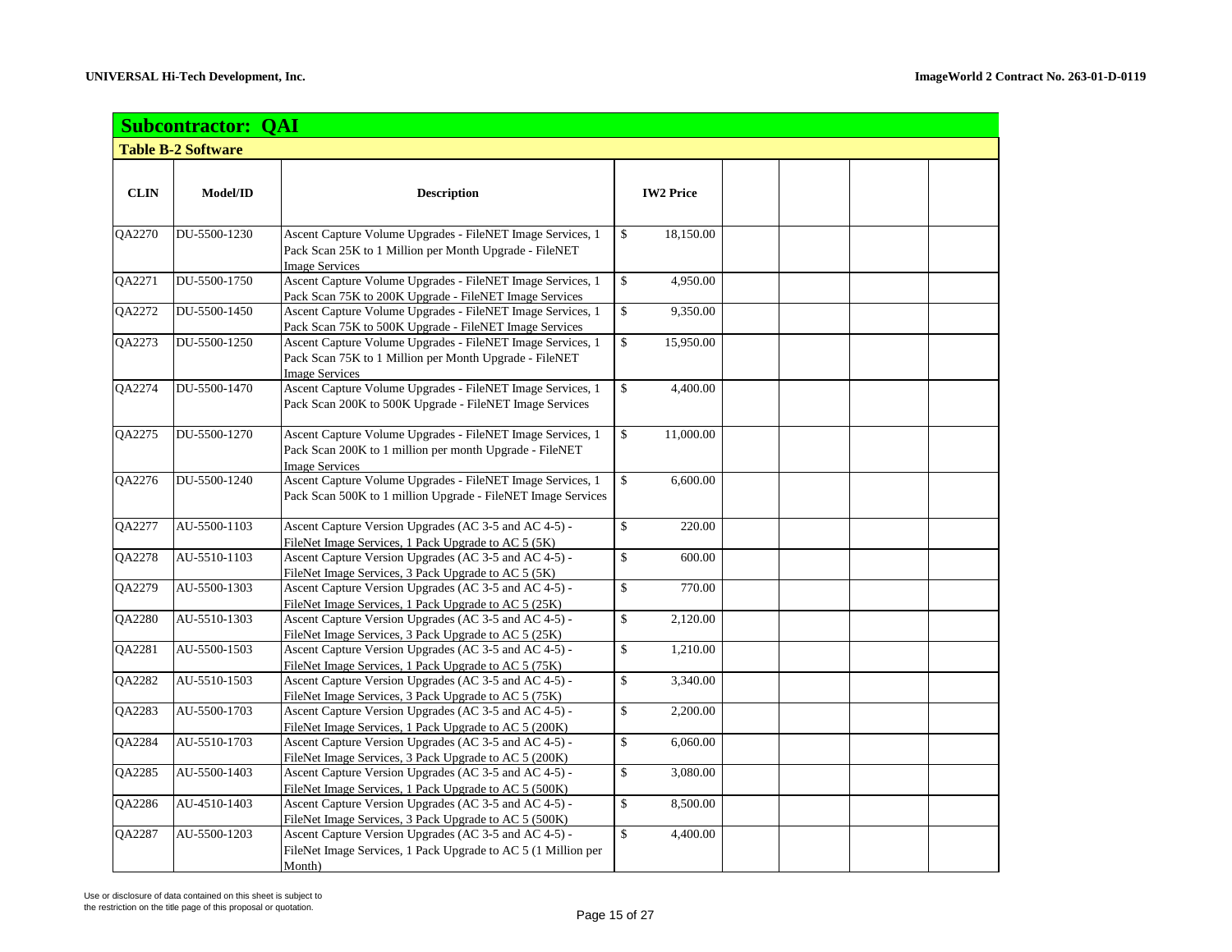|             | <b>Subcontractor: QAI</b> |                                                                                                                                                |                          |  |
|-------------|---------------------------|------------------------------------------------------------------------------------------------------------------------------------------------|--------------------------|--|
|             | <b>Table B-2 Software</b> |                                                                                                                                                |                          |  |
|             |                           |                                                                                                                                                |                          |  |
| <b>CLIN</b> | Model/ID                  | <b>Description</b>                                                                                                                             | <b>IW2 Price</b>         |  |
|             |                           |                                                                                                                                                |                          |  |
| QA2270      | DU-5500-1230              | Ascent Capture Volume Upgrades - FileNET Image Services, 1<br>Pack Scan 25K to 1 Million per Month Upgrade - FileNET<br><b>Image Services</b>  | \$<br>18,150.00          |  |
| QA2271      | DU-5500-1750              | Ascent Capture Volume Upgrades - FileNET Image Services, 1<br>Pack Scan 75K to 200K Upgrade - FileNET Image Services                           | \$<br>4,950.00           |  |
| QA2272      | DU-5500-1450              | Ascent Capture Volume Upgrades - FileNET Image Services, 1<br>Pack Scan 75K to 500K Upgrade - FileNET Image Services                           | $\mathbb{S}$<br>9,350.00 |  |
| QA2273      | DU-5500-1250              | Ascent Capture Volume Upgrades - FileNET Image Services, 1<br>Pack Scan 75K to 1 Million per Month Upgrade - FileNET<br><b>Image Services</b>  | \$<br>15,950.00          |  |
| QA2274      | DU-5500-1470              | Ascent Capture Volume Upgrades - FileNET Image Services, 1<br>Pack Scan 200K to 500K Upgrade - FileNET Image Services                          | \$<br>4,400.00           |  |
| QA2275      | DU-5500-1270              | Ascent Capture Volume Upgrades - FileNET Image Services, 1<br>Pack Scan 200K to 1 million per month Upgrade - FileNET<br><b>Image Services</b> | \$<br>11,000.00          |  |
| QA2276      | DU-5500-1240              | Ascent Capture Volume Upgrades - FileNET Image Services, 1<br>Pack Scan 500K to 1 million Upgrade - FileNET Image Services                     | \$<br>6,600.00           |  |
| QA2277      | AU-5500-1103              | Ascent Capture Version Upgrades (AC 3-5 and AC 4-5) -<br>FileNet Image Services, 1 Pack Upgrade to AC 5 (5K)                                   | \$<br>220.00             |  |
| QA2278      | AU-5510-1103              | Ascent Capture Version Upgrades (AC 3-5 and AC 4-5) -<br>FileNet Image Services, 3 Pack Upgrade to AC 5 (5K)                                   | \$<br>600.00             |  |
| QA2279      | AU-5500-1303              | Ascent Capture Version Upgrades (AC 3-5 and AC 4-5) -<br>FileNet Image Services, 1 Pack Upgrade to AC 5 (25K)                                  | \$<br>770.00             |  |
| QA2280      | AU-5510-1303              | Ascent Capture Version Upgrades (AC 3-5 and AC 4-5) -<br>FileNet Image Services, 3 Pack Upgrade to AC 5 (25K)                                  | \$<br>2,120.00           |  |
| QA2281      | AU-5500-1503              | Ascent Capture Version Upgrades (AC 3-5 and AC 4-5) -<br>FileNet Image Services, 1 Pack Upgrade to AC 5 (75K)                                  | \$<br>1,210.00           |  |
| QA2282      | AU-5510-1503              | Ascent Capture Version Upgrades (AC 3-5 and AC 4-5) -<br>FileNet Image Services, 3 Pack Upgrade to AC 5 (75K)                                  | \$<br>3,340.00           |  |
| QA2283      | AU-5500-1703              | Ascent Capture Version Upgrades (AC 3-5 and AC 4-5) -<br>FileNet Image Services, 1 Pack Upgrade to AC 5 (200K)                                 | \$<br>2,200.00           |  |
| QA2284      | AU-5510-1703              | Ascent Capture Version Upgrades (AC 3-5 and AC 4-5) -<br>FileNet Image Services, 3 Pack Upgrade to AC 5 (200K)                                 | \$<br>6,060.00           |  |
| QA2285      | AU-5500-1403              | Ascent Capture Version Upgrades (AC 3-5 and AC 4-5) -<br>FileNet Image Services, 1 Pack Upgrade to AC 5 (500K)                                 | \$<br>3,080.00           |  |
| QA2286      | AU-4510-1403              | Ascent Capture Version Upgrades (AC 3-5 and AC 4-5) -<br>FileNet Image Services, 3 Pack Upgrade to AC 5 (500K)                                 | \$<br>8,500.00           |  |
| QA2287      | AU-5500-1203              | Ascent Capture Version Upgrades (AC 3-5 and AC 4-5) -<br>FileNet Image Services, 1 Pack Upgrade to AC 5 (1 Million per<br>Month)               | \$<br>4,400.00           |  |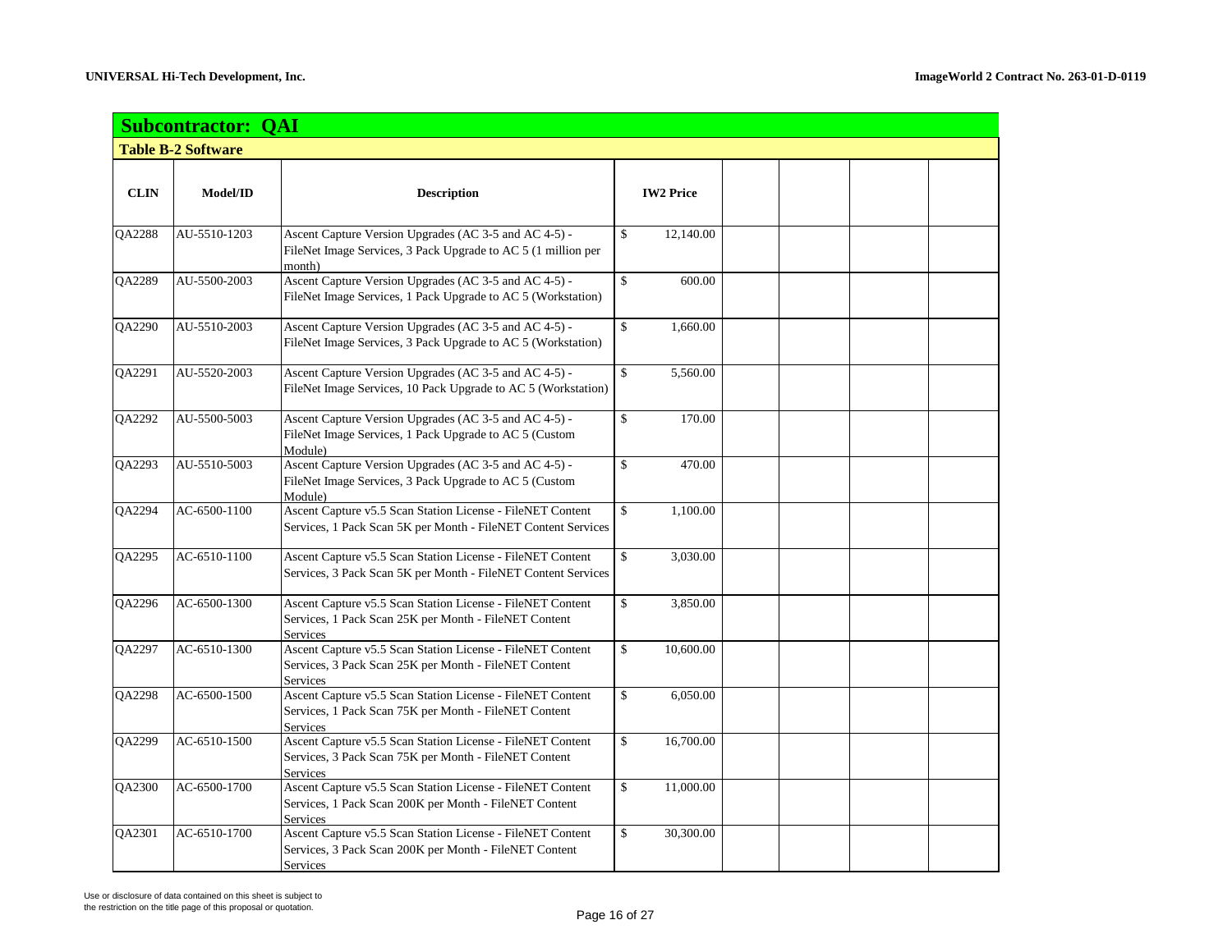|             | <b>Subcontractor: QAI</b> |                                                                                                                                        |                                       |  |  |
|-------------|---------------------------|----------------------------------------------------------------------------------------------------------------------------------------|---------------------------------------|--|--|
|             | <b>Table B-2 Software</b> |                                                                                                                                        |                                       |  |  |
|             |                           |                                                                                                                                        |                                       |  |  |
| <b>CLIN</b> | Model/ID                  | <b>Description</b>                                                                                                                     | <b>IW2 Price</b>                      |  |  |
| QA2288      | AU-5510-1203              | Ascent Capture Version Upgrades (AC 3-5 and AC 4-5) -<br>FileNet Image Services, 3 Pack Upgrade to AC 5 (1 million per<br>month)       | \$<br>12,140.00                       |  |  |
| QA2289      | AU-5500-2003              | Ascent Capture Version Upgrades (AC 3-5 and AC 4-5) -<br>FileNet Image Services, 1 Pack Upgrade to AC 5 (Workstation)                  | $\mathsf{\$}$<br>600.00               |  |  |
| QA2290      | AU-5510-2003              | Ascent Capture Version Upgrades (AC 3-5 and AC 4-5) -<br>FileNet Image Services, 3 Pack Upgrade to AC 5 (Workstation)                  | \$<br>1,660.00                        |  |  |
| QA2291      | AU-5520-2003              | Ascent Capture Version Upgrades (AC 3-5 and AC 4-5) -<br>FileNet Image Services, 10 Pack Upgrade to AC 5 (Workstation)                 | $\mathsf{\$}$<br>5,560.00             |  |  |
| QA2292      | AU-5500-5003              | Ascent Capture Version Upgrades (AC 3-5 and AC 4-5) -<br>FileNet Image Services, 1 Pack Upgrade to AC 5 (Custom<br>Module)             | \$<br>170.00                          |  |  |
| QA2293      | AU-5510-5003              | Ascent Capture Version Upgrades (AC 3-5 and AC 4-5) -<br>FileNet Image Services, 3 Pack Upgrade to AC 5 (Custom<br>Module)             | \$<br>470.00                          |  |  |
| QA2294      | AC-6500-1100              | Ascent Capture v5.5 Scan Station License - FileNET Content<br>Services, 1 Pack Scan 5K per Month - FileNET Content Services            | \$<br>1,100.00                        |  |  |
| QA2295      | AC-6510-1100              | Ascent Capture v5.5 Scan Station License - FileNET Content<br>Services, 3 Pack Scan 5K per Month - FileNET Content Services            | $\overline{\mathcal{L}}$<br>3,030.00  |  |  |
| QA2296      | AC-6500-1300              | Ascent Capture v5.5 Scan Station License - FileNET Content<br>Services, 1 Pack Scan 25K per Month - FileNET Content<br><b>Services</b> | \$<br>3,850.00                        |  |  |
| QA2297      | AC-6510-1300              | Ascent Capture v5.5 Scan Station License - FileNET Content<br>Services, 3 Pack Scan 25K per Month - FileNET Content<br><b>Services</b> | \$<br>10,600.00                       |  |  |
| QA2298      | AC-6500-1500              | Ascent Capture v5.5 Scan Station License - FileNET Content<br>Services, 1 Pack Scan 75K per Month - FileNET Content<br><b>Services</b> | \$<br>6,050.00                        |  |  |
| QA2299      | AC-6510-1500              | Ascent Capture v5.5 Scan Station License - FileNET Content<br>Services, 3 Pack Scan 75K per Month - FileNET Content<br><b>Services</b> | $\overline{\mathcal{L}}$<br>16,700.00 |  |  |
| QA2300      | AC-6500-1700              | Ascent Capture v5.5 Scan Station License - FileNET Content<br>Services, 1 Pack Scan 200K per Month - FileNET Content<br>Services       | \$<br>11,000.00                       |  |  |
| QA2301      | AC-6510-1700              | Ascent Capture v5.5 Scan Station License - FileNET Content<br>Services, 3 Pack Scan 200K per Month - FileNET Content<br>Services       | \$<br>30,300.00                       |  |  |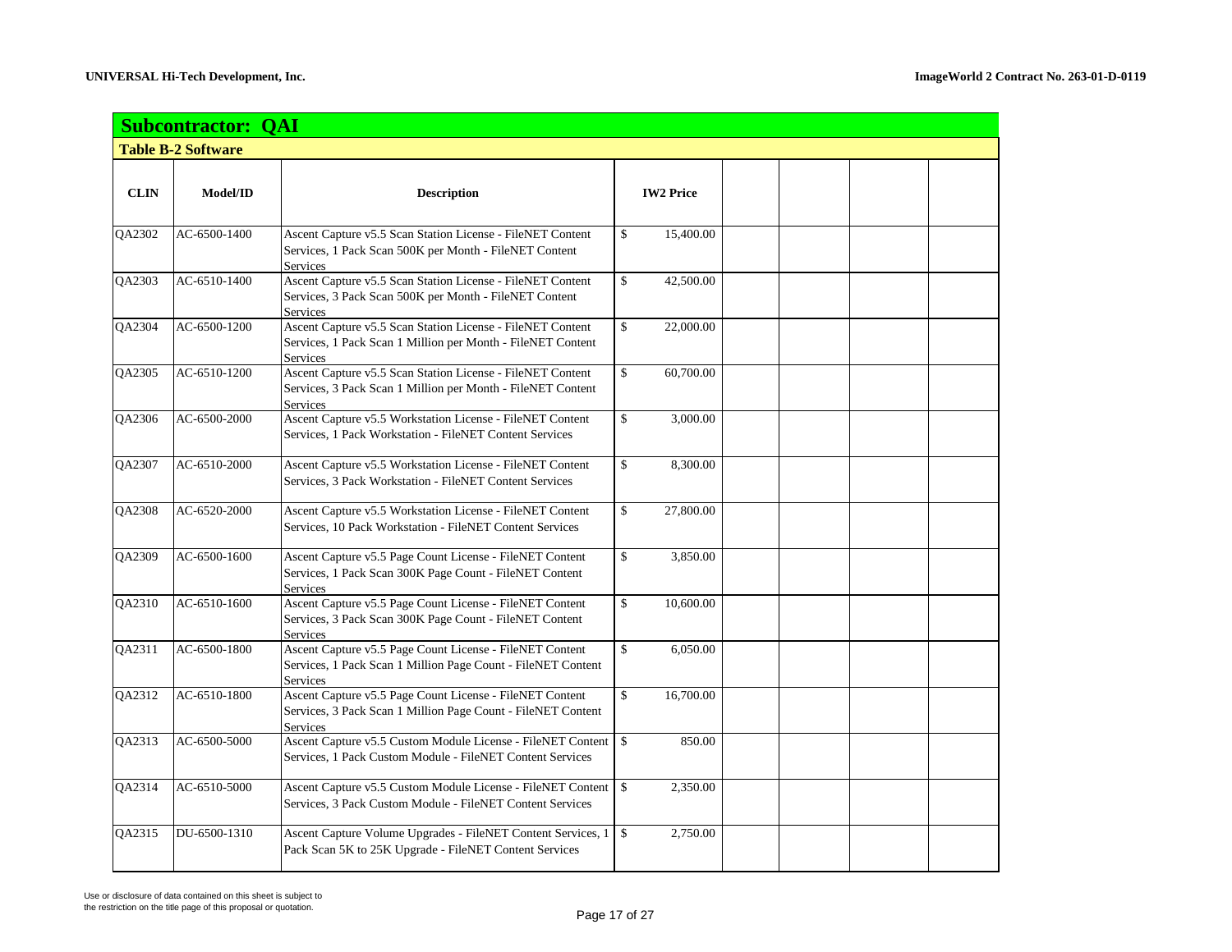|             | <b>Subcontractor: QAI</b> |                                                                                                                                             |                          |  |  |
|-------------|---------------------------|---------------------------------------------------------------------------------------------------------------------------------------------|--------------------------|--|--|
|             | <b>Table B-2 Software</b> |                                                                                                                                             |                          |  |  |
| <b>CLIN</b> | Model/ID                  | <b>Description</b>                                                                                                                          | <b>IW2 Price</b>         |  |  |
| QA2302      | AC-6500-1400              | Ascent Capture v5.5 Scan Station License - FileNET Content<br>Services, 1 Pack Scan 500K per Month - FileNET Content<br>Services            | \$<br>15,400.00          |  |  |
| QA2303      | AC-6510-1400              | Ascent Capture v5.5 Scan Station License - FileNET Content<br>Services, 3 Pack Scan 500K per Month - FileNET Content<br>Services            | \$<br>42,500.00          |  |  |
| QA2304      | AC-6500-1200              | Ascent Capture v5.5 Scan Station License - FileNET Content<br>Services, 1 Pack Scan 1 Million per Month - FileNET Content<br>Services       | \$<br>22,000.00          |  |  |
| QA2305      | AC-6510-1200              | Ascent Capture v5.5 Scan Station License - FileNET Content<br>Services, 3 Pack Scan 1 Million per Month - FileNET Content<br>Services       | \$<br>60,700.00          |  |  |
| QA2306      | AC-6500-2000              | Ascent Capture v5.5 Workstation License - FileNET Content<br>Services, 1 Pack Workstation - FileNET Content Services                        | \$<br>3,000.00           |  |  |
| QA2307      | AC-6510-2000              | Ascent Capture v5.5 Workstation License - FileNET Content<br>Services, 3 Pack Workstation - FileNET Content Services                        | \$<br>8,300.00           |  |  |
| QA2308      | AC-6520-2000              | Ascent Capture v5.5 Workstation License - FileNET Content<br>Services, 10 Pack Workstation - FileNET Content Services                       | \$<br>27,800.00          |  |  |
| QA2309      | AC-6500-1600              | Ascent Capture v5.5 Page Count License - FileNET Content<br>Services, 1 Pack Scan 300K Page Count - FileNET Content<br><b>Services</b>      | \$<br>3,850.00           |  |  |
| QA2310      | AC-6510-1600              | Ascent Capture v5.5 Page Count License - FileNET Content<br>Services, 3 Pack Scan 300K Page Count - FileNET Content<br><b>Services</b>      | \$<br>10,600.00          |  |  |
| QA2311      | AC-6500-1800              | Ascent Capture v5.5 Page Count License - FileNET Content<br>Services, 1 Pack Scan 1 Million Page Count - FileNET Content<br>Services        | \$<br>6,050.00           |  |  |
| QA2312      | AC-6510-1800              | Ascent Capture v5.5 Page Count License - FileNET Content<br>Services, 3 Pack Scan 1 Million Page Count - FileNET Content<br><b>Services</b> | \$<br>16,700.00          |  |  |
| QA2313      | AC-6500-5000              | Ascent Capture v5.5 Custom Module License - FileNET Content<br>Services, 1 Pack Custom Module - FileNET Content Services                    | \$<br>850.00             |  |  |
| QA2314      | AC-6510-5000              | Ascent Capture v5.5 Custom Module License - FileNET Content<br>Services, 3 Pack Custom Module - FileNET Content Services                    | $\mathbb{S}$<br>2,350.00 |  |  |
| QA2315      | DU-6500-1310              | Ascent Capture Volume Upgrades - FileNET Content Services, 1   \$<br>Pack Scan 5K to 25K Upgrade - FileNET Content Services                 | 2,750.00                 |  |  |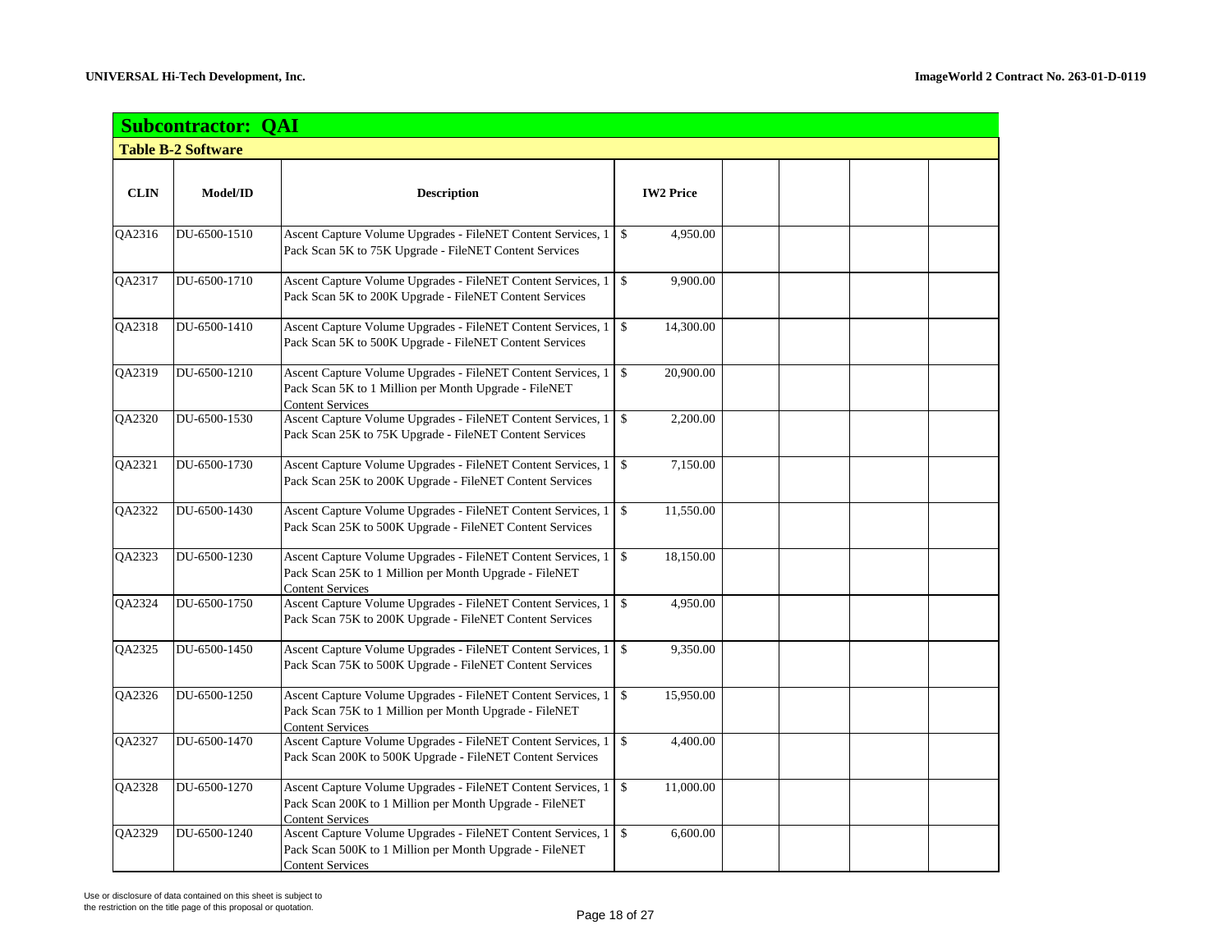|             | <b>Subcontractor: QAI</b> |                                                                                                                                                    |                           |  |  |
|-------------|---------------------------|----------------------------------------------------------------------------------------------------------------------------------------------------|---------------------------|--|--|
|             | <b>Table B-2 Software</b> |                                                                                                                                                    |                           |  |  |
| <b>CLIN</b> | Model/ID                  | <b>Description</b>                                                                                                                                 | <b>IW2 Price</b>          |  |  |
| QA2316      | DU-6500-1510              | Ascent Capture Volume Upgrades - FileNET Content Services, 1<br>Pack Scan 5K to 75K Upgrade - FileNET Content Services                             | \$<br>4,950.00            |  |  |
| QA2317      | DU-6500-1710              | Ascent Capture Volume Upgrades - FileNET Content Services, 1<br>Pack Scan 5K to 200K Upgrade - FileNET Content Services                            | \$<br>9,900.00            |  |  |
| QA2318      | DU-6500-1410              | Ascent Capture Volume Upgrades - FileNET Content Services, 1<br>Pack Scan 5K to 500K Upgrade - FileNET Content Services                            | 14,300.00<br>\$           |  |  |
| QA2319      | DU-6500-1210              | Ascent Capture Volume Upgrades - FileNET Content Services, 1<br>Pack Scan 5K to 1 Million per Month Upgrade - FileNET<br><b>Content Services</b>   | $\mathbb{S}$<br>20,900.00 |  |  |
| QA2320      | DU-6500-1530              | Ascent Capture Volume Upgrades - FileNET Content Services, 1<br>Pack Scan 25K to 75K Upgrade - FileNET Content Services                            | \$<br>2,200.00            |  |  |
| QA2321      | DU-6500-1730              | Ascent Capture Volume Upgrades - FileNET Content Services, 1<br>Pack Scan 25K to 200K Upgrade - FileNET Content Services                           | \$<br>7,150.00            |  |  |
| QA2322      | DU-6500-1430              | Ascent Capture Volume Upgrades - FileNET Content Services, 1<br>Pack Scan 25K to 500K Upgrade - FileNET Content Services                           | \$<br>11,550.00           |  |  |
| QA2323      | DU-6500-1230              | Ascent Capture Volume Upgrades - FileNET Content Services, 1<br>Pack Scan 25K to 1 Million per Month Upgrade - FileNET<br><b>Content Services</b>  | \$<br>18,150.00           |  |  |
| QA2324      | DU-6500-1750              | Ascent Capture Volume Upgrades - FileNET Content Services, 1<br>Pack Scan 75K to 200K Upgrade - FileNET Content Services                           | \$<br>4,950.00            |  |  |
| QA2325      | DU-6500-1450              | Ascent Capture Volume Upgrades - FileNET Content Services, 1<br>Pack Scan 75K to 500K Upgrade - FileNET Content Services                           | \$<br>9,350.00            |  |  |
| QA2326      | DU-6500-1250              | Ascent Capture Volume Upgrades - FileNET Content Services, 1<br>Pack Scan 75K to 1 Million per Month Upgrade - FileNET<br><b>Content Services</b>  | \$<br>15,950.00           |  |  |
| QA2327      | DU-6500-1470              | Ascent Capture Volume Upgrades - FileNET Content Services, 1<br>Pack Scan 200K to 500K Upgrade - FileNET Content Services                          | \$<br>4,400.00            |  |  |
| QA2328      | DU-6500-1270              | Ascent Capture Volume Upgrades - FileNET Content Services, 1<br>Pack Scan 200K to 1 Million per Month Upgrade - FileNET<br><b>Content Services</b> | $\mathbb{S}$<br>11,000.00 |  |  |
| QA2329      | DU-6500-1240              | Ascent Capture Volume Upgrades - FileNET Content Services, 1<br>Pack Scan 500K to 1 Million per Month Upgrade - FileNET<br><b>Content Services</b> | \$<br>6,600.00            |  |  |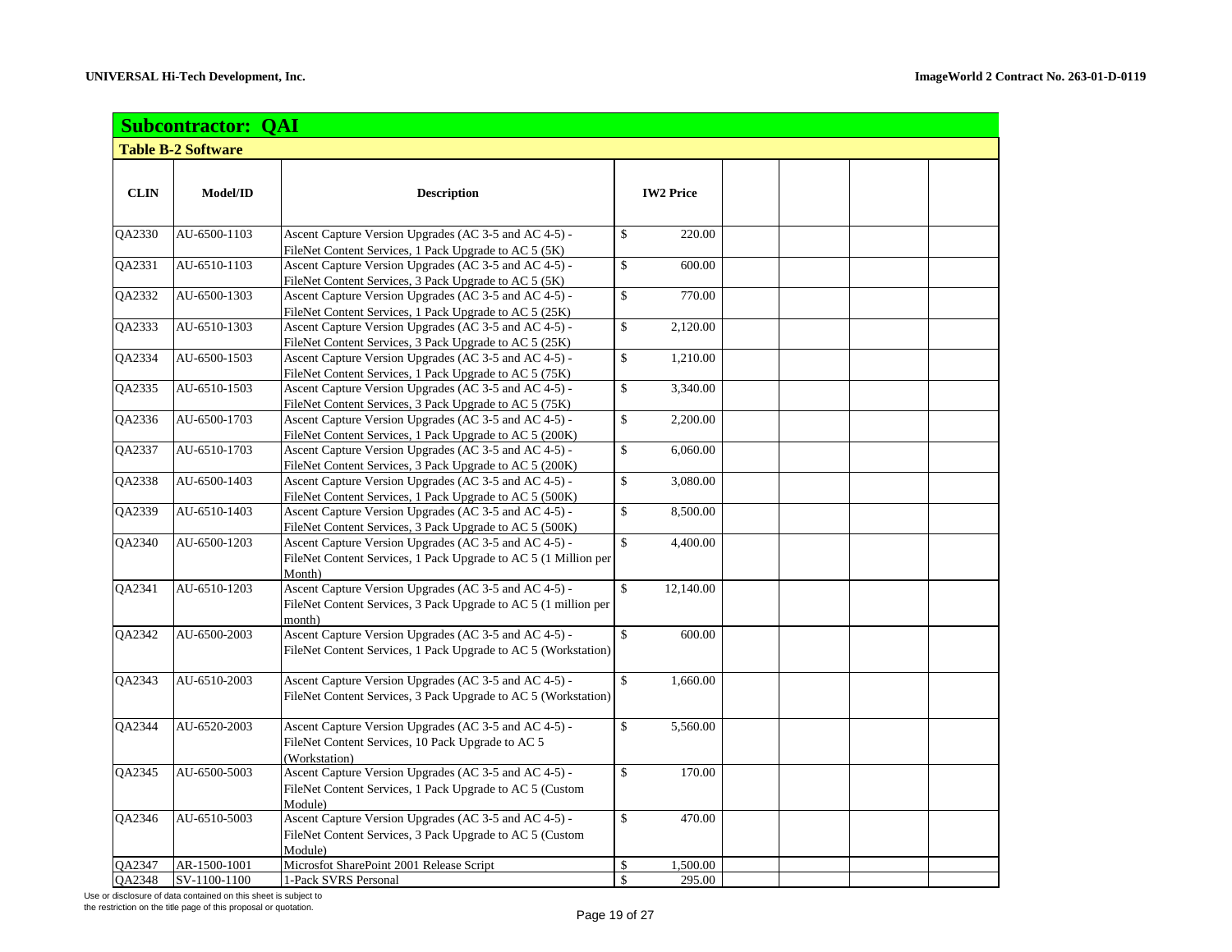| <b>Subcontractor: QAI</b> |                           |                                                                                                                  |              |                  |  |  |  |  |  |
|---------------------------|---------------------------|------------------------------------------------------------------------------------------------------------------|--------------|------------------|--|--|--|--|--|
|                           | <b>Table B-2 Software</b> |                                                                                                                  |              |                  |  |  |  |  |  |
|                           |                           |                                                                                                                  |              |                  |  |  |  |  |  |
| <b>CLIN</b>               | Model/ID                  | <b>Description</b>                                                                                               |              | <b>IW2 Price</b> |  |  |  |  |  |
| QA2330                    | AU-6500-1103              | Ascent Capture Version Upgrades (AC 3-5 and AC 4-5) -                                                            | \$           | 220.00           |  |  |  |  |  |
|                           |                           | FileNet Content Services, 1 Pack Upgrade to AC 5 (5K)                                                            |              |                  |  |  |  |  |  |
| QA2331                    | AU-6510-1103              | Ascent Capture Version Upgrades (AC 3-5 and AC 4-5) -                                                            | \$           | 600.00           |  |  |  |  |  |
|                           |                           | FileNet Content Services, 3 Pack Upgrade to AC 5 (5K)                                                            |              |                  |  |  |  |  |  |
| QA2332                    | AU-6500-1303              | Ascent Capture Version Upgrades (AC 3-5 and AC 4-5) -                                                            | \$           | 770.00           |  |  |  |  |  |
|                           |                           | FileNet Content Services, 1 Pack Upgrade to AC 5 (25K)                                                           |              |                  |  |  |  |  |  |
| QA2333                    | AU-6510-1303              | Ascent Capture Version Upgrades (AC 3-5 and AC 4-5) -                                                            | \$           | 2,120.00         |  |  |  |  |  |
|                           |                           | FileNet Content Services, 3 Pack Upgrade to AC 5 (25K)                                                           |              |                  |  |  |  |  |  |
| QA2334                    | AU-6500-1503              | Ascent Capture Version Upgrades (AC 3-5 and AC 4-5) -                                                            | \$           | 1,210.00         |  |  |  |  |  |
|                           |                           | FileNet Content Services, 1 Pack Upgrade to AC 5 (75K)                                                           |              |                  |  |  |  |  |  |
| QA2335                    | AU-6510-1503              | Ascent Capture Version Upgrades (AC 3-5 and AC 4-5) -                                                            | \$           | 3,340.00         |  |  |  |  |  |
|                           |                           | FileNet Content Services, 3 Pack Upgrade to AC 5 (75K)                                                           |              |                  |  |  |  |  |  |
| QA2336                    | AU-6500-1703              | Ascent Capture Version Upgrades (AC 3-5 and AC 4-5) -                                                            | \$           | 2,200.00         |  |  |  |  |  |
|                           |                           | FileNet Content Services, 1 Pack Upgrade to AC 5 (200K)                                                          |              |                  |  |  |  |  |  |
| QA2337                    | AU-6510-1703              | Ascent Capture Version Upgrades (AC 3-5 and AC 4-5) -                                                            | \$           | 6,060.00         |  |  |  |  |  |
| QA2338                    | AU-6500-1403              | FileNet Content Services, 3 Pack Upgrade to AC 5 (200K)<br>Ascent Capture Version Upgrades (AC 3-5 and AC 4-5) - | \$           | 3.080.00         |  |  |  |  |  |
|                           |                           | FileNet Content Services, 1 Pack Upgrade to AC 5 (500K)                                                          |              |                  |  |  |  |  |  |
| QA2339                    | AU-6510-1403              | Ascent Capture Version Upgrades (AC 3-5 and AC 4-5) -                                                            | \$           | 8,500.00         |  |  |  |  |  |
|                           |                           | FileNet Content Services, 3 Pack Upgrade to AC 5 (500K)                                                          |              |                  |  |  |  |  |  |
| QA2340                    | AU-6500-1203              | Ascent Capture Version Upgrades (AC 3-5 and AC 4-5) -                                                            | \$           | 4,400.00         |  |  |  |  |  |
|                           |                           | FileNet Content Services, 1 Pack Upgrade to AC 5 (1 Million per                                                  |              |                  |  |  |  |  |  |
|                           |                           | Month)                                                                                                           |              |                  |  |  |  |  |  |
| QA2341                    | AU-6510-1203              | Ascent Capture Version Upgrades (AC 3-5 and AC 4-5) -                                                            | $\mathbb{S}$ | 12,140.00        |  |  |  |  |  |
|                           |                           | FileNet Content Services, 3 Pack Upgrade to AC 5 (1 million per                                                  |              |                  |  |  |  |  |  |
|                           |                           | month)                                                                                                           |              |                  |  |  |  |  |  |
| QA2342                    | AU-6500-2003              | Ascent Capture Version Upgrades (AC 3-5 and AC 4-5) -                                                            | \$           | 600.00           |  |  |  |  |  |
|                           |                           | FileNet Content Services, 1 Pack Upgrade to AC 5 (Workstation)                                                   |              |                  |  |  |  |  |  |
|                           |                           |                                                                                                                  |              |                  |  |  |  |  |  |
| <b>OA2343</b>             | AU-6510-2003              | Ascent Capture Version Upgrades (AC 3-5 and AC 4-5) -                                                            | \$           | 1,660.00         |  |  |  |  |  |
|                           |                           | FileNet Content Services, 3 Pack Upgrade to AC 5 (Workstation)                                                   |              |                  |  |  |  |  |  |
|                           |                           |                                                                                                                  |              |                  |  |  |  |  |  |
| QA2344                    | AU-6520-2003              | Ascent Capture Version Upgrades (AC 3-5 and AC 4-5) -                                                            | \$           | 5,560.00         |  |  |  |  |  |
|                           |                           | FileNet Content Services, 10 Pack Upgrade to AC 5                                                                |              |                  |  |  |  |  |  |
|                           |                           | (Workstation)                                                                                                    |              |                  |  |  |  |  |  |
| QA2345                    | AU-6500-5003              | Ascent Capture Version Upgrades (AC 3-5 and AC 4-5) -                                                            | \$           | 170.00           |  |  |  |  |  |
|                           |                           | FileNet Content Services, 1 Pack Upgrade to AC 5 (Custom                                                         |              |                  |  |  |  |  |  |
|                           |                           | Module)<br>Ascent Capture Version Upgrades (AC 3-5 and AC 4-5) -                                                 |              |                  |  |  |  |  |  |
| QA2346                    | AU-6510-5003              | FileNet Content Services, 3 Pack Upgrade to AC 5 (Custom                                                         | \$           | 470.00           |  |  |  |  |  |
|                           |                           | Module)                                                                                                          |              |                  |  |  |  |  |  |
| QA2347                    | AR-1500-1001              | Microsfot SharePoint 2001 Release Script                                                                         | \$           | 1,500.00         |  |  |  |  |  |
| <b>OA2348</b>             | SV-1100-1100              | 1-Pack SVRS Personal                                                                                             | \$           | 295.00           |  |  |  |  |  |

Use or disclosure of data contained on this sheet is subject to

the restriction on the title page of this proposal or quotation.<br>
Page 19 of 27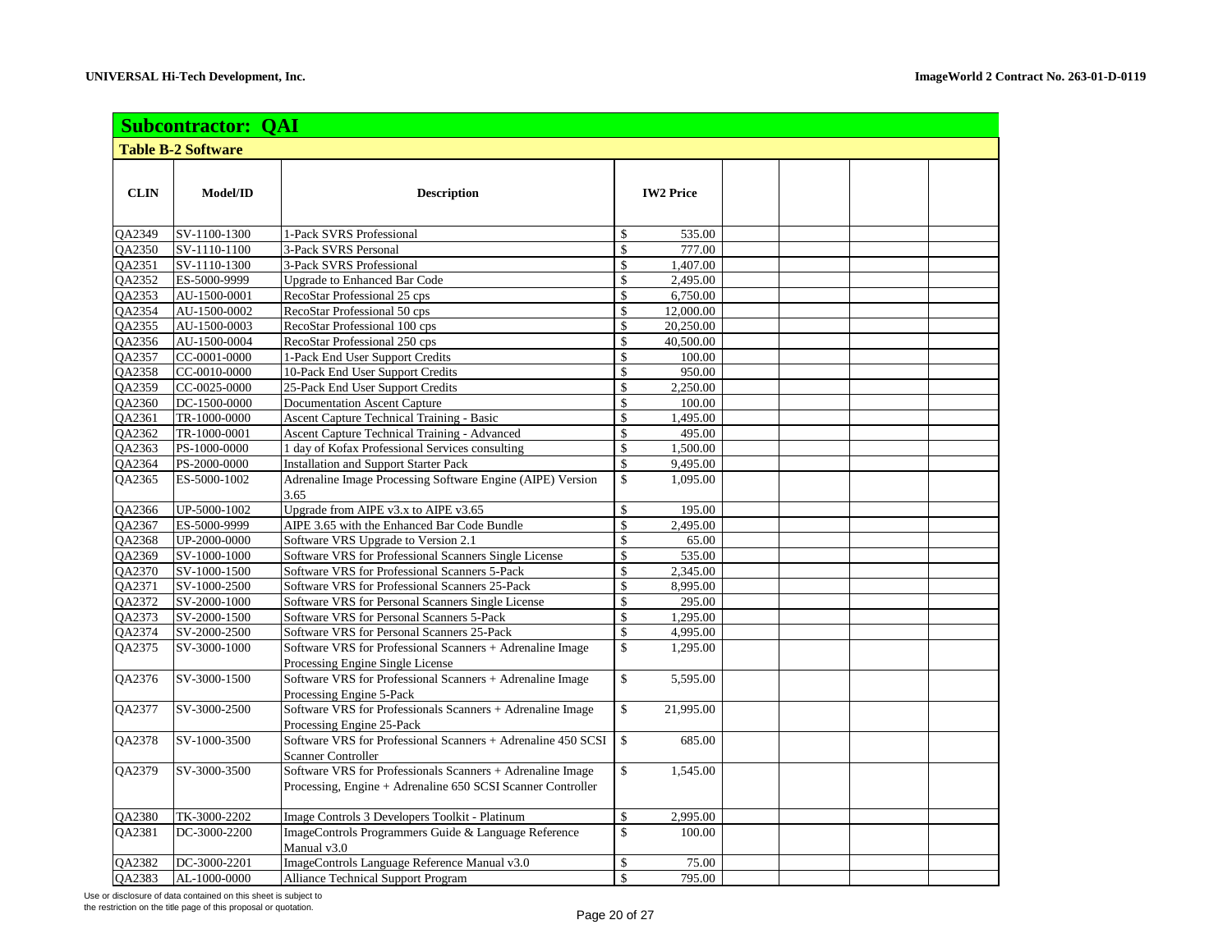|                      | <b>Subcontractor: QAI</b>    |                                                                    |                    |                  |  |  |  |  |  |
|----------------------|------------------------------|--------------------------------------------------------------------|--------------------|------------------|--|--|--|--|--|
|                      | <b>Table B-2 Software</b>    |                                                                    |                    |                  |  |  |  |  |  |
|                      |                              |                                                                    |                    |                  |  |  |  |  |  |
| <b>CLIN</b>          | Model/ID                     | <b>Description</b>                                                 |                    | <b>IW2 Price</b> |  |  |  |  |  |
|                      |                              |                                                                    |                    |                  |  |  |  |  |  |
|                      |                              |                                                                    |                    |                  |  |  |  |  |  |
| QA2349               | SV-1100-1300                 | 1-Pack SVRS Professional                                           | \$                 | 535.00           |  |  |  |  |  |
| QA2350               | SV-1110-1100                 | 3-Pack SVRS Personal                                               | $\mathbf{\hat{S}}$ | 777.00           |  |  |  |  |  |
| QA2351               | SV-1110-1300                 | 3-Pack SVRS Professional                                           | \$<br>\$           | 1,407.00         |  |  |  |  |  |
| QA2352               | ES-5000-9999                 | <b>Upgrade to Enhanced Bar Code</b>                                |                    | 2,495.00         |  |  |  |  |  |
| QA2353               | AU-1500-0001                 | RecoStar Professional 25 cps                                       | \$<br>\$           | 6,750.00         |  |  |  |  |  |
| <b>OA2354</b>        | AU-1500-0002                 | RecoStar Professional 50 cps                                       | \$                 | 12,000.00        |  |  |  |  |  |
| QA2355               | AU-1500-0003                 | RecoStar Professional 100 cps                                      |                    | 20,250.00        |  |  |  |  |  |
| QA2356               | AU-1500-0004                 | RecoStar Professional 250 cps                                      | \$                 | 40,500.00        |  |  |  |  |  |
| QA2357               | CC-0001-0000<br>CC-0010-0000 | 1-Pack End User Support Credits                                    | \$                 | 100.00           |  |  |  |  |  |
| <b>OA2358</b>        |                              | 10-Pack End User Support Credits                                   | \$                 | 950.00           |  |  |  |  |  |
| QA2359               | CC-0025-0000                 | 25-Pack End User Support Credits                                   | \$                 | 2,250.00         |  |  |  |  |  |
| QA2360               | DC-1500-0000                 | <b>Documentation Ascent Capture</b>                                | \$                 | 100.00           |  |  |  |  |  |
| QA2361               | TR-1000-0000                 | Ascent Capture Technical Training - Basic                          | \$                 | 1,495.00         |  |  |  |  |  |
| QA2362               | TR-1000-0001                 | Ascent Capture Technical Training - Advanced                       | \$                 | 495.00           |  |  |  |  |  |
| QA2363               | PS-1000-0000                 | 1 day of Kofax Professional Services consulting                    | \$                 | 1,500.00         |  |  |  |  |  |
| QA2364               | PS-2000-0000                 | <b>Installation and Support Starter Pack</b>                       | \$                 | 9,495.00         |  |  |  |  |  |
| QA2365               | ES-5000-1002                 | Adrenaline Image Processing Software Engine (AIPE) Version<br>3.65 | $\mathbf{\hat{S}}$ | 1,095.00         |  |  |  |  |  |
| QA2366               | UP-5000-1002                 | Upgrade from AIPE v3.x to AIPE v3.65                               | \$                 | 195.00           |  |  |  |  |  |
| QA2367               | ES-5000-9999                 | AIPE 3.65 with the Enhanced Bar Code Bundle                        | \$                 | 2,495.00         |  |  |  |  |  |
| QA2368               | UP-2000-0000                 | Software VRS Upgrade to Version 2.1                                | \$                 | 65.00            |  |  |  |  |  |
| QA2369               | SV-1000-1000                 | Software VRS for Professional Scanners Single License              | \$                 | 535.00           |  |  |  |  |  |
| QA2370               | SV-1000-1500                 | Software VRS for Professional Scanners 5-Pack                      | \$                 | 2,345.00         |  |  |  |  |  |
| QA2371               | SV-1000-2500                 | Software VRS for Professional Scanners 25-Pack                     | \$                 | 8,995.00         |  |  |  |  |  |
| QA2372               | SV-2000-1000                 | Software VRS for Personal Scanners Single License                  | \$                 | 295.00           |  |  |  |  |  |
| QA2373               | SV-2000-1500                 | Software VRS for Personal Scanners 5-Pack                          | $\mathsf{\$}$      | 1,295.00         |  |  |  |  |  |
| QA2374               | SV-2000-2500                 | Software VRS for Personal Scanners 25-Pack                         | \$                 | 4,995.00         |  |  |  |  |  |
| QA2375               | SV-3000-1000                 | Software VRS for Professional Scanners + Adrenaline Image          | $\mathbb{S}$       | 1,295.00         |  |  |  |  |  |
|                      |                              | Processing Engine Single License                                   |                    |                  |  |  |  |  |  |
| $\overline{Q}$ A2376 | SV-3000-1500                 | Software VRS for Professional Scanners + Adrenaline Image          | $\mathbb{S}$       | 5,595.00         |  |  |  |  |  |
|                      |                              | Processing Engine 5-Pack                                           |                    |                  |  |  |  |  |  |
| QA2377               | SV-3000-2500                 | Software VRS for Professionals Scanners + Adrenaline Image         | \$                 | 21,995.00        |  |  |  |  |  |
|                      |                              | Processing Engine 25-Pack                                          |                    |                  |  |  |  |  |  |
| QA2378               | SV-1000-3500                 | Software VRS for Professional Scanners + Adrenaline 450 SCSI       | $\mathbb{S}$       | 685.00           |  |  |  |  |  |
|                      |                              | <b>Scanner Controller</b>                                          |                    |                  |  |  |  |  |  |
| QA2379               | SV-3000-3500                 | Software VRS for Professionals Scanners + Adrenaline Image         | \$                 | 1,545.00         |  |  |  |  |  |
|                      |                              | Processing, Engine + Adrenaline 650 SCSI Scanner Controller        |                    |                  |  |  |  |  |  |
|                      |                              |                                                                    |                    |                  |  |  |  |  |  |
| QA2380               | TK-3000-2202                 | Image Controls 3 Developers Toolkit - Platinum                     | $\mathbb{S}$       | 2,995.00         |  |  |  |  |  |
| QA2381               | DC-3000-2200                 | ImageControls Programmers Guide & Language Reference               | \$                 | 100.00           |  |  |  |  |  |
|                      |                              | Manual v3.0                                                        |                    |                  |  |  |  |  |  |
| QA2382               | DC-3000-2201                 | ImageControls Language Reference Manual v3.0                       | \$                 | 75.00            |  |  |  |  |  |
| QA2383               | AL-1000-0000                 | <b>Alliance Technical Support Program</b>                          | $\mathsf{\$}$      | 795.00           |  |  |  |  |  |

Use or disclosure of data contained on this sheet is subject to

the restriction on the title page of this proposal or quotation. Page 20 of 27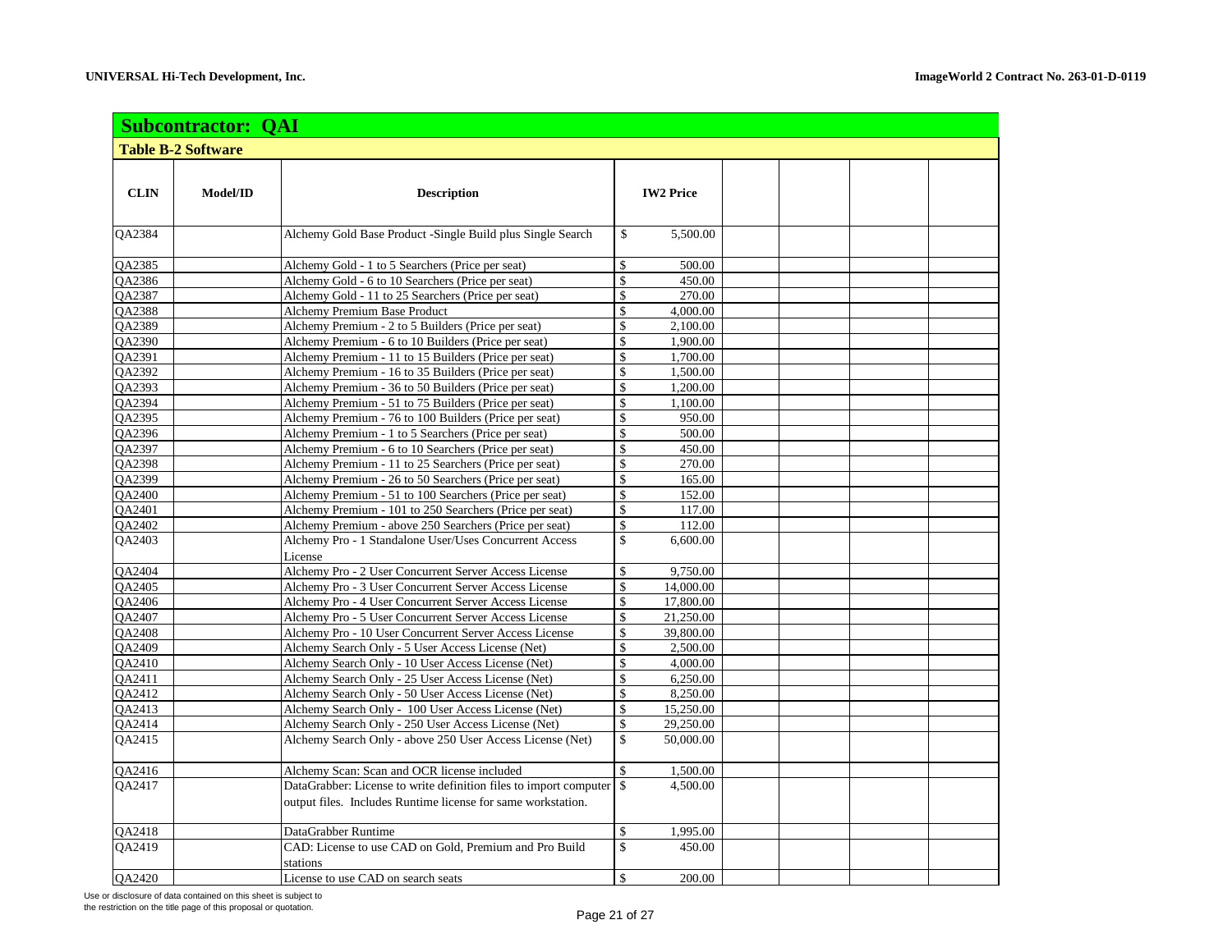|                           |          |                                                                    | <b>Subcontractor: QAI</b> |                  |  |  |  |  |  |  |  |  |
|---------------------------|----------|--------------------------------------------------------------------|---------------------------|------------------|--|--|--|--|--|--|--|--|
| <b>Table B-2 Software</b> |          |                                                                    |                           |                  |  |  |  |  |  |  |  |  |
| <b>CLIN</b>               | Model/ID | <b>Description</b>                                                 |                           | <b>IW2 Price</b> |  |  |  |  |  |  |  |  |
| QA2384                    |          | Alchemy Gold Base Product -Single Build plus Single Search         | \$                        | 5,500.00         |  |  |  |  |  |  |  |  |
| QA2385                    |          | Alchemy Gold - 1 to 5 Searchers (Price per seat)                   | \$                        | 500.00           |  |  |  |  |  |  |  |  |
| OA2386                    |          | Alchemy Gold - 6 to 10 Searchers (Price per seat)                  | $\mathsf{\$}$             | 450.00           |  |  |  |  |  |  |  |  |
| QA2387                    |          | Alchemy Gold - 11 to 25 Searchers (Price per seat)                 | \$                        | 270.00           |  |  |  |  |  |  |  |  |
| <b>OA2388</b>             |          | <b>Alchemy Premium Base Product</b>                                | $\mathsf{\$}$             | 4,000.00         |  |  |  |  |  |  |  |  |
| QA2389                    |          | Alchemy Premium - 2 to 5 Builders (Price per seat)                 | \$                        | 2,100.00         |  |  |  |  |  |  |  |  |
| QA2390                    |          | Alchemy Premium - 6 to 10 Builders (Price per seat)                | \$                        | 1,900.00         |  |  |  |  |  |  |  |  |
| <b>OA2391</b>             |          | Alchemy Premium - 11 to 15 Builders (Price per seat)               | \$                        | 1,700.00         |  |  |  |  |  |  |  |  |
| QA2392                    |          | Alchemy Premium - 16 to 35 Builders (Price per seat)               | \$                        | 1,500.00         |  |  |  |  |  |  |  |  |
| QA2393                    |          | Alchemy Premium - 36 to 50 Builders (Price per seat)               | \$                        | 1,200.00         |  |  |  |  |  |  |  |  |
| QA2394                    |          | Alchemy Premium - 51 to 75 Builders (Price per seat)               | $\mathsf{\$}$             | 1,100.00         |  |  |  |  |  |  |  |  |
| <b>OA2395</b>             |          | Alchemy Premium - 76 to 100 Builders (Price per seat)              | $\mathbf{\hat{S}}$        | 950.00           |  |  |  |  |  |  |  |  |
| QA2396                    |          | Alchemy Premium - 1 to 5 Searchers (Price per seat)                | $\mathsf{\$}$             | 500.00           |  |  |  |  |  |  |  |  |
| QA2397                    |          | Alchemy Premium - 6 to 10 Searchers (Price per seat)               | $\mathsf{\$}$             | 450.00           |  |  |  |  |  |  |  |  |
| QA2398                    |          | Alchemy Premium - 11 to 25 Searchers (Price per seat)              | $\mathbf{\hat{S}}$        | 270.00           |  |  |  |  |  |  |  |  |
| <b>OA2399</b>             |          | Alchemy Premium - 26 to 50 Searchers (Price per seat)              | $\mathbf{\hat{S}}$        | 165.00           |  |  |  |  |  |  |  |  |
| QA2400                    |          | Alchemy Premium - 51 to 100 Searchers (Price per seat)             | \$                        | 152.00           |  |  |  |  |  |  |  |  |
| QA2401                    |          | Alchemy Premium - 101 to 250 Searchers (Price per seat)            | \$                        | 117.00           |  |  |  |  |  |  |  |  |
| QA2402                    |          | Alchemy Premium - above 250 Searchers (Price per seat)             | \$                        | 112.00           |  |  |  |  |  |  |  |  |
| <b>OA2403</b>             |          | Alchemy Pro - 1 Standalone User/Uses Concurrent Access<br>License  | $\mathbf{\hat{S}}$        | 6.600.00         |  |  |  |  |  |  |  |  |
| QA2404                    |          | Alchemy Pro - 2 User Concurrent Server Access License              | \$                        | 9,750.00         |  |  |  |  |  |  |  |  |
| QA2405                    |          | Alchemy Pro - 3 User Concurrent Server Access License              | \$                        | 14,000.00        |  |  |  |  |  |  |  |  |
| <b>OA2406</b>             |          | Alchemy Pro - 4 User Concurrent Server Access License              | $\mathbf{\hat{S}}$        | 17,800.00        |  |  |  |  |  |  |  |  |
| QA2407                    |          | Alchemy Pro - 5 User Concurrent Server Access License              | \$                        | 21,250.00        |  |  |  |  |  |  |  |  |
| QA2408                    |          | Alchemy Pro - 10 User Concurrent Server Access License             | \$                        | 39,800.00        |  |  |  |  |  |  |  |  |
| QA2409                    |          | Alchemy Search Only - 5 User Access License (Net)                  | \$                        | 2,500.00         |  |  |  |  |  |  |  |  |
| QA2410                    |          | Alchemy Search Only - 10 User Access License (Net)                 | $\mathbf{\hat{S}}$        | 4,000.00         |  |  |  |  |  |  |  |  |
| QA2411                    |          | Alchemy Search Only - 25 User Access License (Net)                 | $\mathbf{\hat{s}}$        | 6,250.00         |  |  |  |  |  |  |  |  |
| QA2412                    |          | Alchemy Search Only - 50 User Access License (Net)                 | $\mathsf{\$}$             | 8,250.00         |  |  |  |  |  |  |  |  |
| QA2413                    |          | Alchemy Search Only - 100 User Access License (Net)                | $\mathsf{\$}$             | 15,250.00        |  |  |  |  |  |  |  |  |
| QA2414                    |          | Alchemy Search Only - 250 User Access License (Net)                | $\mathsf{\$}$             | 29,250.00        |  |  |  |  |  |  |  |  |
| QA2415                    |          | Alchemy Search Only - above 250 User Access License (Net)          | $\mathsf{\$}$             | 50,000.00        |  |  |  |  |  |  |  |  |
| QA2416                    |          | Alchemy Scan: Scan and OCR license included                        | \$                        | 1,500.00         |  |  |  |  |  |  |  |  |
| <b>OA2417</b>             |          | DataGrabber: License to write definition files to import computer  | \$                        | 4,500.00         |  |  |  |  |  |  |  |  |
|                           |          | output files. Includes Runtime license for same workstation.       |                           |                  |  |  |  |  |  |  |  |  |
| QA2418                    |          | DataGrabber Runtime                                                | \$                        | 1,995.00         |  |  |  |  |  |  |  |  |
| <b>OA2419</b>             |          | CAD: License to use CAD on Gold, Premium and Pro Build<br>stations | $\mathsf{\$}$             | 450.00           |  |  |  |  |  |  |  |  |
| QA2420                    |          | License to use CAD on search seats                                 | \$                        | 200.00           |  |  |  |  |  |  |  |  |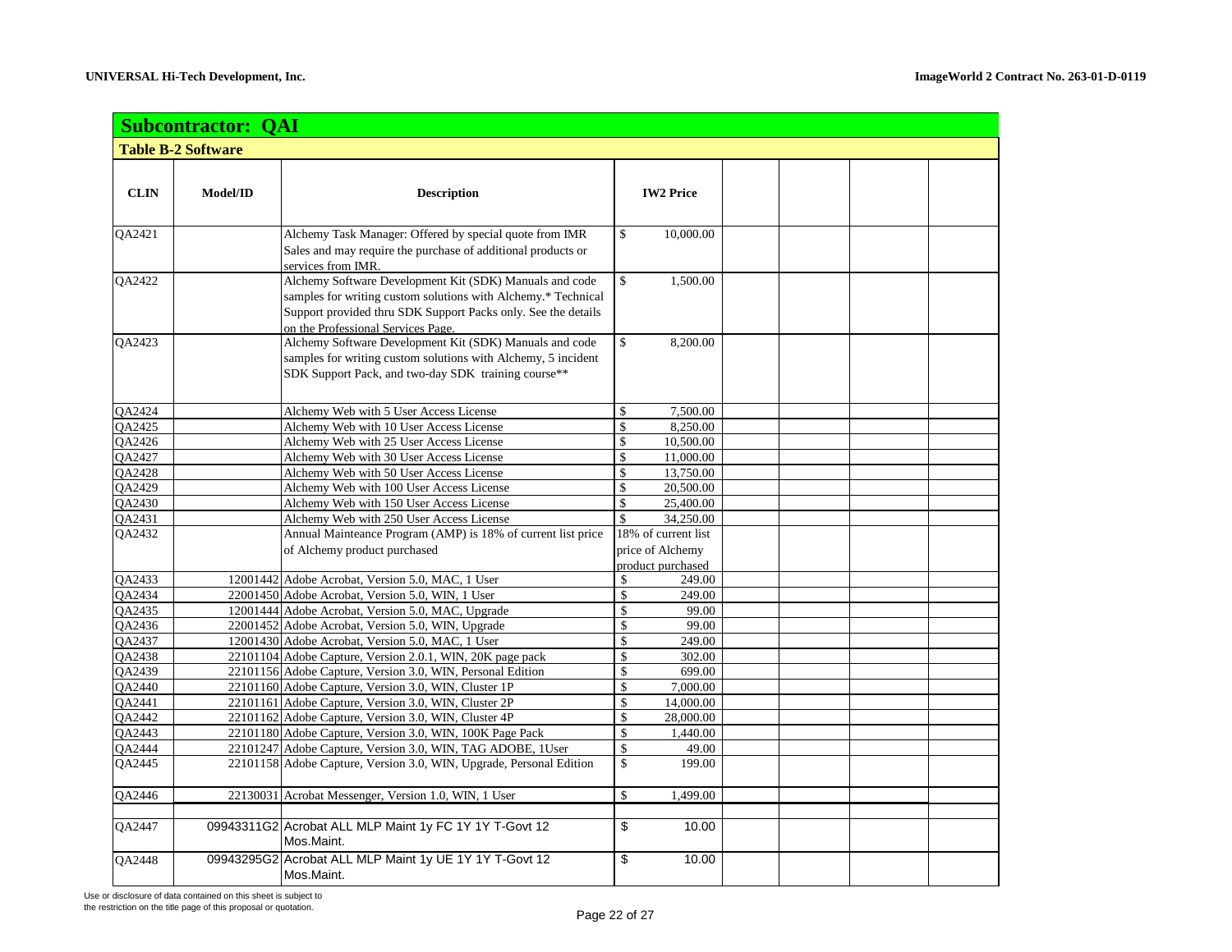|               | <b>Subcontractor: QAI</b> |                                                                                                                                                                                                                                 |               |                                                              |  |  |
|---------------|---------------------------|---------------------------------------------------------------------------------------------------------------------------------------------------------------------------------------------------------------------------------|---------------|--------------------------------------------------------------|--|--|
|               | <b>Table B-2 Software</b> |                                                                                                                                                                                                                                 |               |                                                              |  |  |
| <b>CLIN</b>   | Model/ID                  | <b>Description</b>                                                                                                                                                                                                              |               | <b>IW2 Price</b>                                             |  |  |
| QA2421        |                           | Alchemy Task Manager: Offered by special quote from IMR<br>Sales and may require the purchase of additional products or<br>services from IMR.                                                                                   | \$            | 10,000.00                                                    |  |  |
| QA2422        |                           | Alchemy Software Development Kit (SDK) Manuals and code<br>samples for writing custom solutions with Alchemy.* Technical<br>Support provided thru SDK Support Packs only. See the details<br>on the Professional Services Page. | \$            | 1,500.00                                                     |  |  |
| QA2423        |                           | Alchemy Software Development Kit (SDK) Manuals and code<br>samples for writing custom solutions with Alchemy, 5 incident<br>SDK Support Pack, and two-day SDK training course**                                                 | \$            | 8,200.00                                                     |  |  |
| QA2424        |                           | Alchemy Web with 5 User Access License                                                                                                                                                                                          | \$            | 7,500.00                                                     |  |  |
| <b>OA2425</b> |                           | Alchemy Web with 10 User Access License                                                                                                                                                                                         | \$            | 8,250.00                                                     |  |  |
| QA2426        |                           | Alchemy Web with 25 User Access License                                                                                                                                                                                         | \$            | 10,500.00                                                    |  |  |
| QA2427        |                           | Alchemy Web with 30 User Access License                                                                                                                                                                                         | \$            | 11,000.00                                                    |  |  |
| QA2428        |                           | Alchemy Web with 50 User Access License                                                                                                                                                                                         | \$            | 13,750.00                                                    |  |  |
| <b>OA2429</b> |                           | Alchemy Web with 100 User Access License                                                                                                                                                                                        | \$            | 20,500.00                                                    |  |  |
| QA2430        |                           | Alchemy Web with 150 User Access License                                                                                                                                                                                        | $\mathsf{\$}$ | 25,400.00                                                    |  |  |
| QA2431        |                           | Alchemy Web with 250 User Access License                                                                                                                                                                                        | $\mathsf{\$}$ | 34,250.00                                                    |  |  |
| QA2432        |                           | Annual Mainteance Program (AMP) is 18% of current list price<br>of Alchemy product purchased                                                                                                                                    |               | 18% of current list<br>price of Alchemy<br>product purchased |  |  |
| QA2433        |                           | 12001442 Adobe Acrobat, Version 5.0, MAC, 1 User                                                                                                                                                                                | \$            | 249.00                                                       |  |  |
| <b>OA2434</b> |                           | 22001450 Adobe Acrobat, Version 5.0, WIN, 1 User                                                                                                                                                                                | \$            | 249.00                                                       |  |  |
| QA2435        |                           | 12001444 Adobe Acrobat, Version 5.0, MAC, Upgrade                                                                                                                                                                               | \$            | 99.00                                                        |  |  |
| OA2436        |                           | 22001452 Adobe Acrobat, Version 5.0, WIN, Upgrade                                                                                                                                                                               | \$            | 99.00                                                        |  |  |
| QA2437        |                           | 12001430 Adobe Acrobat, Version 5.0, MAC, 1 User                                                                                                                                                                                | \$            | 249.00                                                       |  |  |
| <b>OA2438</b> |                           | 22101104 Adobe Capture, Version 2.0.1, WIN, 20K page pack                                                                                                                                                                       | \$            | 302.00                                                       |  |  |
| <b>OA2439</b> |                           | 22101156 Adobe Capture, Version 3.0, WIN, Personal Edition                                                                                                                                                                      | \$            | 699.00                                                       |  |  |
| <b>OA2440</b> |                           | 22101160 Adobe Capture, Version 3.0, WIN, Cluster 1P                                                                                                                                                                            | \$            | 7,000.00                                                     |  |  |
| QA2441        |                           | 22101161 Adobe Capture, Version 3.0, WIN, Cluster 2P                                                                                                                                                                            | \$            | 14,000.00                                                    |  |  |
| <b>OA2442</b> |                           | 22101162 Adobe Capture, Version 3.0, WIN, Cluster 4P                                                                                                                                                                            | \$            | 28,000.00                                                    |  |  |
| QA2443        |                           | 22101180 Adobe Capture, Version 3.0, WIN, 100K Page Pack                                                                                                                                                                        | \$            | 1,440.00                                                     |  |  |
| QA2444        |                           | 22101247 Adobe Capture, Version 3.0, WIN, TAG ADOBE, 1User                                                                                                                                                                      | \$            | 49.00                                                        |  |  |
| QA2445        |                           | 22101158 Adobe Capture, Version 3.0, WIN, Upgrade, Personal Edition                                                                                                                                                             | \$            | 199.00                                                       |  |  |
| QA2446        |                           | 22130031 Acrobat Messenger, Version 1.0, WIN, 1 User                                                                                                                                                                            | \$            | 1,499.00                                                     |  |  |
|               |                           |                                                                                                                                                                                                                                 |               |                                                              |  |  |
| QA2447        |                           | 09943311G2 Acrobat ALL MLP Maint 1y FC 1Y 1Y T-Govt 12<br>Mos.Maint.                                                                                                                                                            | \$            | 10.00                                                        |  |  |
| QA2448        |                           | 09943295G2 Acrobat ALL MLP Maint 1y UE 1Y 1Y T-Govt 12<br>Mos.Maint.                                                                                                                                                            | \$            | 10.00                                                        |  |  |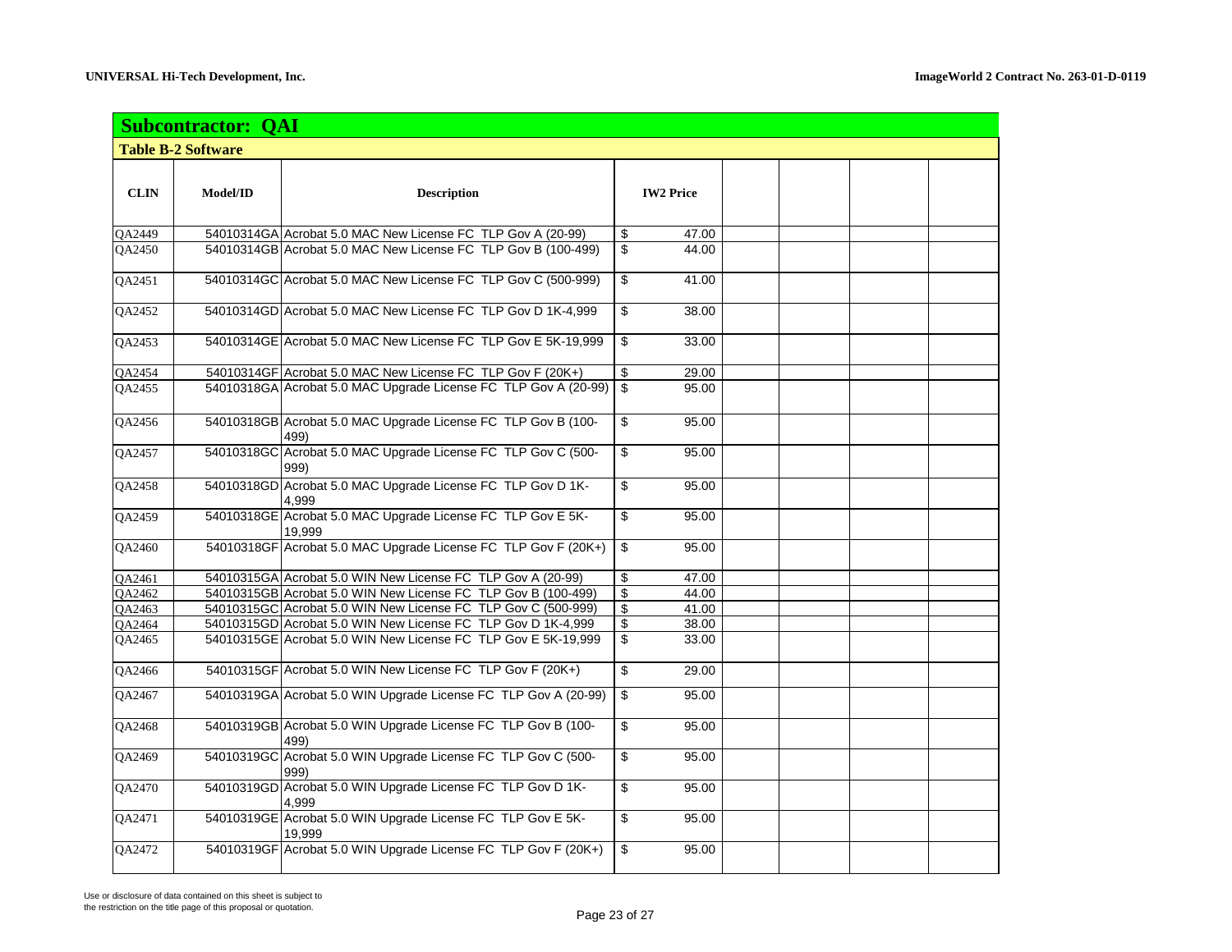|                     | <b>Subcontractor: QAI</b> |                                                                       |                         |                  |  |  |
|---------------------|---------------------------|-----------------------------------------------------------------------|-------------------------|------------------|--|--|
|                     | <b>Table B-2 Software</b> |                                                                       |                         |                  |  |  |
| <b>CLIN</b>         | Model/ID                  | <b>Description</b>                                                    |                         | <b>IW2 Price</b> |  |  |
| <b>OA2449</b>       |                           | 54010314GA Acrobat 5.0 MAC New License FC TLP Gov A (20-99)           | \$                      | 47.00            |  |  |
| QA2450              |                           | 54010314GB Acrobat 5.0 MAC New License FC TLP Gov B (100-499)         | $\mathbf{\$}$           | 44.00            |  |  |
| QA2451              |                           | 54010314GC Acrobat 5.0 MAC New License FC TLP Gov C (500-999)         | \$                      | 41.00            |  |  |
| QA2452              |                           | 54010314GD Acrobat 5.0 MAC New License FC TLP Gov D 1K-4,999          | \$                      | 38.00            |  |  |
| QA2453              |                           | 54010314GE Acrobat 5.0 MAC New License FC TLP Gov E 5K-19,999         | \$                      | 33.00            |  |  |
| $Q\overline{A2454}$ |                           | 54010314GF Acrobat 5.0 MAC New License FC TLP Gov F (20K+)            | \$                      | 29.00            |  |  |
| QA2455              |                           | 54010318GA Acrobat 5.0 MAC Upgrade License FC TLP Gov A (20-99)       | \$                      | 95.00            |  |  |
| QA2456              |                           | 54010318GB Acrobat 5.0 MAC Upgrade License FC TLP Gov B (100-<br>499) | \$                      | 95.00            |  |  |
| QA2457              |                           | 54010318GC Acrobat 5.0 MAC Upgrade License FC TLP Gov C (500-<br>999) | \$                      | 95.00            |  |  |
| QA2458              |                           | 54010318GD Acrobat 5.0 MAC Upgrade License FC TLP Gov D 1K-<br>4,999  | \$                      | 95.00            |  |  |
| <b>OA2459</b>       |                           | 54010318GE Acrobat 5.0 MAC Upgrade License FC TLP Gov E 5K-<br>19.999 | \$                      | 95.00            |  |  |
| QA2460              |                           | 54010318GF Acrobat 5.0 MAC Upgrade License FC TLP Gov F (20K+)        | \$                      | 95.00            |  |  |
| QA2461              |                           | 54010315GA Acrobat 5.0 WIN New License FC TLP Gov A (20-99)           | \$                      | 47.00            |  |  |
| <b>OA2462</b>       |                           | 54010315GB Acrobat 5.0 WIN New License FC TLP Gov B (100-499)         | $\overline{\$}$         | 44.00            |  |  |
| QA2463              |                           | 54010315GC Acrobat 5.0 WIN New License FC TLP Gov C (500-999)         | \$                      | 41.00            |  |  |
| <b>OA2464</b>       |                           | 54010315GD Acrobat 5.0 WIN New License FC TLP Gov D 1K-4,999          | $\overline{\mathbf{e}}$ | 38.00            |  |  |
| QA2465              |                           | 54010315GE Acrobat 5.0 WIN New License FC TLP Gov E 5K-19,999         | \$                      | 33.00            |  |  |
| <b>OA2466</b>       |                           | 54010315GF Acrobat 5.0 WIN New License FC TLP Gov F (20K+)            | \$                      | 29.00            |  |  |
| QA2467              |                           | 54010319GA Acrobat 5.0 WIN Upgrade License FC TLP Gov A (20-99)       | \$                      | 95.00            |  |  |
| <b>OA2468</b>       |                           | 54010319GB Acrobat 5.0 WIN Upgrade License FC TLP Gov B (100-<br>499) | \$                      | 95.00            |  |  |
| QA2469              |                           | 54010319GC Acrobat 5.0 WIN Upgrade License FC TLP Gov C (500-<br>999) | \$                      | 95.00            |  |  |
| <b>OA2470</b>       |                           | 54010319GD Acrobat 5.0 WIN Upgrade License FC TLP Gov D 1K-<br>4.999  | \$                      | 95.00            |  |  |
| QA2471              |                           | 54010319GE Acrobat 5.0 WIN Upgrade License FC TLP Gov E 5K-<br>19.999 | \$                      | 95.00            |  |  |
| QA2472              |                           | 54010319GF Acrobat 5.0 WIN Upgrade License FC TLP Gov F (20K+)        | \$                      | 95.00            |  |  |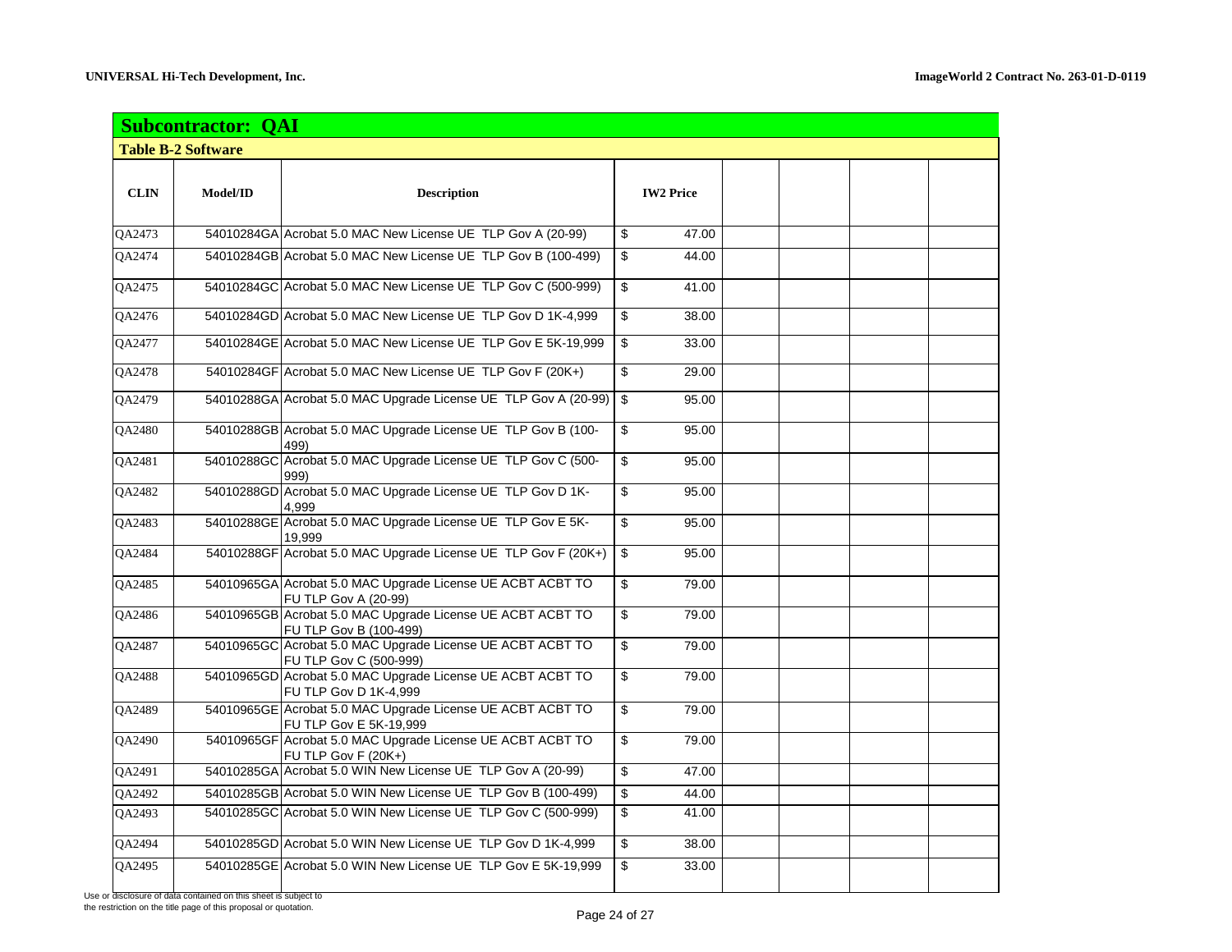|               | <b>Subcontractor: QAI</b> |                                                                                      |                         |                  |  |  |  |  |  |
|---------------|---------------------------|--------------------------------------------------------------------------------------|-------------------------|------------------|--|--|--|--|--|
|               | <b>Table B-2 Software</b> |                                                                                      |                         |                  |  |  |  |  |  |
| <b>CLIN</b>   | Model/ID                  | <b>Description</b>                                                                   |                         | <b>IW2 Price</b> |  |  |  |  |  |
| QA2473        |                           | 54010284GA Acrobat 5.0 MAC New License UE TLP Gov A (20-99)                          | \$                      | 47.00            |  |  |  |  |  |
| QA2474        |                           | 54010284GB Acrobat 5.0 MAC New License UE TLP Gov B (100-499)                        | \$                      | 44.00            |  |  |  |  |  |
| QA2475        |                           | 54010284GC Acrobat 5.0 MAC New License UE TLP Gov C (500-999)                        | \$                      | 41.00            |  |  |  |  |  |
| QA2476        |                           | 54010284GD Acrobat 5.0 MAC New License UE TLP Gov D 1K-4,999                         | \$                      | 38.00            |  |  |  |  |  |
| QA2477        |                           | 54010284GE Acrobat 5.0 MAC New License UE TLP Gov E 5K-19,999                        | \$                      | 33.00            |  |  |  |  |  |
| QA2478        |                           | 54010284GF Acrobat 5.0 MAC New License UE TLP Gov F (20K+)                           | \$                      | 29.00            |  |  |  |  |  |
| QA2479        |                           | 54010288GA Acrobat 5.0 MAC Upgrade License UE TLP Gov A (20-99)                      | \$                      | 95.00            |  |  |  |  |  |
| <b>OA2480</b> |                           | 54010288GB Acrobat 5.0 MAC Upgrade License UE TLP Gov B (100-<br>499)                | \$                      | 95.00            |  |  |  |  |  |
| QA2481        |                           | 54010288GC Acrobat 5.0 MAC Upgrade License UE TLP Gov C (500-<br>999)                | \$                      | 95.00            |  |  |  |  |  |
| QA2482        |                           | 54010288GD Acrobat 5.0 MAC Upgrade License UE TLP Gov D 1K-<br>4,999                 | \$                      | 95.00            |  |  |  |  |  |
| QA2483        |                           | 54010288GE Acrobat 5.0 MAC Upgrade License UE TLP Gov E 5K-<br>19,999                | \$                      | 95.00            |  |  |  |  |  |
| QA2484        |                           | 54010288GF Acrobat 5.0 MAC Upgrade License UE TLP Gov F (20K+)                       | \$                      | 95.00            |  |  |  |  |  |
| QA2485        |                           | 54010965GA Acrobat 5.0 MAC Upgrade License UE ACBT ACBT TO<br>FU TLP Gov A (20-99)   | \$                      | 79.00            |  |  |  |  |  |
| QA2486        |                           | 54010965GB Acrobat 5.0 MAC Upgrade License UE ACBT ACBT TO<br>FU TLP Gov B (100-499) | \$                      | 79.00            |  |  |  |  |  |
| QA2487        |                           | 54010965GC Acrobat 5.0 MAC Upgrade License UE ACBT ACBT TO<br>FU TLP Gov C (500-999) | $\overline{\mathbb{S}}$ | 79.00            |  |  |  |  |  |
| QA2488        |                           | 54010965GD Acrobat 5.0 MAC Upgrade License UE ACBT ACBT TO<br>FU TLP Gov D 1K-4,999  | \$                      | 79.00            |  |  |  |  |  |
| QA2489        |                           | 54010965GE Acrobat 5.0 MAC Upgrade License UE ACBT ACBT TO<br>FU TLP Gov E 5K-19,999 | \$                      | 79.00            |  |  |  |  |  |
| QA2490        |                           | 54010965GF Acrobat 5.0 MAC Upgrade License UE ACBT ACBT TO<br>FU TLP Gov F (20K+)    | \$                      | 79.00            |  |  |  |  |  |
| QA2491        |                           | 54010285GA Acrobat 5.0 WIN New License UE TLP Gov A (20-99)                          | \$                      | 47.00            |  |  |  |  |  |
| QA2492        |                           | 54010285GB Acrobat 5.0 WIN New License UE TLP Gov B (100-499)                        | \$                      | 44.00            |  |  |  |  |  |
| QA2493        |                           | 54010285GC Acrobat 5.0 WIN New License UE TLP Gov C (500-999)                        | \$                      | 41.00            |  |  |  |  |  |
| QA2494        |                           | 54010285GD Acrobat 5.0 WIN New License UE TLP Gov D 1K-4,999                         | \$                      | 38.00            |  |  |  |  |  |
| QA2495        |                           | 54010285GE Acrobat 5.0 WIN New License UE TLP Gov E 5K-19,999                        | \$                      | 33.00            |  |  |  |  |  |

Use or disclosure of data contained on this sheet is subject to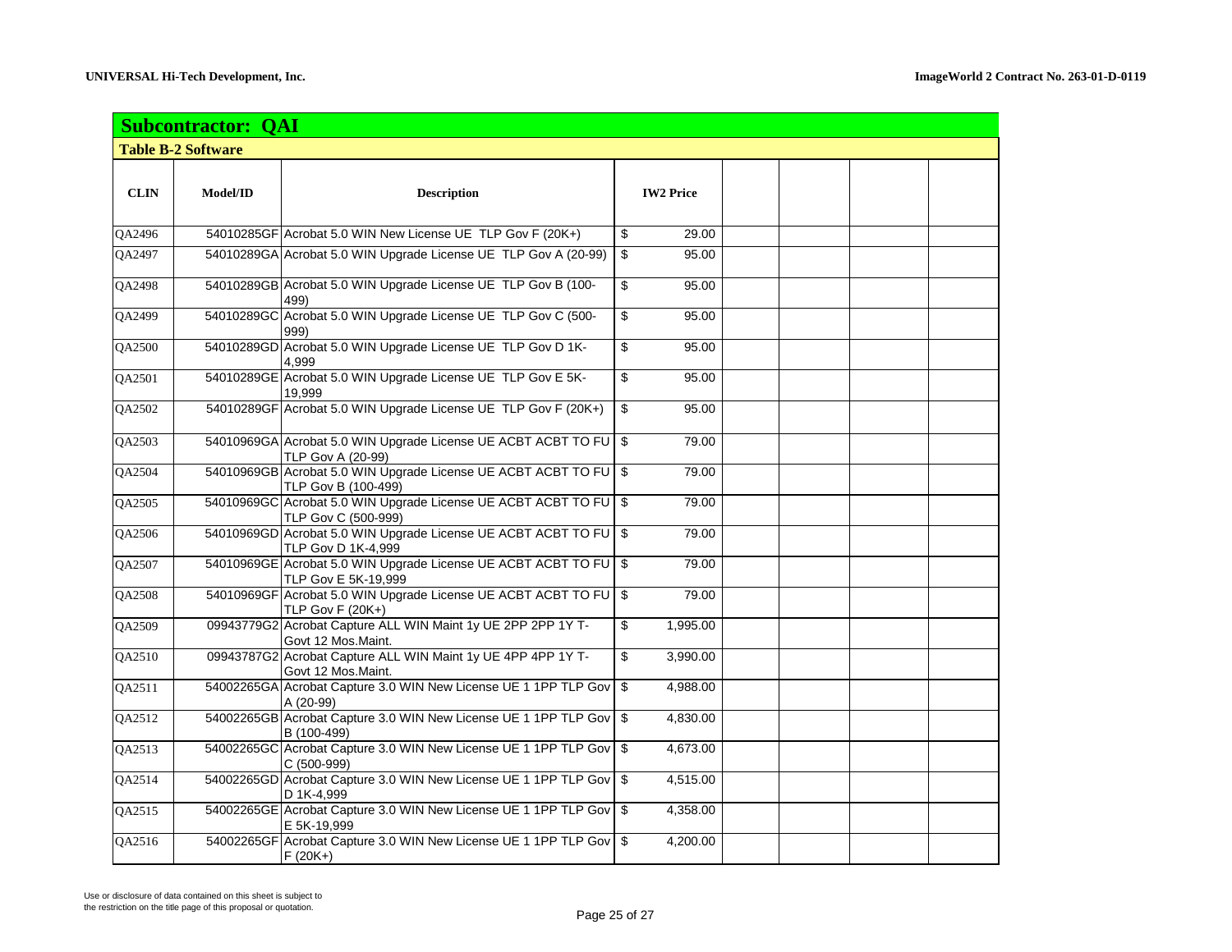| <b>Subcontractor: QAI</b> |          |                                                                                           |       |                  |  |  |  |  |
|---------------------------|----------|-------------------------------------------------------------------------------------------|-------|------------------|--|--|--|--|
| <b>Table B-2 Software</b> |          |                                                                                           |       |                  |  |  |  |  |
| <b>CLIN</b>               | Model/ID | <b>Description</b>                                                                        |       | <b>IW2 Price</b> |  |  |  |  |
| QA2496                    |          | 54010285GF Acrobat 5.0 WIN New License UE TLP Gov F (20K+)                                | \$    | 29.00            |  |  |  |  |
| QA2497                    |          | 54010289GA Acrobat 5.0 WIN Upgrade License UE TLP Gov A (20-99)                           | $\$\$ | 95.00            |  |  |  |  |
| QA2498                    |          | 54010289GB Acrobat 5.0 WIN Upgrade License UE TLP Gov B (100-<br>499)                     | \$    | 95.00            |  |  |  |  |
| QA2499                    |          | 54010289GC Acrobat 5.0 WIN Upgrade License UE TLP Gov C (500-<br>999)                     | \$    | 95.00            |  |  |  |  |
| QA2500                    |          | 54010289GD Acrobat 5.0 WIN Upgrade License UE TLP Gov D 1K-<br>4,999                      | \$    | 95.00            |  |  |  |  |
| QA2501                    |          | 54010289GE Acrobat 5.0 WIN Upgrade License UE TLP Gov E 5K-<br>19,999                     | \$    | 95.00            |  |  |  |  |
| QA2502                    |          | 54010289GF Acrobat 5.0 WIN Upgrade License UE TLP Gov F (20K+)                            | \$    | 95.00            |  |  |  |  |
| QA2503                    |          | 54010969GA Acrobat 5.0 WIN Upgrade License UE ACBT ACBT TO FU \$<br>TLP Gov A (20-99)     |       | 79.00            |  |  |  |  |
| QA2504                    |          | 54010969GB Acrobat 5.0 WIN Upgrade License UE ACBT ACBT TO FU \$<br>TLP Gov B (100-499)   |       | 79.00            |  |  |  |  |
| QA2505                    |          | 54010969GC Acrobat 5.0 WIN Upgrade License UE ACBT ACBT TO FU \$<br>TLP Gov C (500-999)   |       | 79.00            |  |  |  |  |
| QA2506                    |          | 54010969GD Acrobat 5.0 WIN Upgrade License UE ACBT ACBT TO FU \$<br>TLP Gov D 1K-4,999    |       | 79.00            |  |  |  |  |
| QA2507                    |          | 54010969GE Acrobat 5.0 WIN Upgrade License UE ACBT ACBT TO FU   \$<br>TLP Gov E 5K-19,999 |       | 79.00            |  |  |  |  |
| QA2508                    |          | 54010969GF Acrobat 5.0 WIN Upgrade License UE ACBT ACBT TO FU \$<br>TLP Gov $F(20K+)$     |       | 79.00            |  |  |  |  |
| QA2509                    |          | 09943779G2 Acrobat Capture ALL WIN Maint 1y UE 2PP 2PP 1Y T-<br>Govt 12 Mos.Maint.        | \$    | 1,995.00         |  |  |  |  |
| QA2510                    |          | 09943787G2 Acrobat Capture ALL WIN Maint 1y UE 4PP 4PP 1Y T-<br>Govt 12 Mos.Maint.        | \$    | 3,990.00         |  |  |  |  |
| QA2511                    |          | 54002265GA Acrobat Capture 3.0 WIN New License UE 1 1PP TLP Gov \$<br>A (20-99)           |       | 4,988.00         |  |  |  |  |
| QA2512                    |          | 54002265GB Acrobat Capture 3.0 WIN New License UE 1 1PP TLP Gov \$<br>B (100-499)         |       | 4,830.00         |  |  |  |  |
| QA2513                    |          | 54002265GC Acrobat Capture 3.0 WIN New License UE 1 1PP TLP Gov \$<br>C (500-999)         |       | 4,673.00         |  |  |  |  |
| QA2514                    |          | 54002265GD Acrobat Capture 3.0 WIN New License UE 1 1PP TLP Gov \$<br>D 1K-4,999          |       | 4,515.00         |  |  |  |  |
| QA2515                    |          | 54002265GE Acrobat Capture 3.0 WIN New License UE 1 1PP TLP Gov \$<br>E 5K-19,999         |       | 4,358.00         |  |  |  |  |
| QA2516                    |          | 54002265GF Acrobat Capture 3.0 WIN New License UE 1 1PP TLP Gov \$<br>$F(20K+)$           |       | 4,200.00         |  |  |  |  |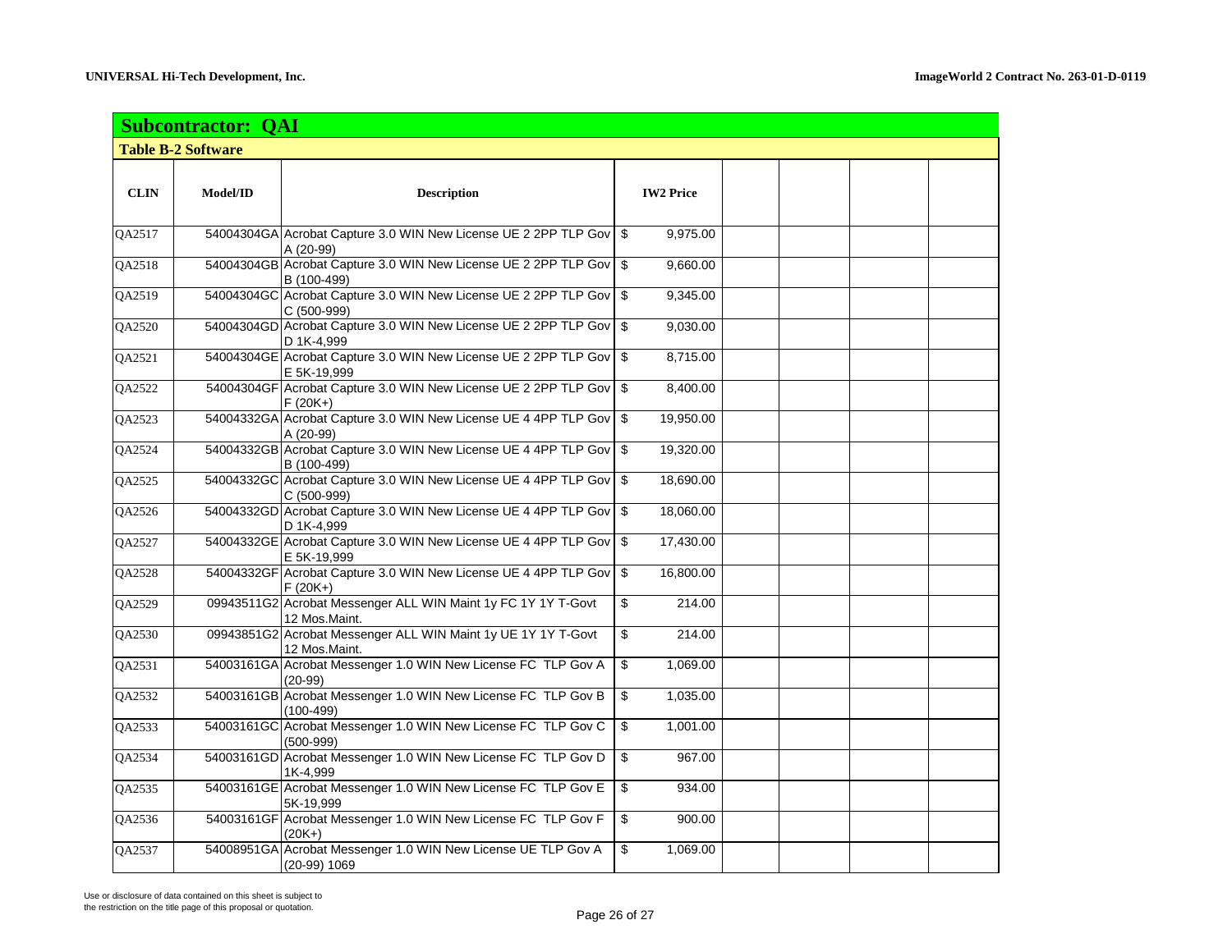| <b>Subcontractor: QAI</b> |          |                                                                                   |    |                  |  |  |  |  |
|---------------------------|----------|-----------------------------------------------------------------------------------|----|------------------|--|--|--|--|
| <b>Table B-2 Software</b> |          |                                                                                   |    |                  |  |  |  |  |
| <b>CLIN</b>               | Model/ID | <b>Description</b>                                                                |    | <b>IW2 Price</b> |  |  |  |  |
| QA2517                    |          | 54004304GA Acrobat Capture 3.0 WIN New License UE 2 2PP TLP Gov \$<br>A (20-99)   |    | 9,975.00         |  |  |  |  |
| QA2518                    |          | 54004304GB Acrobat Capture 3.0 WIN New License UE 2 2PP TLP Gov \$<br>B (100-499) |    | 9,660.00         |  |  |  |  |
| QA2519                    |          | 54004304GC Acrobat Capture 3.0 WIN New License UE 2 2PP TLP Gov \$<br>C (500-999) |    | 9,345.00         |  |  |  |  |
| QA2520                    |          | 54004304GD Acrobat Capture 3.0 WIN New License UE 2 2PP TLP Gov \$<br>D 1K-4.999  |    | 9,030.00         |  |  |  |  |
| QA2521                    |          | 54004304GE Acrobat Capture 3.0 WIN New License UE 2 2PP TLP Gov \$<br>E 5K-19,999 |    | 8,715.00         |  |  |  |  |
| QA2522                    |          | 54004304GF Acrobat Capture 3.0 WIN New License UE 2 2PP TLP Gov   \$<br>$F(20K+)$ |    | 8,400.00         |  |  |  |  |
| QA2523                    |          | 54004332GA Acrobat Capture 3.0 WIN New License UE 4 4PP TLP Gov \$<br>A (20-99)   |    | 19,950.00        |  |  |  |  |
| QA2524                    |          | 54004332GB Acrobat Capture 3.0 WIN New License UE 4 4PP TLP Gov \$<br>B (100-499) |    | 19,320.00        |  |  |  |  |
| QA2525                    |          | 54004332GC Acrobat Capture 3.0 WIN New License UE 4 4PP TLP Gov \$<br>C (500-999) |    | 18,690.00        |  |  |  |  |
| QA2526                    |          | 54004332GD Acrobat Capture 3.0 WIN New License UE 4 4PP TLP Gov \$<br>D 1K-4,999  |    | 18,060.00        |  |  |  |  |
| QA2527                    |          | 54004332GE Acrobat Capture 3.0 WIN New License UE 4 4PP TLP Gov \$<br>E 5K-19,999 |    | 17,430.00        |  |  |  |  |
| QA2528                    |          | 54004332GF Acrobat Capture 3.0 WIN New License UE 4 4PP TLP Gov \$<br>$F(20K+)$   |    | 16,800.00        |  |  |  |  |
| QA2529                    |          | 09943511G2 Acrobat Messenger ALL WIN Maint 1y FC 1Y 1Y T-Govt<br>12 Mos.Maint.    | \$ | 214.00           |  |  |  |  |
| QA2530                    |          | 09943851G2 Acrobat Messenger ALL WIN Maint 1y UE 1Y 1Y T-Govt<br>12 Mos.Maint.    | \$ | 214.00           |  |  |  |  |
| QA2531                    |          | 54003161GA Acrobat Messenger 1.0 WIN New License FC TLP Gov A<br>$(20-99)$        | \$ | 1,069.00         |  |  |  |  |
| QA2532                    |          | 54003161GB Acrobat Messenger 1.0 WIN New License FC TLP Gov B<br>(100-499)        | \$ | 1,035.00         |  |  |  |  |
| QA2533                    |          | 54003161GC Acrobat Messenger 1.0 WIN New License FC TLP Gov C<br>$(500-999)$      | \$ | 1,001.00         |  |  |  |  |
| QA2534                    |          | 54003161GD Acrobat Messenger 1.0 WIN New License FC TLP Gov D<br>1K-4,999         | \$ | 967.00           |  |  |  |  |
| QA2535                    |          | 54003161GE Acrobat Messenger 1.0 WIN New License FC TLP Gov E<br>5K-19,999        | \$ | 934.00           |  |  |  |  |
| QA2536                    |          | 54003161GF Acrobat Messenger 1.0 WIN New License FC TLP Gov F<br>(20K+)           | \$ | 900.00           |  |  |  |  |
| QA2537                    |          | 54008951GA Acrobat Messenger 1.0 WIN New License UE TLP Gov A<br>(20-99) 1069     | \$ | 1,069.00         |  |  |  |  |